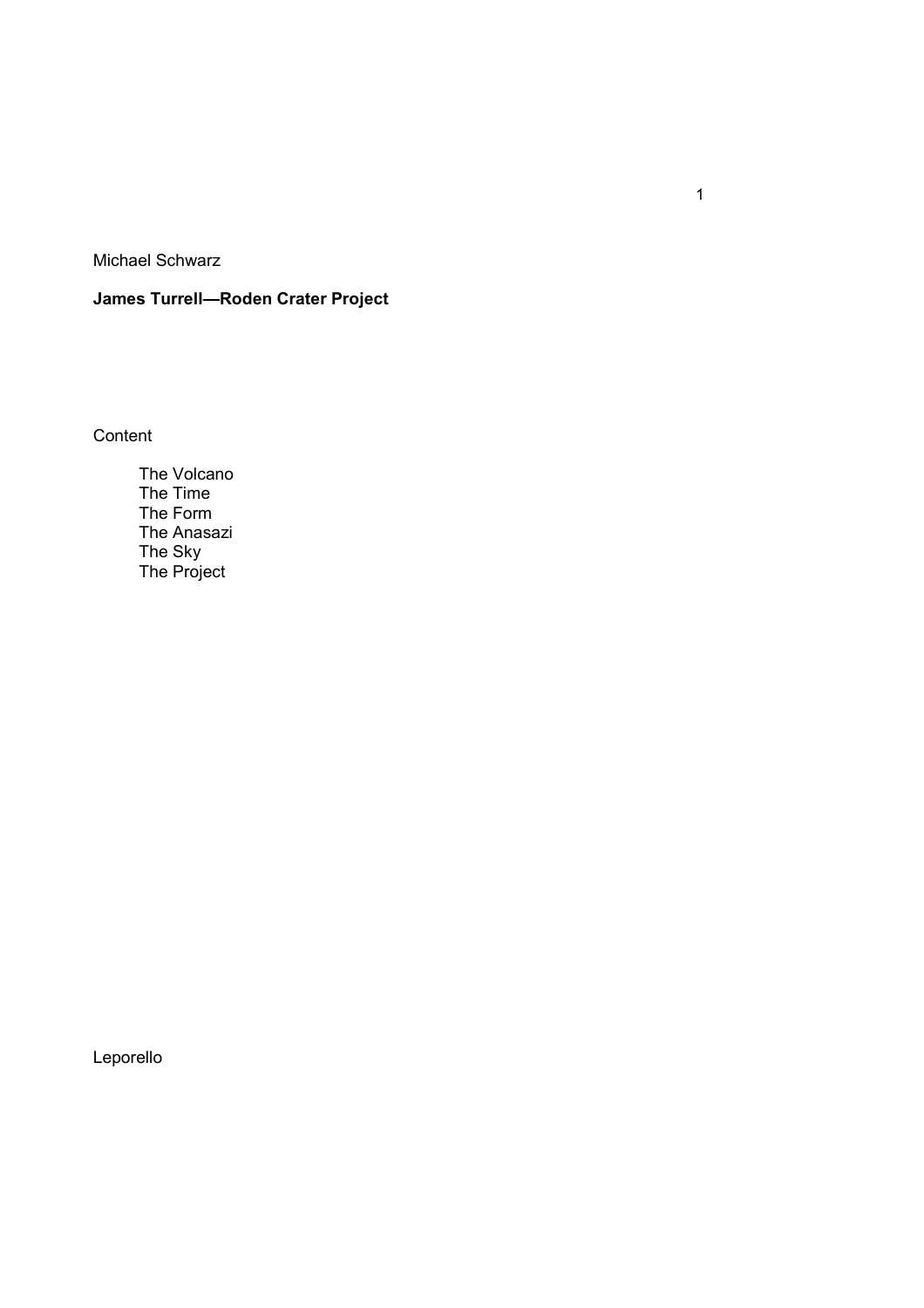Michael Schwarz

# **James Turrell—Roden Crater Project**

**Content** 

 The Volcano The Time The Form The Anasazi The Sky The Project

Leporello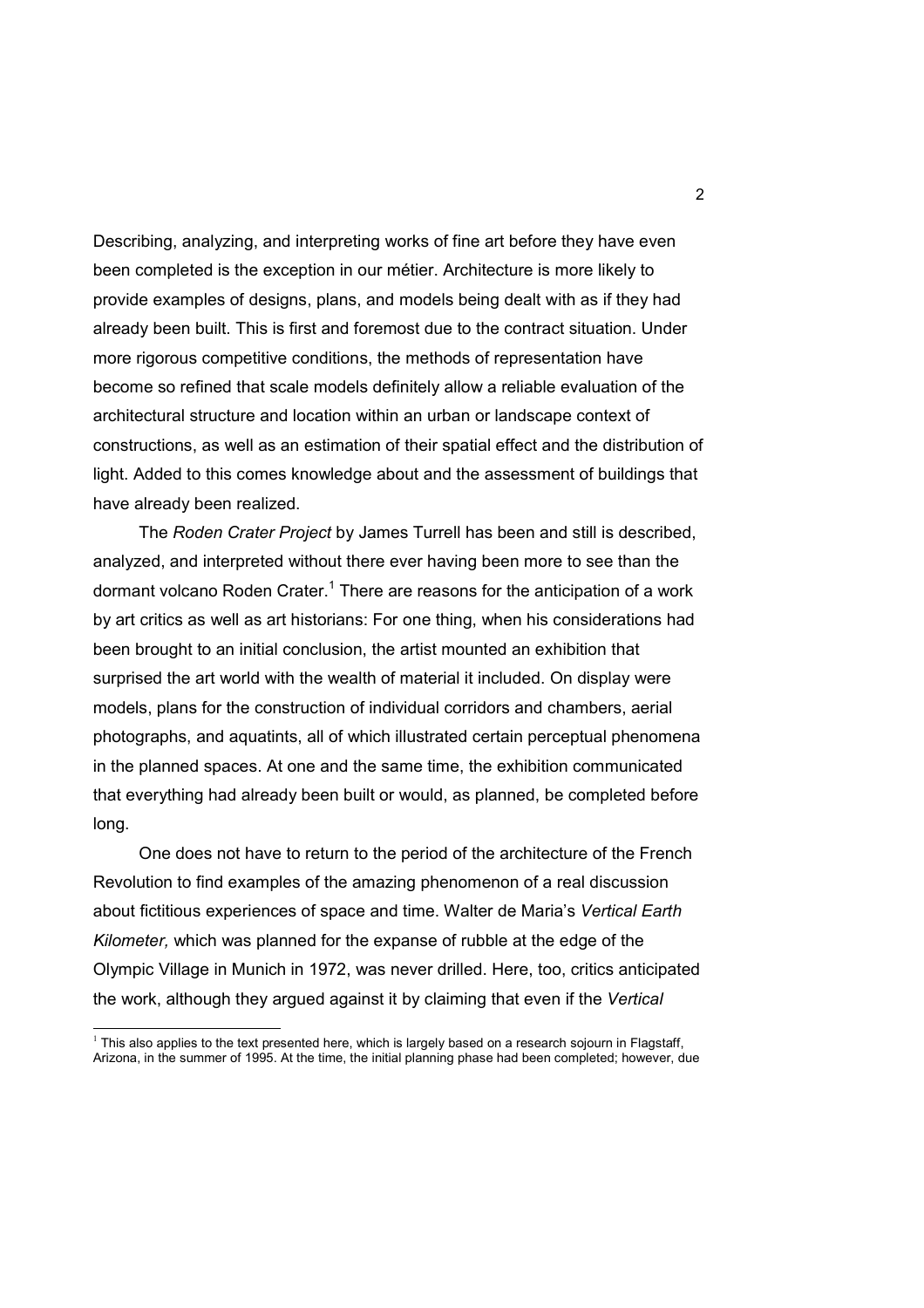Describing, analyzing, and interpreting works of fine art before they have even been completed is the exception in our métier. Architecture is more likely to provide examples of designs, plans, and models being dealt with as if they had already been built. This is first and foremost due to the contract situation. Under more rigorous competitive conditions, the methods of representation have become so refined that scale models definitely allow a reliable evaluation of the architectural structure and location within an urban or landscape context of constructions, as well as an estimation of their spatial effect and the distribution of light. Added to this comes knowledge about and the assessment of buildings that have already been realized.

 The *Roden Crater Project* by James Turrell has been and still is described, analyzed, and interpreted without there ever having been more to see than the dormant volcano Roden Crater.<sup>1</sup> There are reasons for the anticipation of a work by art critics as well as art historians: For one thing, when his considerations had been brought to an initial conclusion, the artist mounted an exhibition that surprised the art world with the wealth of material it included. On display were models, plans for the construction of individual corridors and chambers, aerial photographs, and aquatints, all of which illustrated certain perceptual phenomena in the planned spaces. At one and the same time, the exhibition communicated that everything had already been built or would, as planned, be completed before long.

 One does not have to return to the period of the architecture of the French Revolution to find examples of the amazing phenomenon of a real discussion about fictitious experiences of space and time. Walter de Maria's *Vertical Earth Kilometer,* which was planned for the expanse of rubble at the edge of the Olympic Village in Munich in 1972, was never drilled. Here, too, critics anticipated the work, although they argued against it by claiming that even if the *Vertical* 

 $\overline{a}$ 

<sup>&</sup>lt;sup>1</sup> This also applies to the text presented here, which is largely based on a research sojourn in Flagstaff, Arizona, in the summer of 1995. At the time, the initial planning phase had been completed; however, due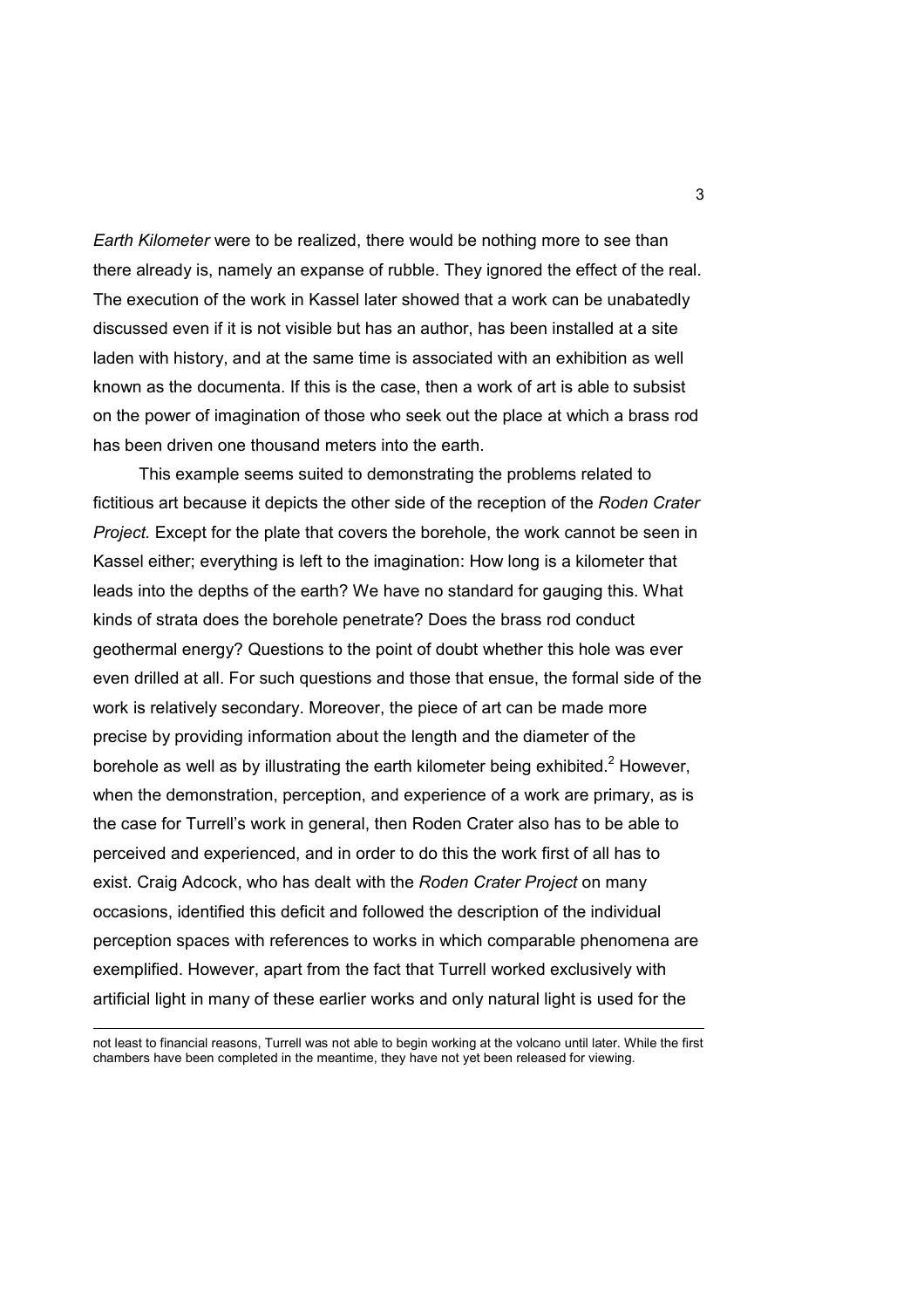*Earth Kilometer* were to be realized, there would be nothing more to see than there already is, namely an expanse of rubble. They ignored the effect of the real. The execution of the work in Kassel later showed that a work can be unabatedly discussed even if it is not visible but has an author, has been installed at a site laden with history, and at the same time is associated with an exhibition as well known as the documenta. If this is the case, then a work of art is able to subsist on the power of imagination of those who seek out the place at which a brass rod has been driven one thousand meters into the earth.

 This example seems suited to demonstrating the problems related to fictitious art because it depicts the other side of the reception of the *Roden Crater Project.* Except for the plate that covers the borehole, the work cannot be seen in Kassel either; everything is left to the imagination: How long is a kilometer that leads into the depths of the earth? We have no standard for gauging this. What kinds of strata does the borehole penetrate? Does the brass rod conduct geothermal energy? Questions to the point of doubt whether this hole was ever even drilled at all. For such questions and those that ensue, the formal side of the work is relatively secondary. Moreover, the piece of art can be made more precise by providing information about the length and the diameter of the borehole as well as by illustrating the earth kilometer being exhibited.<sup>2</sup> However, when the demonstration, perception, and experience of a work are primary, as is the case for Turrell's work in general, then Roden Crater also has to be able to perceived and experienced, and in order to do this the work first of all has to exist. Craig Adcock, who has dealt with the *Roden Crater Project* on many occasions, identified this deficit and followed the description of the individual perception spaces with references to works in which comparable phenomena are exemplified. However, apart from the fact that Turrell worked exclusively with artificial light in many of these earlier works and only natural light is used for the

 $\overline{a}$ 

not least to financial reasons, Turrell was not able to begin working at the volcano until later. While the first chambers have been completed in the meantime, they have not yet been released for viewing.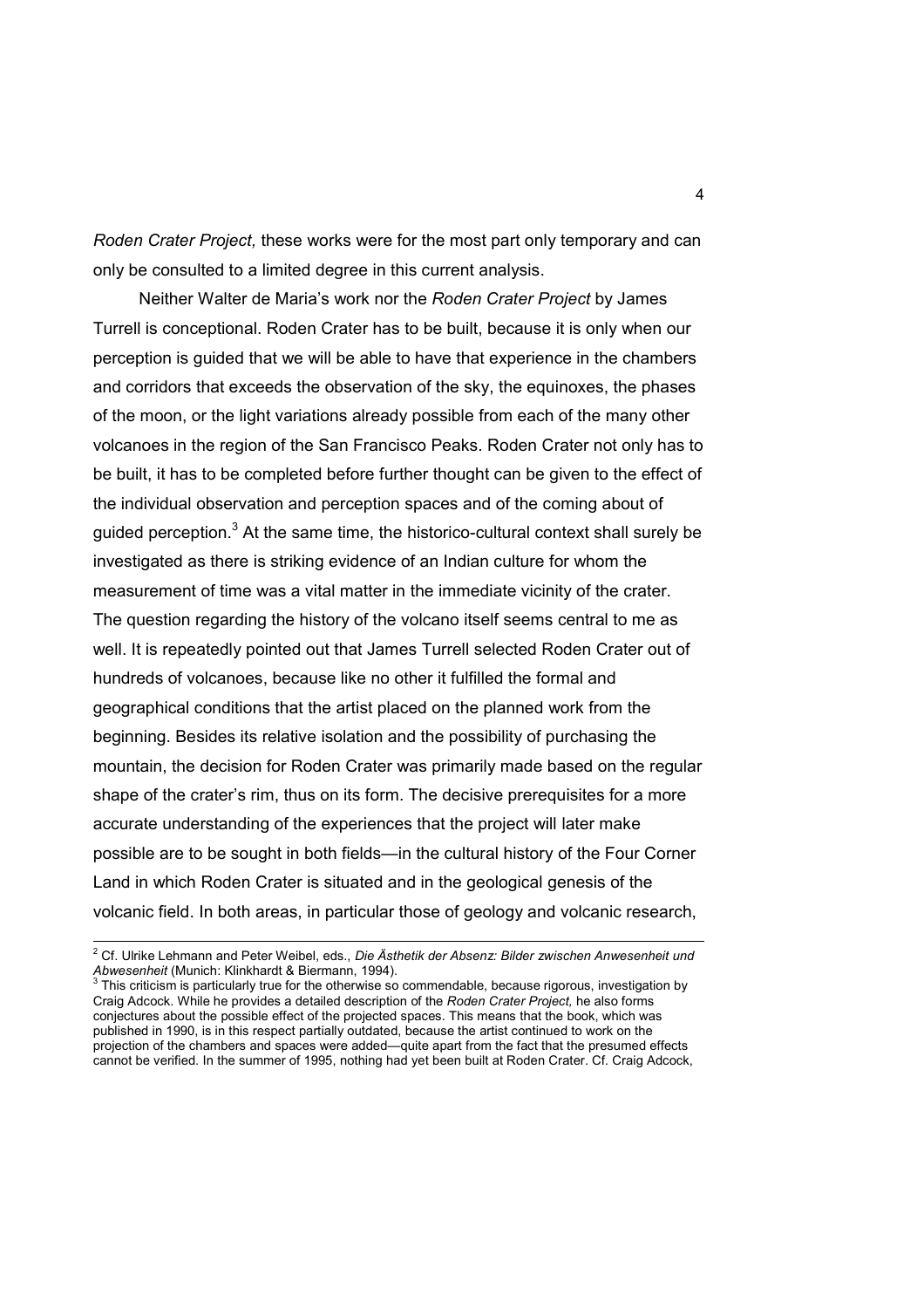*Roden Crater Project,* these works were for the most part only temporary and can only be consulted to a limited degree in this current analysis.

 Neither Walter de Maria's work nor the *Roden Crater Project* by James Turrell is conceptional. Roden Crater has to be built, because it is only when our perception is guided that we will be able to have that experience in the chambers and corridors that exceeds the observation of the sky, the equinoxes, the phases of the moon, or the light variations already possible from each of the many other volcanoes in the region of the San Francisco Peaks. Roden Crater not only has to be built, it has to be completed before further thought can be given to the effect of the individual observation and perception spaces and of the coming about of guided perception.<sup>3</sup> At the same time, the historico-cultural context shall surely be investigated as there is striking evidence of an Indian culture for whom the measurement of time was a vital matter in the immediate vicinity of the crater. The question regarding the history of the volcano itself seems central to me as well. It is repeatedly pointed out that James Turrell selected Roden Crater out of hundreds of volcanoes, because like no other it fulfilled the formal and geographical conditions that the artist placed on the planned work from the beginning. Besides its relative isolation and the possibility of purchasing the mountain, the decision for Roden Crater was primarily made based on the regular shape of the crater's rim, thus on its form. The decisive prerequisites for a more accurate understanding of the experiences that the project will later make possible are to be sought in both fields—in the cultural history of the Four Corner Land in which Roden Crater is situated and in the geological genesis of the volcanic field. In both areas, in particular those of geology and volcanic research,

 2 Cf. Ulrike Lehmann and Peter Weibel, eds., *Die Ästhetik der Absenz: Bilder zwischen Anwesenheit und Abwesenheit* (Munich: Klinkhardt & Biermann, 1994). 3

This criticism is particularly true for the otherwise so commendable, because rigorous, investigation by Craig Adcock. While he provides a detailed description of the *Roden Crater Project,* he also forms conjectures about the possible effect of the projected spaces. This means that the book, which was published in 1990, is in this respect partially outdated, because the artist continued to work on the projection of the chambers and spaces were added—quite apart from the fact that the presumed effects cannot be verified. In the summer of 1995, nothing had yet been built at Roden Crater. Cf. Craig Adcock,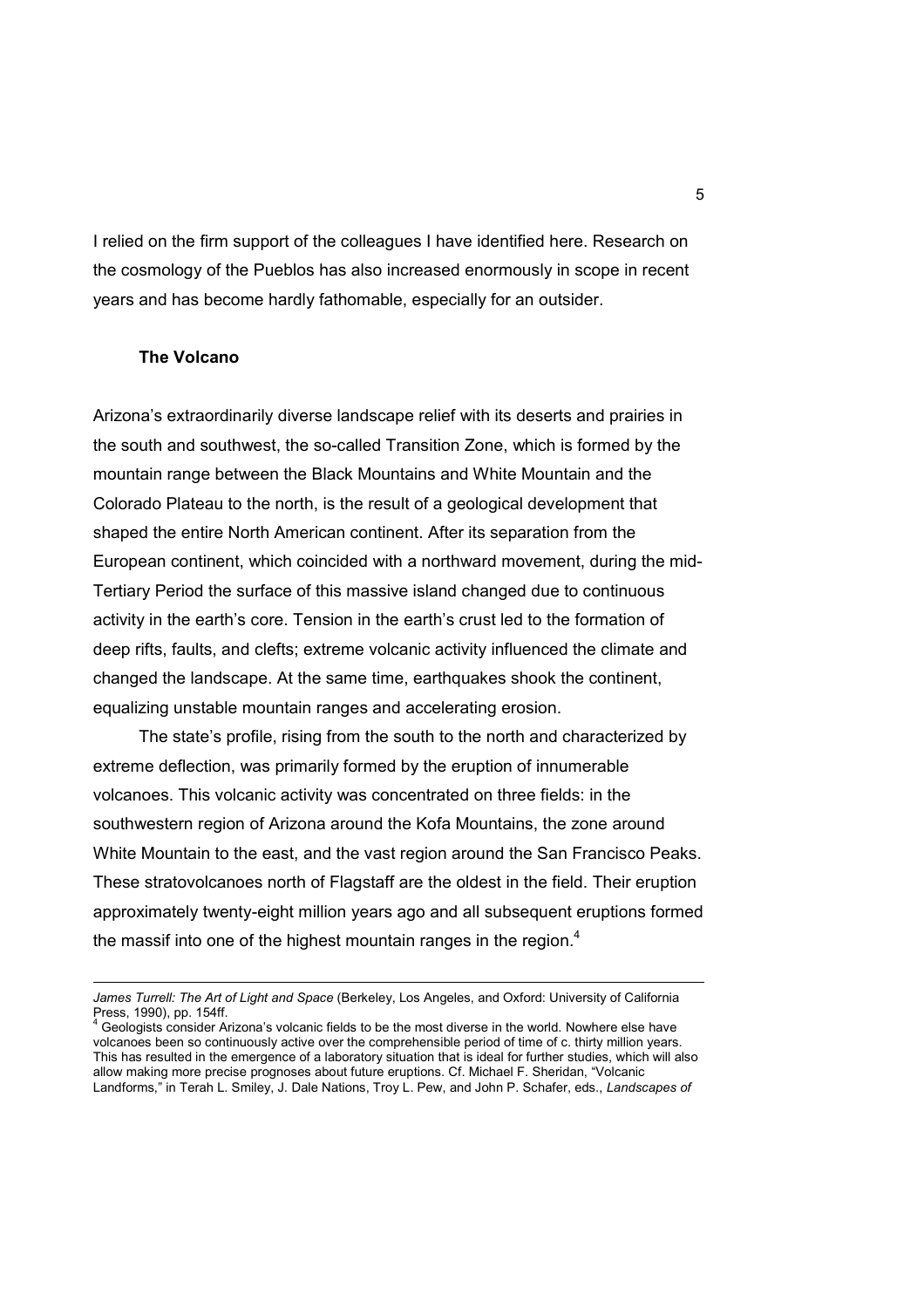I relied on the firm support of the colleagues I have identified here. Research on the cosmology of the Pueblos has also increased enormously in scope in recent years and has become hardly fathomable, especially for an outsider.

## **The Volcano**

 $\overline{a}$ 

Arizona's extraordinarily diverse landscape relief with its deserts and prairies in the south and southwest, the so-called Transition Zone, which is formed by the mountain range between the Black Mountains and White Mountain and the Colorado Plateau to the north, is the result of a geological development that shaped the entire North American continent. After its separation from the European continent, which coincided with a northward movement, during the mid-Tertiary Period the surface of this massive island changed due to continuous activity in the earth's core. Tension in the earth's crust led to the formation of deep rifts, faults, and clefts; extreme volcanic activity influenced the climate and changed the landscape. At the same time, earthquakes shook the continent, equalizing unstable mountain ranges and accelerating erosion.

 The state's profile, rising from the south to the north and characterized by extreme deflection, was primarily formed by the eruption of innumerable volcanoes. This volcanic activity was concentrated on three fields: in the southwestern region of Arizona around the Kofa Mountains, the zone around White Mountain to the east, and the vast region around the San Francisco Peaks. These stratovolcanoes north of Flagstaff are the oldest in the field. Their eruption approximately twenty-eight million years ago and all subsequent eruptions formed the massif into one of the highest mountain ranges in the region.<sup>4</sup>

*James Turrell: The Art of Light and Space* (Berkeley, Los Angeles, and Oxford: University of California Press, 1990), pp. 154ff.

<sup>4</sup> Geologists consider Arizona's volcanic fields to be the most diverse in the world. Nowhere else have volcanoes been so continuously active over the comprehensible period of time of c. thirty million years. This has resulted in the emergence of a laboratory situation that is ideal for further studies, which will also allow making more precise prognoses about future eruptions. Cf. Michael F. Sheridan, "Volcanic Landforms," in Terah L. Smiley, J. Dale Nations, Troy L. Pew, and John P. Schafer, eds., *Landscapes of*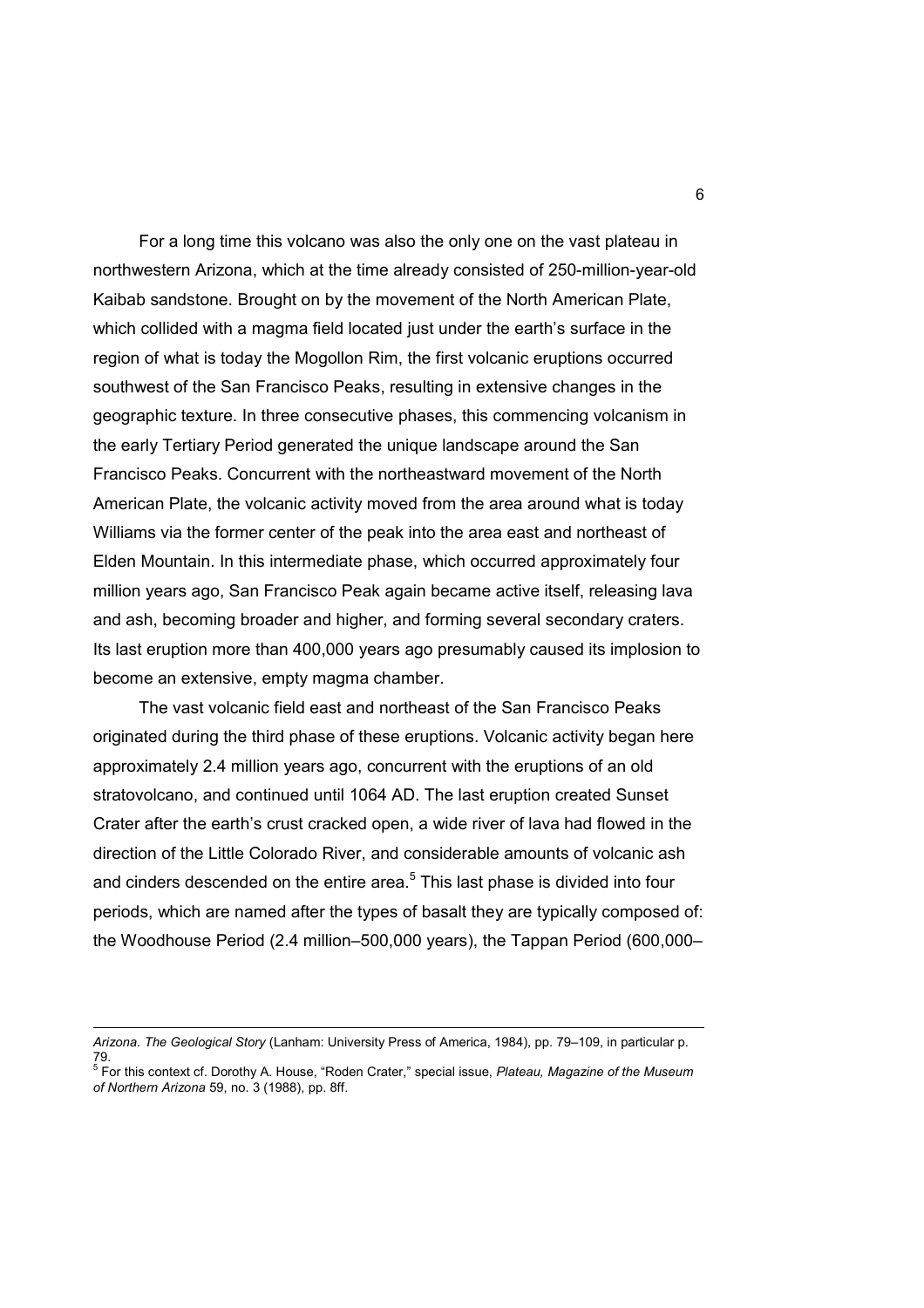For a long time this volcano was also the only one on the vast plateau in northwestern Arizona, which at the time already consisted of 250-million-year-old Kaibab sandstone. Brought on by the movement of the North American Plate, which collided with a magma field located just under the earth's surface in the region of what is today the Mogollon Rim, the first volcanic eruptions occurred southwest of the San Francisco Peaks, resulting in extensive changes in the geographic texture. In three consecutive phases, this commencing volcanism in the early Tertiary Period generated the unique landscape around the San Francisco Peaks. Concurrent with the northeastward movement of the North American Plate, the volcanic activity moved from the area around what is today Williams via the former center of the peak into the area east and northeast of Elden Mountain. In this intermediate phase, which occurred approximately four million years ago, San Francisco Peak again became active itself, releasing lava and ash, becoming broader and higher, and forming several secondary craters. Its last eruption more than 400,000 years ago presumably caused its implosion to become an extensive, empty magma chamber.

 The vast volcanic field east and northeast of the San Francisco Peaks originated during the third phase of these eruptions. Volcanic activity began here approximately 2.4 million years ago, concurrent with the eruptions of an old stratovolcano, and continued until 1064 AD. The last eruption created Sunset Crater after the earth's crust cracked open, a wide river of lava had flowed in the direction of the Little Colorado River, and considerable amounts of volcanic ash and cinders descended on the entire area. $5$  This last phase is divided into four periods, which are named after the types of basalt they are typically composed of: the Woodhouse Period (2.4 million–500,000 years), the Tappan Period (600,000–

 $\overline{a}$ 

*Arizona. The Geological Story* (Lanham: University Press of America, 1984), pp. 79–109, in particular p.

<sup>79.</sup>  5 For this context cf. Dorothy A. House, "Roden Crater," special issue, *Plateau, Magazine of the Museum of Northern Arizona* 59, no. 3 (1988), pp. 8ff.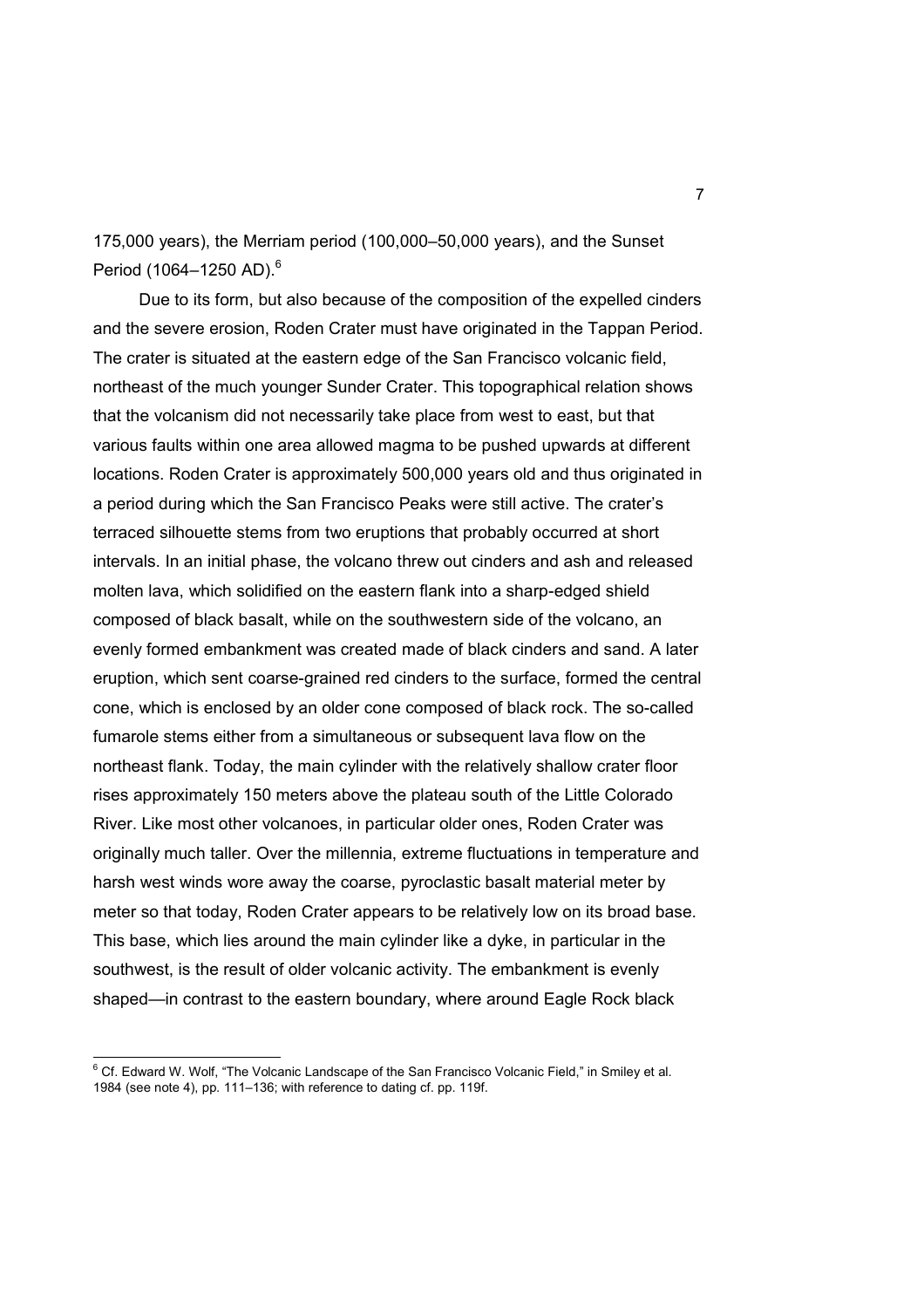175,000 years), the Merriam period (100,000–50,000 years), and the Sunset Period (1064–1250 AD).<sup>6</sup>

 Due to its form, but also because of the composition of the expelled cinders and the severe erosion, Roden Crater must have originated in the Tappan Period. The crater is situated at the eastern edge of the San Francisco volcanic field, northeast of the much younger Sunder Crater. This topographical relation shows that the volcanism did not necessarily take place from west to east, but that various faults within one area allowed magma to be pushed upwards at different locations. Roden Crater is approximately 500,000 years old and thus originated in a period during which the San Francisco Peaks were still active. The crater's terraced silhouette stems from two eruptions that probably occurred at short intervals. In an initial phase, the volcano threw out cinders and ash and released molten lava, which solidified on the eastern flank into a sharp-edged shield composed of black basalt, while on the southwestern side of the volcano, an evenly formed embankment was created made of black cinders and sand. A later eruption, which sent coarse-grained red cinders to the surface, formed the central cone, which is enclosed by an older cone composed of black rock. The so-called fumarole stems either from a simultaneous or subsequent lava flow on the northeast flank. Today, the main cylinder with the relatively shallow crater floor rises approximately 150 meters above the plateau south of the Little Colorado River. Like most other volcanoes, in particular older ones, Roden Crater was originally much taller. Over the millennia, extreme fluctuations in temperature and harsh west winds wore away the coarse, pyroclastic basalt material meter by meter so that today, Roden Crater appears to be relatively low on its broad base. This base, which lies around the main cylinder like a dyke, in particular in the southwest, is the result of older volcanic activity. The embankment is evenly shaped—in contrast to the eastern boundary, where around Eagle Rock black

e<br><sup>6</sup> Cf. Edward W. Wolf, "The Volcanic Landscape of the San Francisco Volcanic Field," in Smiley et al. 1984 (see note 4), pp. 111–136; with reference to dating cf. pp. 119f.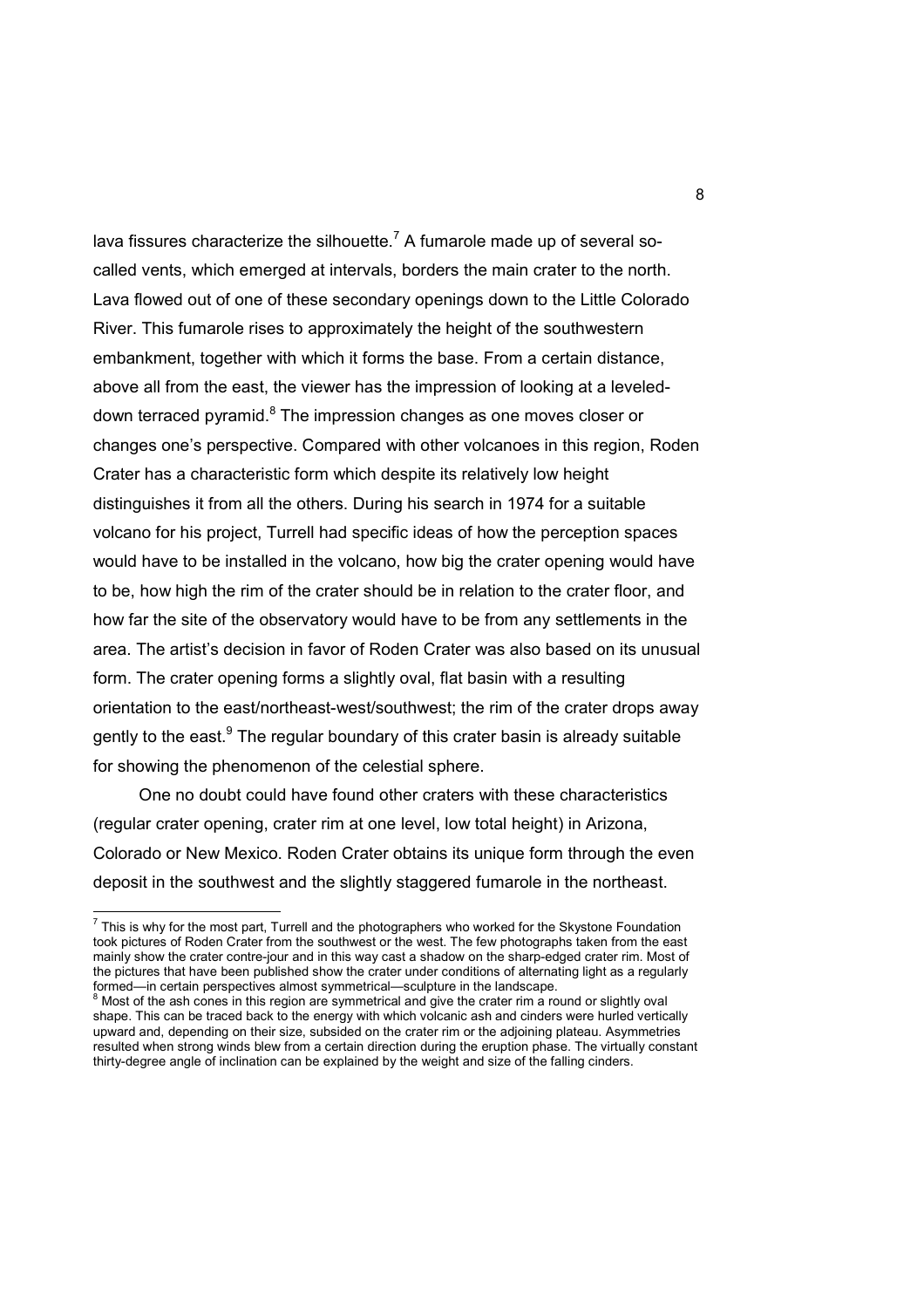lava fissures characterize the silhouette.<sup>7</sup> A fumarole made up of several socalled vents, which emerged at intervals, borders the main crater to the north. Lava flowed out of one of these secondary openings down to the Little Colorado River. This fumarole rises to approximately the height of the southwestern embankment, together with which it forms the base. From a certain distance, above all from the east, the viewer has the impression of looking at a leveleddown terraced pyramid.<sup>8</sup> The impression changes as one moves closer or changes one's perspective. Compared with other volcanoes in this region, Roden Crater has a characteristic form which despite its relatively low height distinguishes it from all the others. During his search in 1974 for a suitable volcano for his project, Turrell had specific ideas of how the perception spaces would have to be installed in the volcano, how big the crater opening would have to be, how high the rim of the crater should be in relation to the crater floor, and how far the site of the observatory would have to be from any settlements in the area. The artist's decision in favor of Roden Crater was also based on its unusual form. The crater opening forms a slightly oval, flat basin with a resulting orientation to the east/northeast-west/southwest; the rim of the crater drops away gently to the east.<sup>9</sup> The regular boundary of this crater basin is already suitable for showing the phenomenon of the celestial sphere.

 One no doubt could have found other craters with these characteristics (regular crater opening, crater rim at one level, low total height) in Arizona, Colorado or New Mexico. Roden Crater obtains its unique form through the even deposit in the southwest and the slightly staggered fumarole in the northeast.

 $^7$  This is why for the most part, Turrell and the photographers who worked for the Skystone Foundation took pictures of Roden Crater from the southwest or the west. The few photographs taken from the east mainly show the crater contre-jour and in this way cast a shadow on the sharp-edged crater rim. Most of the pictures that have been published show the crater under conditions of alternating light as a regularly

formed—in certain perspectives almost symmetrical—sculpture in the landscape.<br><sup>8</sup> Most of the ash cones in this region are symmetrical and give the crater rim a round or slightly oval shape. This can be traced back to the energy with which volcanic ash and cinders were hurled vertically upward and, depending on their size, subsided on the crater rim or the adjoining plateau. Asymmetries resulted when strong winds blew from a certain direction during the eruption phase. The virtually constant thirty-degree angle of inclination can be explained by the weight and size of the falling cinders.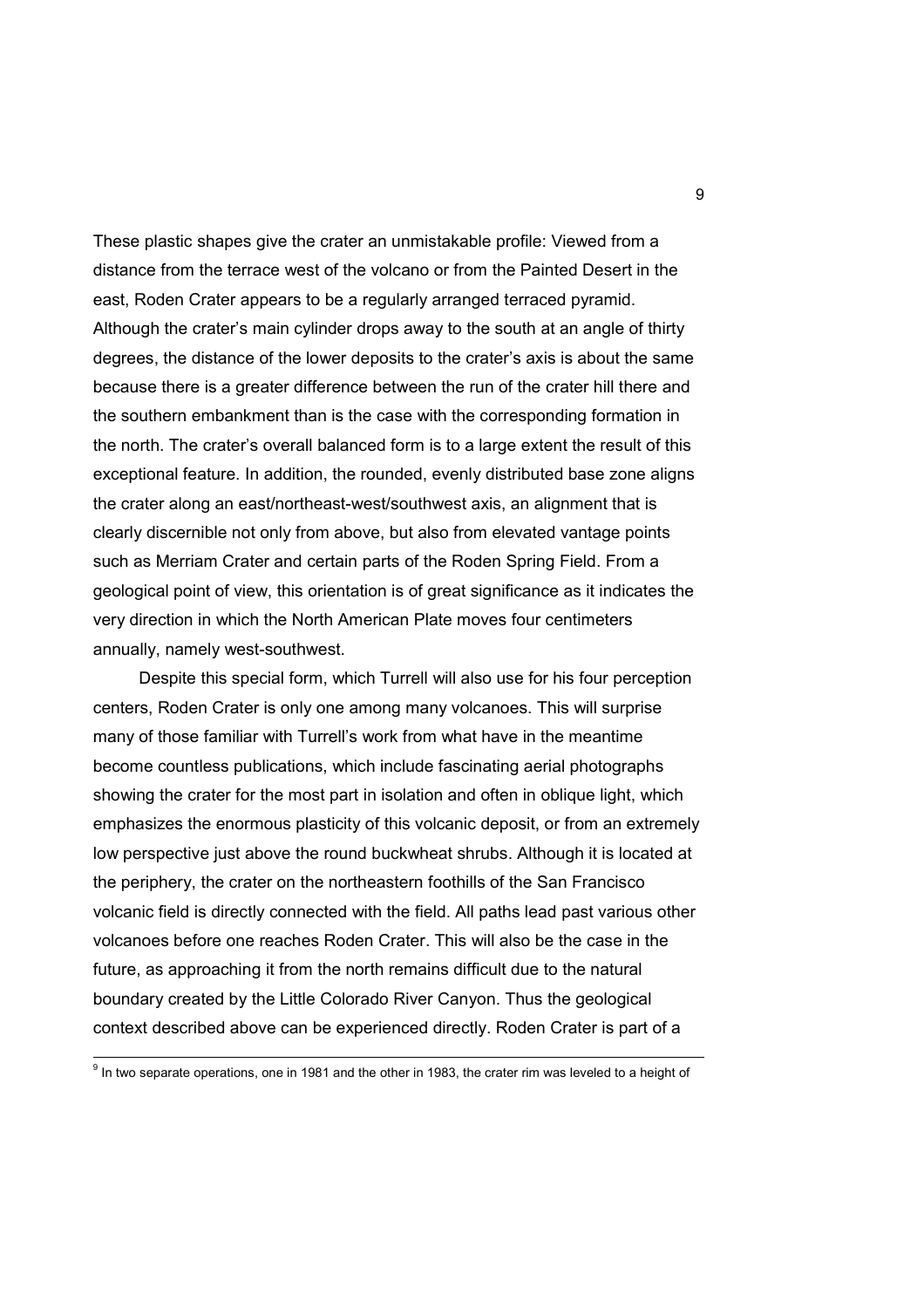These plastic shapes give the crater an unmistakable profile: Viewed from a distance from the terrace west of the volcano or from the Painted Desert in the east, Roden Crater appears to be a regularly arranged terraced pyramid. Although the crater's main cylinder drops away to the south at an angle of thirty degrees, the distance of the lower deposits to the crater's axis is about the same because there is a greater difference between the run of the crater hill there and the southern embankment than is the case with the corresponding formation in the north. The crater's overall balanced form is to a large extent the result of this exceptional feature. In addition, the rounded, evenly distributed base zone aligns the crater along an east/northeast-west/southwest axis, an alignment that is clearly discernible not only from above, but also from elevated vantage points such as Merriam Crater and certain parts of the Roden Spring Field. From a geological point of view, this orientation is of great significance as it indicates the very direction in which the North American Plate moves four centimeters annually, namely west-southwest.

 Despite this special form, which Turrell will also use for his four perception centers, Roden Crater is only one among many volcanoes. This will surprise many of those familiar with Turrell's work from what have in the meantime become countless publications, which include fascinating aerial photographs showing the crater for the most part in isolation and often in oblique light, which emphasizes the enormous plasticity of this volcanic deposit, or from an extremely low perspective just above the round buckwheat shrubs. Although it is located at the periphery, the crater on the northeastern foothills of the San Francisco volcanic field is directly connected with the field. All paths lead past various other volcanoes before one reaches Roden Crater. This will also be the case in the future, as approaching it from the north remains difficult due to the natural boundary created by the Little Colorado River Canyon. Thus the geological context described above can be experienced directly. Roden Crater is part of a

<sup>&</sup>lt;sup>9</sup> In two separate operations, one in 1981 and the other in 1983, the crater rim was leveled to a height of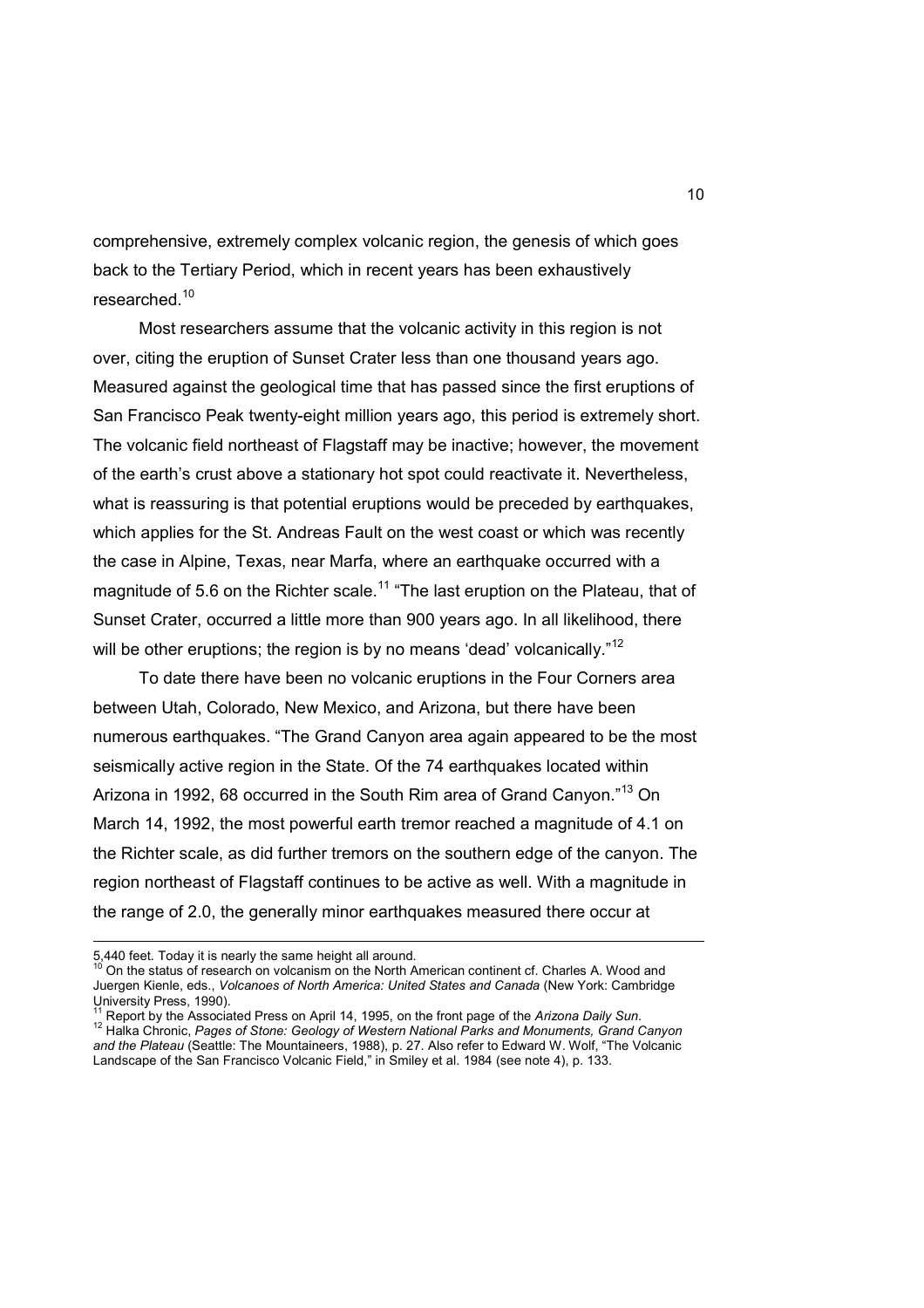comprehensive, extremely complex volcanic region, the genesis of which goes back to the Tertiary Period, which in recent years has been exhaustively researched.<sup>10</sup>

 Most researchers assume that the volcanic activity in this region is not over, citing the eruption of Sunset Crater less than one thousand years ago. Measured against the geological time that has passed since the first eruptions of San Francisco Peak twenty-eight million years ago, this period is extremely short. The volcanic field northeast of Flagstaff may be inactive; however, the movement of the earth's crust above a stationary hot spot could reactivate it. Nevertheless, what is reassuring is that potential eruptions would be preceded by earthquakes, which applies for the St. Andreas Fault on the west coast or which was recently the case in Alpine, Texas, near Marfa, where an earthquake occurred with a magnitude of 5.6 on the Richter scale.<sup>11</sup> "The last eruption on the Plateau, that of Sunset Crater, occurred a little more than 900 years ago. In all likelihood, there will be other eruptions; the region is by no means 'dead' volcanically."<sup>12</sup>

 To date there have been no volcanic eruptions in the Four Corners area between Utah, Colorado, New Mexico, and Arizona, but there have been numerous earthquakes. "The Grand Canyon area again appeared to be the most seismically active region in the State. Of the 74 earthquakes located within Arizona in 1992, 68 occurred in the South Rim area of Grand Canyon."<sup>13</sup> On March 14, 1992, the most powerful earth tremor reached a magnitude of 4.1 on the Richter scale, as did further tremors on the southern edge of the canyon. The region northeast of Flagstaff continues to be active as well. With a magnitude in the range of 2.0, the generally minor earthquakes measured there occur at

<sup>5,440</sup> feet. Today it is nearly the same height all around.

<sup>10</sup> On the status of research on volcanism on the North American continent cf. Charles A. Wood and Juergen Kienle, eds., *Volcanoes of North America: United States and Canada* (New York: Cambridge University Press, 1990).

<sup>11</sup> Report by the Associated Press on April 14, 1995, on the front page of the *Arizona Daily Sun*. <sup>12</sup> Halka Chronic, *Pages of Stone: Geology of Western National Parks and Monuments, Grand Canyon and the Plateau* (Seattle: The Mountaineers, 1988), p. 27. Also refer to Edward W. Wolf, "The Volcanic Landscape of the San Francisco Volcanic Field," in Smiley et al. 1984 (see note 4), p. 133.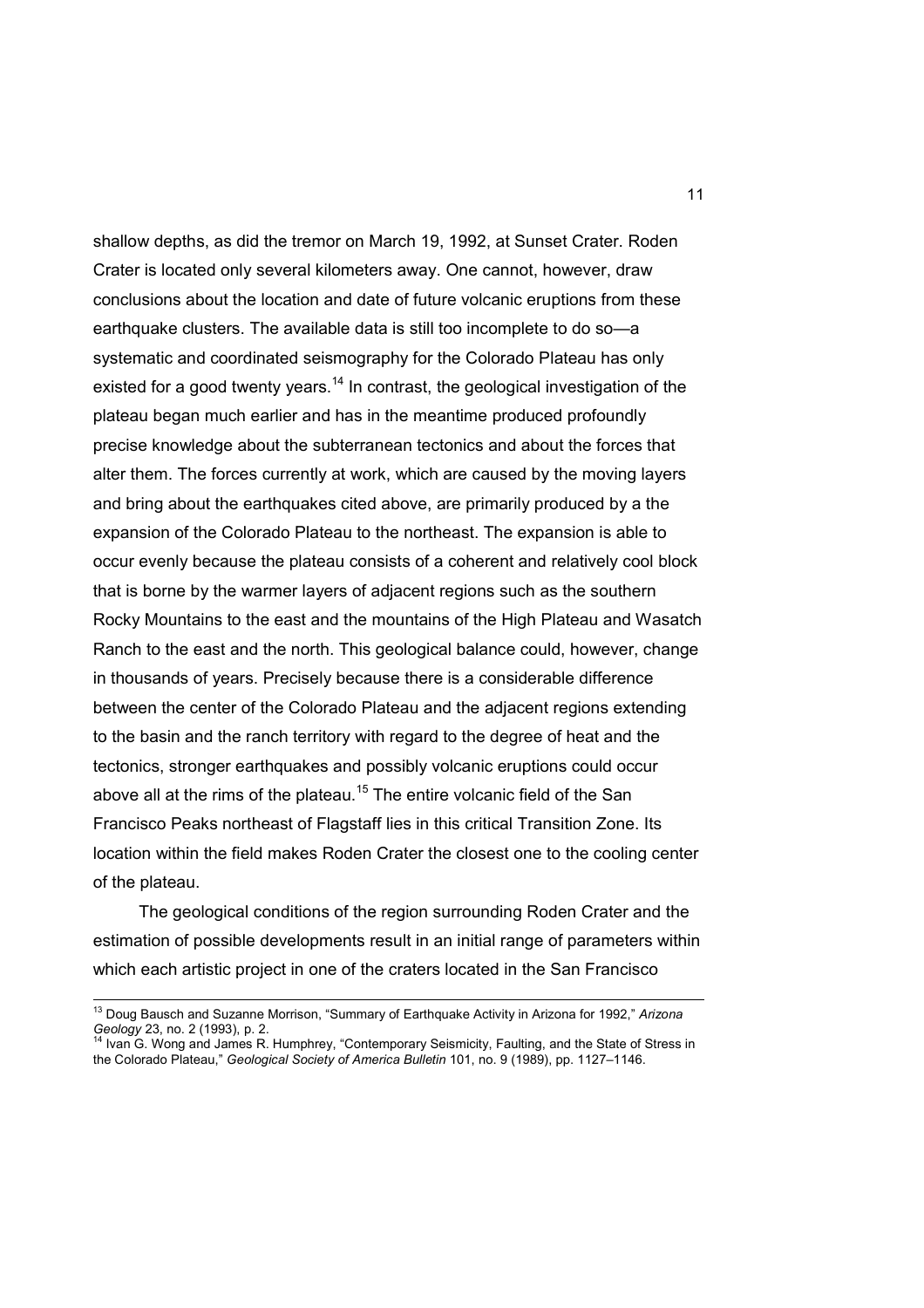shallow depths, as did the tremor on March 19, 1992, at Sunset Crater. Roden Crater is located only several kilometers away. One cannot, however, draw conclusions about the location and date of future volcanic eruptions from these earthquake clusters. The available data is still too incomplete to do so—a systematic and coordinated seismography for the Colorado Plateau has only existed for a good twenty years.<sup>14</sup> In contrast, the geological investigation of the plateau began much earlier and has in the meantime produced profoundly precise knowledge about the subterranean tectonics and about the forces that alter them. The forces currently at work, which are caused by the moving layers and bring about the earthquakes cited above, are primarily produced by a the expansion of the Colorado Plateau to the northeast. The expansion is able to occur evenly because the plateau consists of a coherent and relatively cool block that is borne by the warmer layers of adjacent regions such as the southern Rocky Mountains to the east and the mountains of the High Plateau and Wasatch Ranch to the east and the north. This geological balance could, however, change in thousands of years. Precisely because there is a considerable difference between the center of the Colorado Plateau and the adjacent regions extending to the basin and the ranch territory with regard to the degree of heat and the tectonics, stronger earthquakes and possibly volcanic eruptions could occur above all at the rims of the plateau.<sup>15</sup> The entire volcanic field of the San Francisco Peaks northeast of Flagstaff lies in this critical Transition Zone. Its location within the field makes Roden Crater the closest one to the cooling center of the plateau.

 The geological conditions of the region surrounding Roden Crater and the estimation of possible developments result in an initial range of parameters within which each artistic project in one of the craters located in the San Francisco

 $\overline{\phantom{a}}$ 

<sup>13</sup> Doug Bausch and Suzanne Morrison, "Summary of Earthquake Activity in Arizona for 1992," *Arizona Geology* 23, no. 2 (1993), p. 2.<br><sup>14</sup> Ivan G. Wong and James R. Humphrey, "Contemporary Seismicity, Faulting, and the State of Stress in

the Colorado Plateau," *Geological Society of America Bulletin* 101, no. 9 (1989), pp. 1127–1146.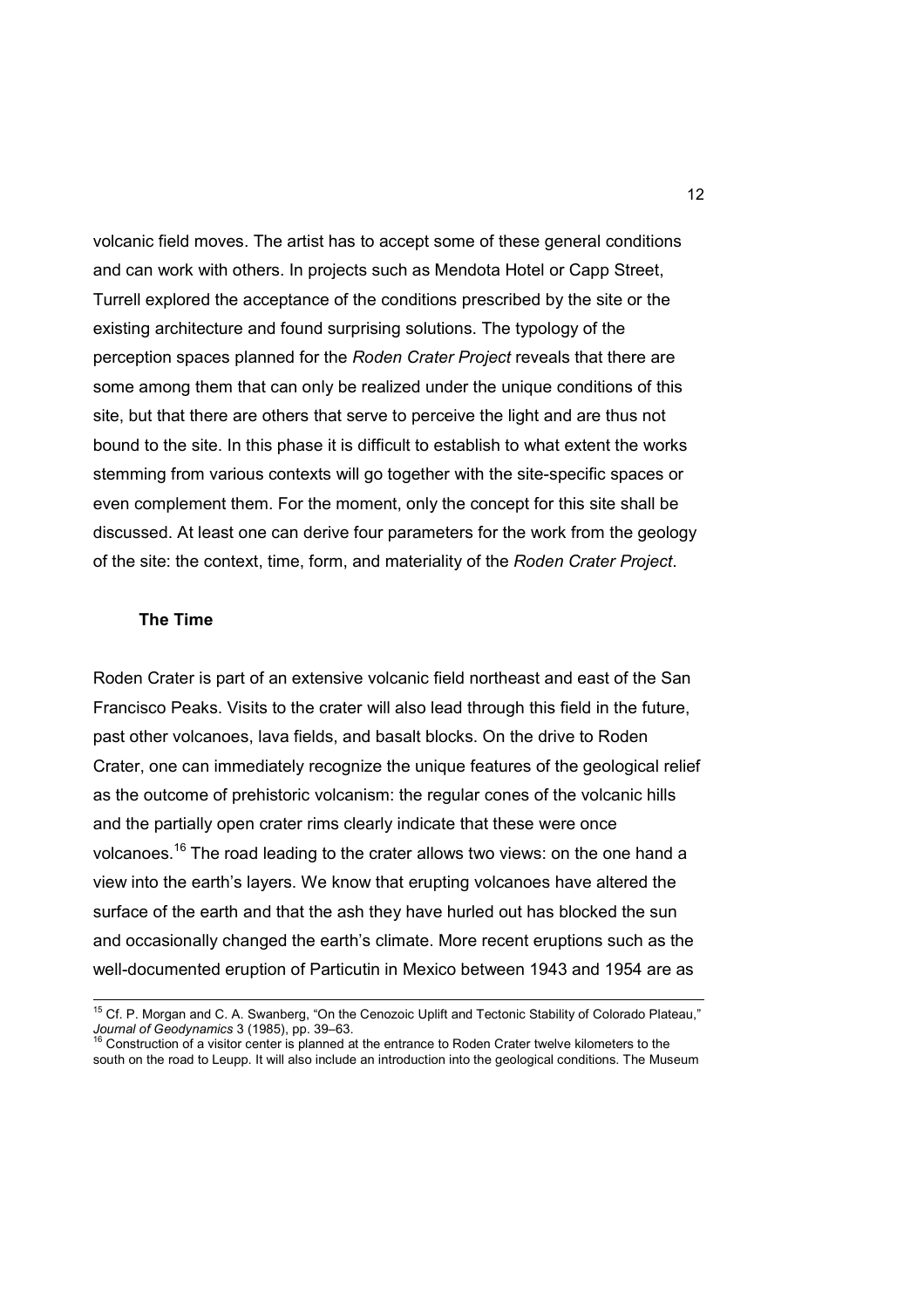volcanic field moves. The artist has to accept some of these general conditions and can work with others. In projects such as Mendota Hotel or Capp Street, Turrell explored the acceptance of the conditions prescribed by the site or the existing architecture and found surprising solutions. The typology of the perception spaces planned for the *Roden Crater Project* reveals that there are some among them that can only be realized under the unique conditions of this site, but that there are others that serve to perceive the light and are thus not bound to the site. In this phase it is difficult to establish to what extent the works stemming from various contexts will go together with the site-specific spaces or even complement them. For the moment, only the concept for this site shall be discussed. At least one can derive four parameters for the work from the geology of the site: the context, time, form, and materiality of the *Roden Crater Project*.

#### **The Time**

 $\overline{\phantom{a}}$ 

Roden Crater is part of an extensive volcanic field northeast and east of the San Francisco Peaks. Visits to the crater will also lead through this field in the future, past other volcanoes, lava fields, and basalt blocks. On the drive to Roden Crater, one can immediately recognize the unique features of the geological relief as the outcome of prehistoric volcanism: the regular cones of the volcanic hills and the partially open crater rims clearly indicate that these were once volcanoes.<sup>16</sup> The road leading to the crater allows two views: on the one hand a view into the earth's layers. We know that erupting volcanoes have altered the surface of the earth and that the ash they have hurled out has blocked the sun and occasionally changed the earth's climate. More recent eruptions such as the well-documented eruption of Particutin in Mexico between 1943 and 1954 are as

<sup>&</sup>lt;sup>15</sup> Cf. P. Morgan and C. A. Swanberg, "On the Cenozoic Uplift and Tectonic Stability of Colorado Plateau," *Journal of Geodynamics* 3 (1985), pp. 39–63. <sup>16</sup> Construction of a visitor center is planned at the entrance to Roden Crater twelve kilometers to the

south on the road to Leupp. It will also include an introduction into the geological conditions. The Museum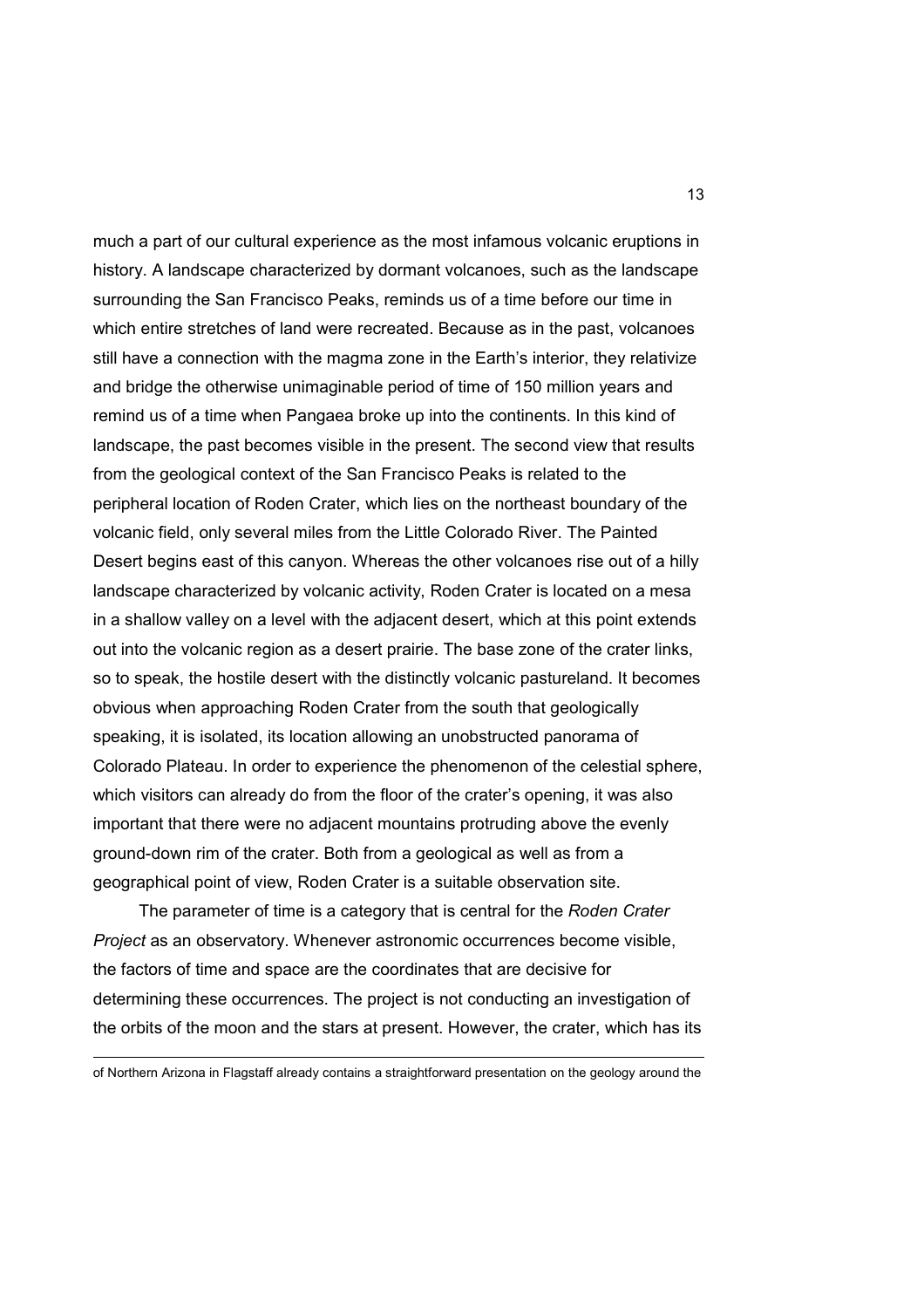much a part of our cultural experience as the most infamous volcanic eruptions in history. A landscape characterized by dormant volcanoes, such as the landscape surrounding the San Francisco Peaks, reminds us of a time before our time in which entire stretches of land were recreated. Because as in the past, volcanoes still have a connection with the magma zone in the Earth's interior, they relativize and bridge the otherwise unimaginable period of time of 150 million years and remind us of a time when Pangaea broke up into the continents. In this kind of landscape, the past becomes visible in the present. The second view that results from the geological context of the San Francisco Peaks is related to the peripheral location of Roden Crater, which lies on the northeast boundary of the volcanic field, only several miles from the Little Colorado River. The Painted Desert begins east of this canyon. Whereas the other volcanoes rise out of a hilly landscape characterized by volcanic activity, Roden Crater is located on a mesa in a shallow valley on a level with the adjacent desert, which at this point extends out into the volcanic region as a desert prairie. The base zone of the crater links, so to speak, the hostile desert with the distinctly volcanic pastureland. It becomes obvious when approaching Roden Crater from the south that geologically speaking, it is isolated, its location allowing an unobstructed panorama of Colorado Plateau. In order to experience the phenomenon of the celestial sphere, which visitors can already do from the floor of the crater's opening, it was also important that there were no adjacent mountains protruding above the evenly ground-down rim of the crater. Both from a geological as well as from a geographical point of view, Roden Crater is a suitable observation site.

 The parameter of time is a category that is central for the *Roden Crater Project* as an observatory. Whenever astronomic occurrences become visible, the factors of time and space are the coordinates that are decisive for determining these occurrences. The project is not conducting an investigation of the orbits of the moon and the stars at present. However, the crater, which has its

 $\overline{a}$ 

of Northern Arizona in Flagstaff already contains a straightforward presentation on the geology around the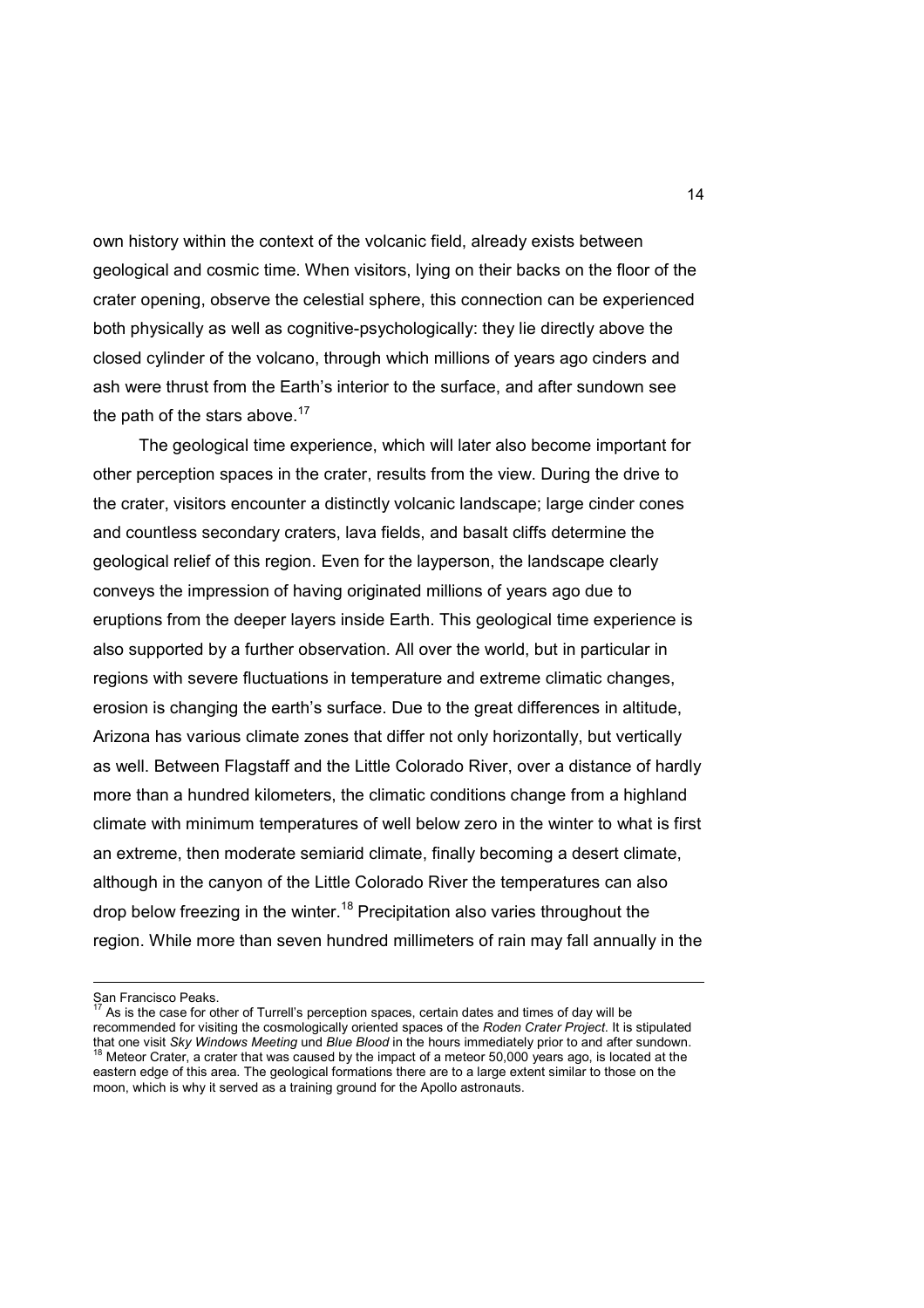own history within the context of the volcanic field, already exists between geological and cosmic time. When visitors, lying on their backs on the floor of the crater opening, observe the celestial sphere, this connection can be experienced both physically as well as cognitive-psychologically: they lie directly above the closed cylinder of the volcano, through which millions of years ago cinders and ash were thrust from the Earth's interior to the surface, and after sundown see the path of the stars above. $17$ 

 The geological time experience, which will later also become important for other perception spaces in the crater, results from the view. During the drive to the crater, visitors encounter a distinctly volcanic landscape; large cinder cones and countless secondary craters, lava fields, and basalt cliffs determine the geological relief of this region. Even for the layperson, the landscape clearly conveys the impression of having originated millions of years ago due to eruptions from the deeper layers inside Earth. This geological time experience is also supported by a further observation. All over the world, but in particular in regions with severe fluctuations in temperature and extreme climatic changes, erosion is changing the earth's surface. Due to the great differences in altitude, Arizona has various climate zones that differ not only horizontally, but vertically as well. Between Flagstaff and the Little Colorado River, over a distance of hardly more than a hundred kilometers, the climatic conditions change from a highland climate with minimum temperatures of well below zero in the winter to what is first an extreme, then moderate semiarid climate, finally becoming a desert climate, although in the canyon of the Little Colorado River the temperatures can also drop below freezing in the winter.<sup>18</sup> Precipitation also varies throughout the region. While more than seven hundred millimeters of rain may fall annually in the

San Francisco Peaks.

 $17$  As is the case for other of Turrell's perception spaces, certain dates and times of day will be recommended for visiting the cosmologically oriented spaces of the *Roden Crater Project*. It is stipulated that one visit *Sky Windows Meeting* und *Blue Blood* in the hours immediately prior to and after sundown. Meteor Crater, a crater that was caused by the impact of a meteor 50,000 years ago, is located at the eastern edge of this area. The geological formations there are to a large extent similar to those on the moon, which is why it served as a training ground for the Apollo astronauts.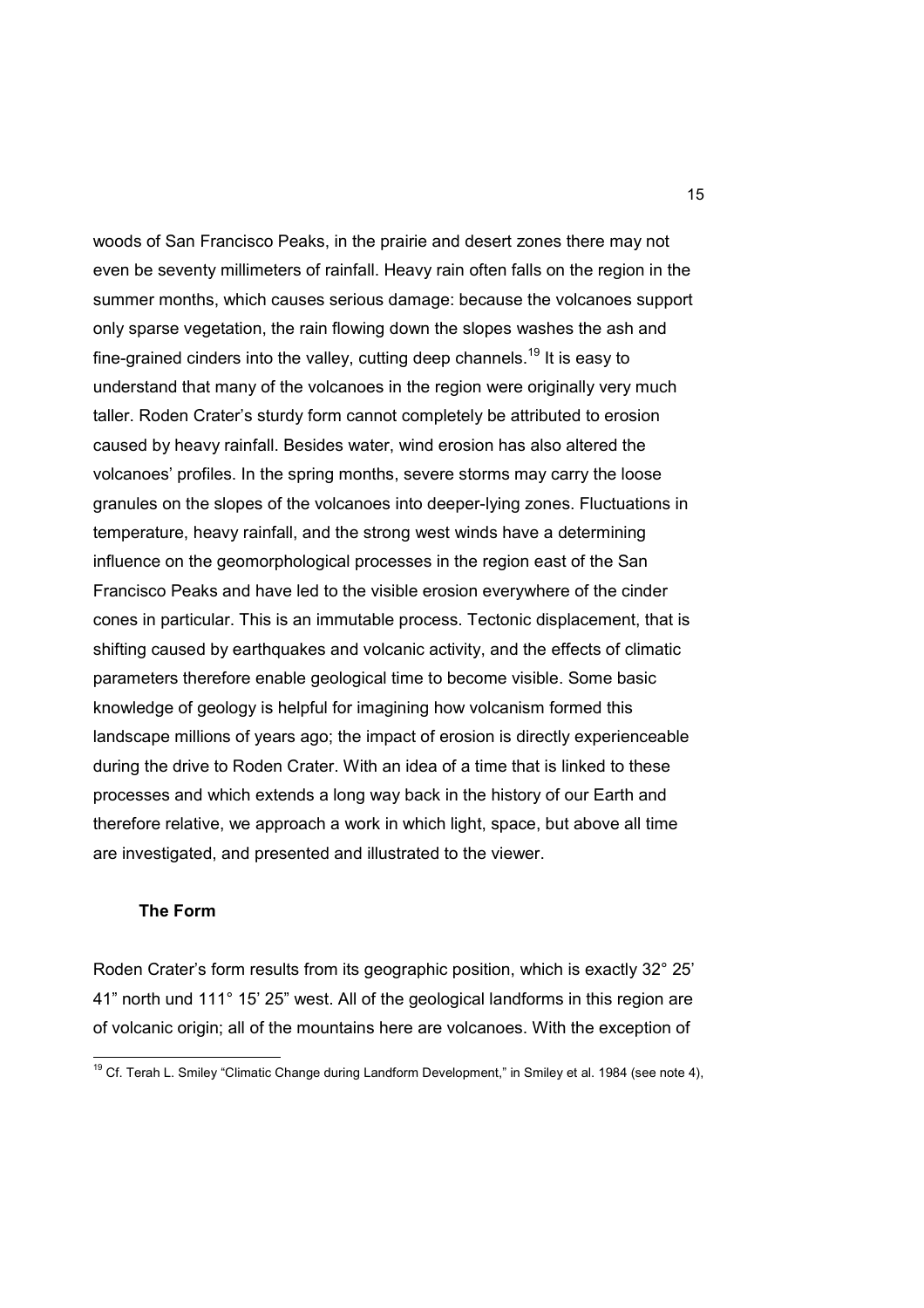woods of San Francisco Peaks, in the prairie and desert zones there may not even be seventy millimeters of rainfall. Heavy rain often falls on the region in the summer months, which causes serious damage: because the volcanoes support only sparse vegetation, the rain flowing down the slopes washes the ash and fine-grained cinders into the valley, cutting deep channels.<sup>19</sup> It is easy to understand that many of the volcanoes in the region were originally very much taller. Roden Crater's sturdy form cannot completely be attributed to erosion caused by heavy rainfall. Besides water, wind erosion has also altered the volcanoes' profiles. In the spring months, severe storms may carry the loose granules on the slopes of the volcanoes into deeper-lying zones. Fluctuations in temperature, heavy rainfall, and the strong west winds have a determining influence on the geomorphological processes in the region east of the San Francisco Peaks and have led to the visible erosion everywhere of the cinder cones in particular. This is an immutable process. Tectonic displacement, that is shifting caused by earthquakes and volcanic activity, and the effects of climatic parameters therefore enable geological time to become visible. Some basic knowledge of geology is helpful for imagining how volcanism formed this landscape millions of years ago; the impact of erosion is directly experienceable during the drive to Roden Crater. With an idea of a time that is linked to these processes and which extends a long way back in the history of our Earth and therefore relative, we approach a work in which light, space, but above all time are investigated, and presented and illustrated to the viewer.

# **The Form**

 $\overline{\phantom{a}}$ 

Roden Crater's form results from its geographic position, which is exactly 32° 25' 41" north und 111° 15' 25" west. All of the geological landforms in this region are of volcanic origin; all of the mountains here are volcanoes. With the exception of

<sup>&</sup>lt;sup>19</sup> Cf. Terah L. Smiley "Climatic Change during Landform Development," in Smiley et al. 1984 (see note 4),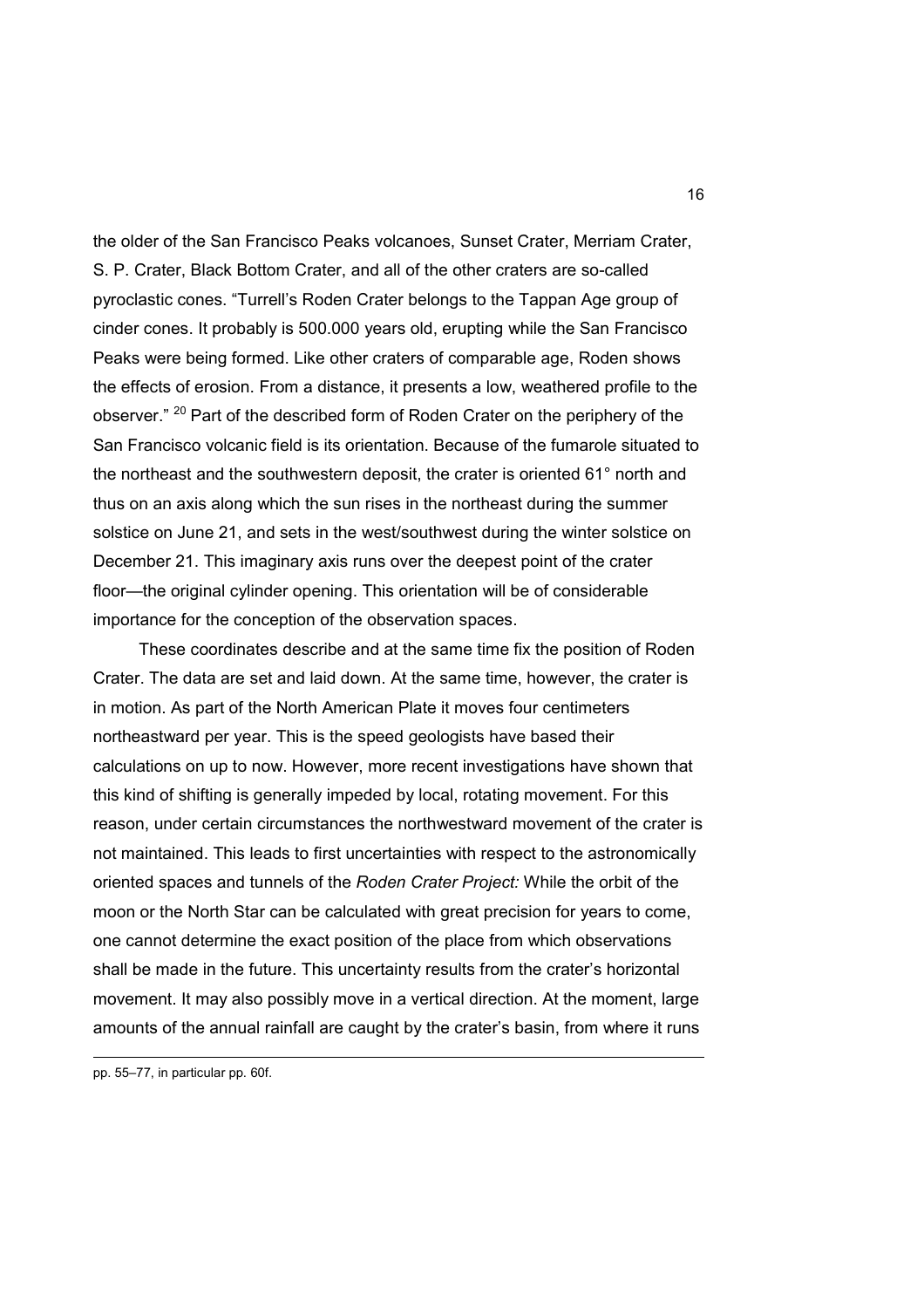the older of the San Francisco Peaks volcanoes, Sunset Crater, Merriam Crater, S. P. Crater, Black Bottom Crater, and all of the other craters are so-called pyroclastic cones. "Turrell's Roden Crater belongs to the Tappan Age group of cinder cones. It probably is 500.000 years old, erupting while the San Francisco Peaks were being formed. Like other craters of comparable age, Roden shows the effects of erosion. From a distance, it presents a low, weathered profile to the observer." <sup>20</sup> Part of the described form of Roden Crater on the periphery of the San Francisco volcanic field is its orientation. Because of the fumarole situated to the northeast and the southwestern deposit, the crater is oriented 61° north and thus on an axis along which the sun rises in the northeast during the summer solstice on June 21, and sets in the west/southwest during the winter solstice on December 21. This imaginary axis runs over the deepest point of the crater floor—the original cylinder opening. This orientation will be of considerable importance for the conception of the observation spaces.

 These coordinates describe and at the same time fix the position of Roden Crater. The data are set and laid down. At the same time, however, the crater is in motion. As part of the North American Plate it moves four centimeters northeastward per year. This is the speed geologists have based their calculations on up to now. However, more recent investigations have shown that this kind of shifting is generally impeded by local, rotating movement. For this reason, under certain circumstances the northwestward movement of the crater is not maintained. This leads to first uncertainties with respect to the astronomically oriented spaces and tunnels of the *Roden Crater Project:* While the orbit of the moon or the North Star can be calculated with great precision for years to come, one cannot determine the exact position of the place from which observations shall be made in the future. This uncertainty results from the crater's horizontal movement. It may also possibly move in a vertical direction. At the moment, large amounts of the annual rainfall are caught by the crater's basin, from where it runs

pp. 55–77, in particular pp. 60f.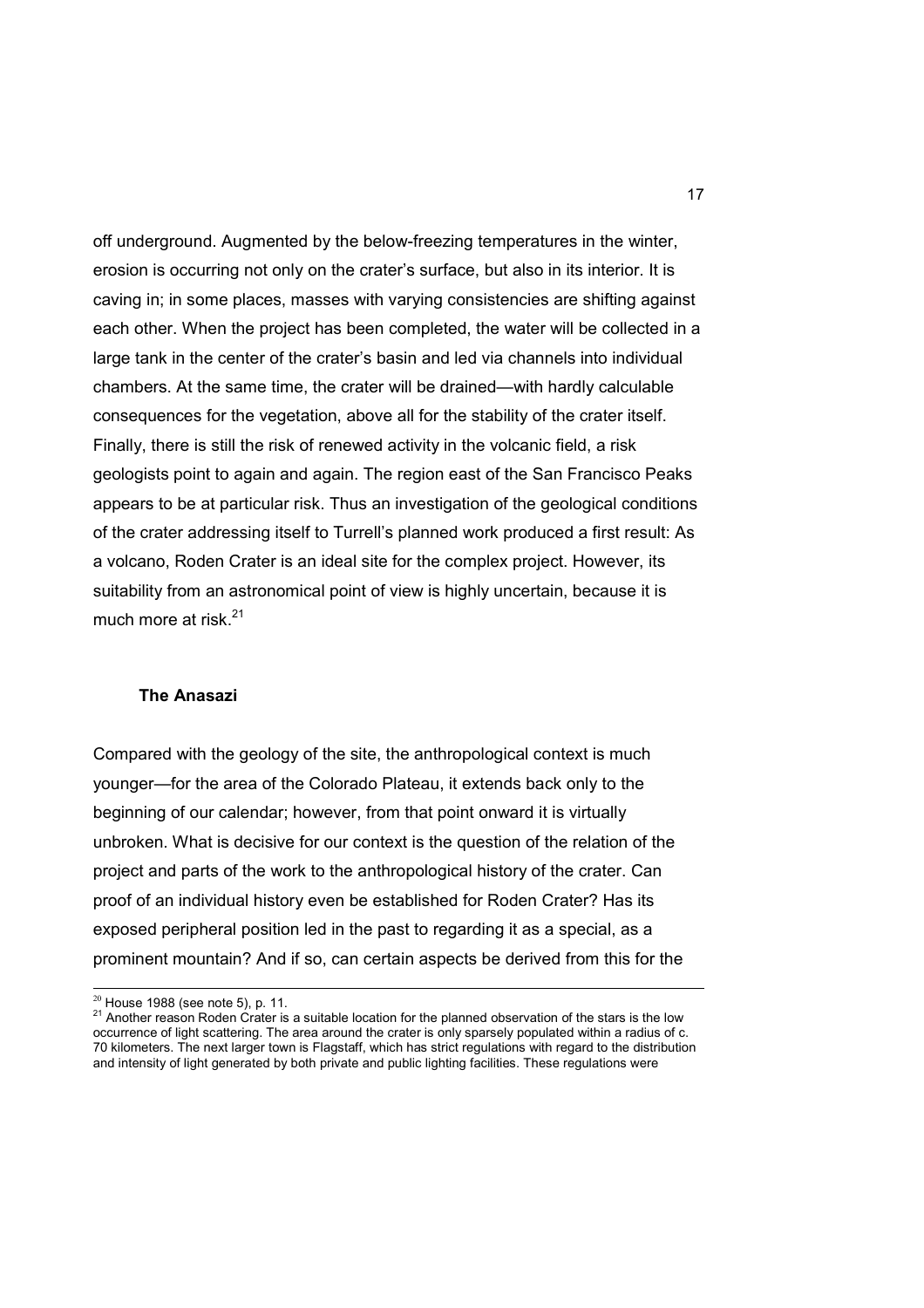off underground. Augmented by the below-freezing temperatures in the winter, erosion is occurring not only on the crater's surface, but also in its interior. It is caving in; in some places, masses with varying consistencies are shifting against each other. When the project has been completed, the water will be collected in a large tank in the center of the crater's basin and led via channels into individual chambers. At the same time, the crater will be drained—with hardly calculable consequences for the vegetation, above all for the stability of the crater itself. Finally, there is still the risk of renewed activity in the volcanic field, a risk geologists point to again and again. The region east of the San Francisco Peaks appears to be at particular risk. Thus an investigation of the geological conditions of the crater addressing itself to Turrell's planned work produced a first result: As a volcano, Roden Crater is an ideal site for the complex project. However, its suitability from an astronomical point of view is highly uncertain, because it is much more at risk. $21$ 

#### **The Anasazi**

Compared with the geology of the site, the anthropological context is much younger—for the area of the Colorado Plateau, it extends back only to the beginning of our calendar; however, from that point onward it is virtually unbroken. What is decisive for our context is the question of the relation of the project and parts of the work to the anthropological history of the crater. Can proof of an individual history even be established for Roden Crater? Has its exposed peripheral position led in the past to regarding it as a special, as a prominent mountain? And if so, can certain aspects be derived from this for the

 $\overline{a}$ 

 $20$  House 1988 (see note 5), p. 11.

<sup>&</sup>lt;sup>21</sup> Another reason Roden Crater is a suitable location for the planned observation of the stars is the low occurrence of light scattering. The area around the crater is only sparsely populated within a radius of c. 70 kilometers. The next larger town is Flagstaff, which has strict regulations with regard to the distribution and intensity of light generated by both private and public lighting facilities. These regulations were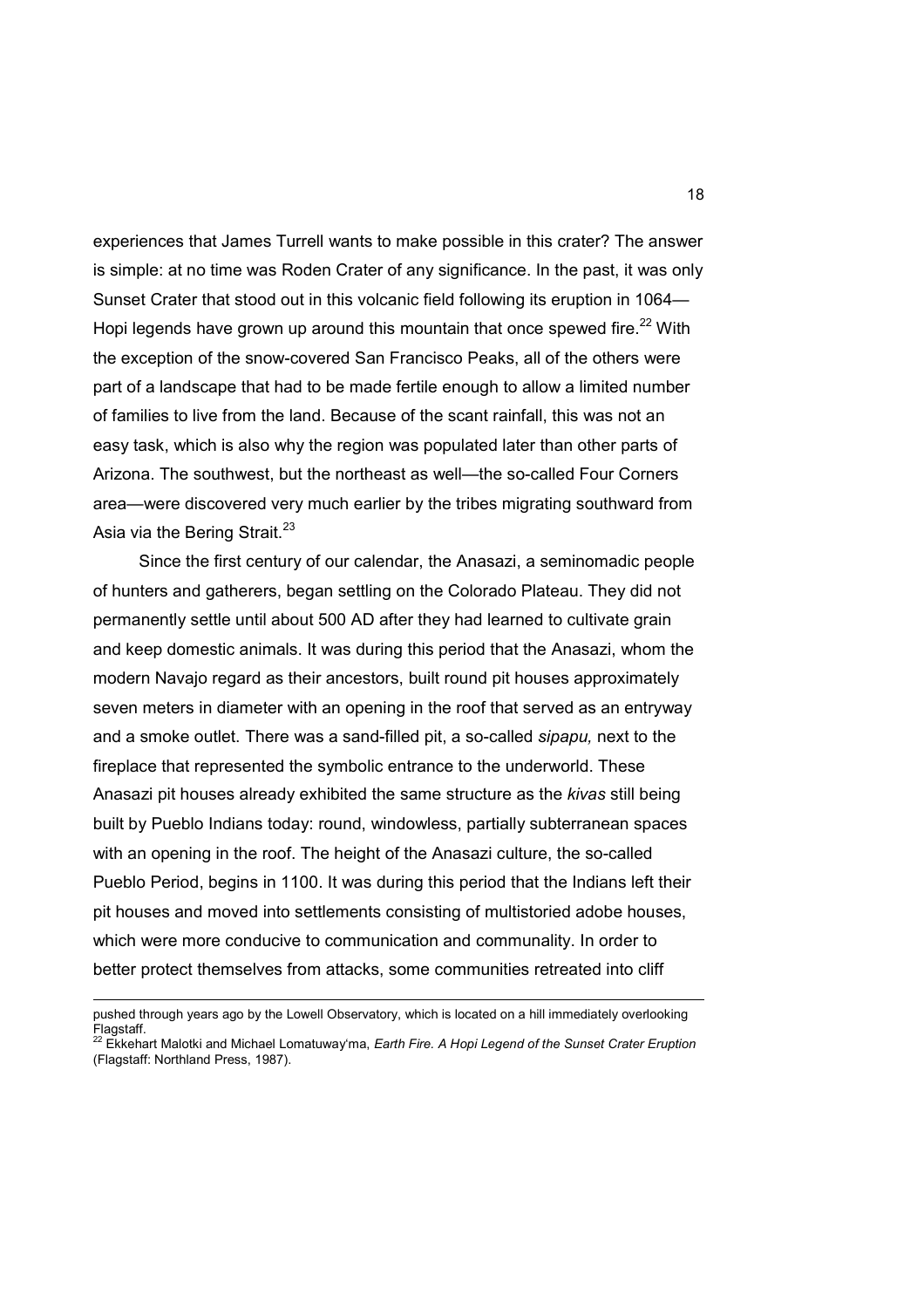experiences that James Turrell wants to make possible in this crater? The answer is simple: at no time was Roden Crater of any significance. In the past, it was only Sunset Crater that stood out in this volcanic field following its eruption in 1064— Hopi legends have grown up around this mountain that once spewed fire.<sup>22</sup> With the exception of the snow-covered San Francisco Peaks, all of the others were part of a landscape that had to be made fertile enough to allow a limited number of families to live from the land. Because of the scant rainfall, this was not an easy task, which is also why the region was populated later than other parts of Arizona. The southwest, but the northeast as well—the so-called Four Corners area—were discovered very much earlier by the tribes migrating southward from Asia via the Bering Strait.<sup>23</sup>

 Since the first century of our calendar, the Anasazi, a seminomadic people of hunters and gatherers, began settling on the Colorado Plateau. They did not permanently settle until about 500 AD after they had learned to cultivate grain and keep domestic animals. It was during this period that the Anasazi, whom the modern Navajo regard as their ancestors, built round pit houses approximately seven meters in diameter with an opening in the roof that served as an entryway and a smoke outlet. There was a sand-filled pit, a so-called *sipapu,* next to the fireplace that represented the symbolic entrance to the underworld. These Anasazi pit houses already exhibited the same structure as the *kivas* still being built by Pueblo Indians today: round, windowless, partially subterranean spaces with an opening in the roof. The height of the Anasazi culture, the so-called Pueblo Period, begins in 1100. It was during this period that the Indians left their pit houses and moved into settlements consisting of multistoried adobe houses, which were more conducive to communication and communality. In order to better protect themselves from attacks, some communities retreated into cliff

pushed through years ago by the Lowell Observatory, which is located on a hill immediately overlooking Flagstaff. <sup>22</sup> Ekkehart Malotki and Michael Lomatuway'ma, *Earth Fire. A Hopi Legend of the Sunset Crater Eruption*

<sup>(</sup>Flagstaff: Northland Press, 1987).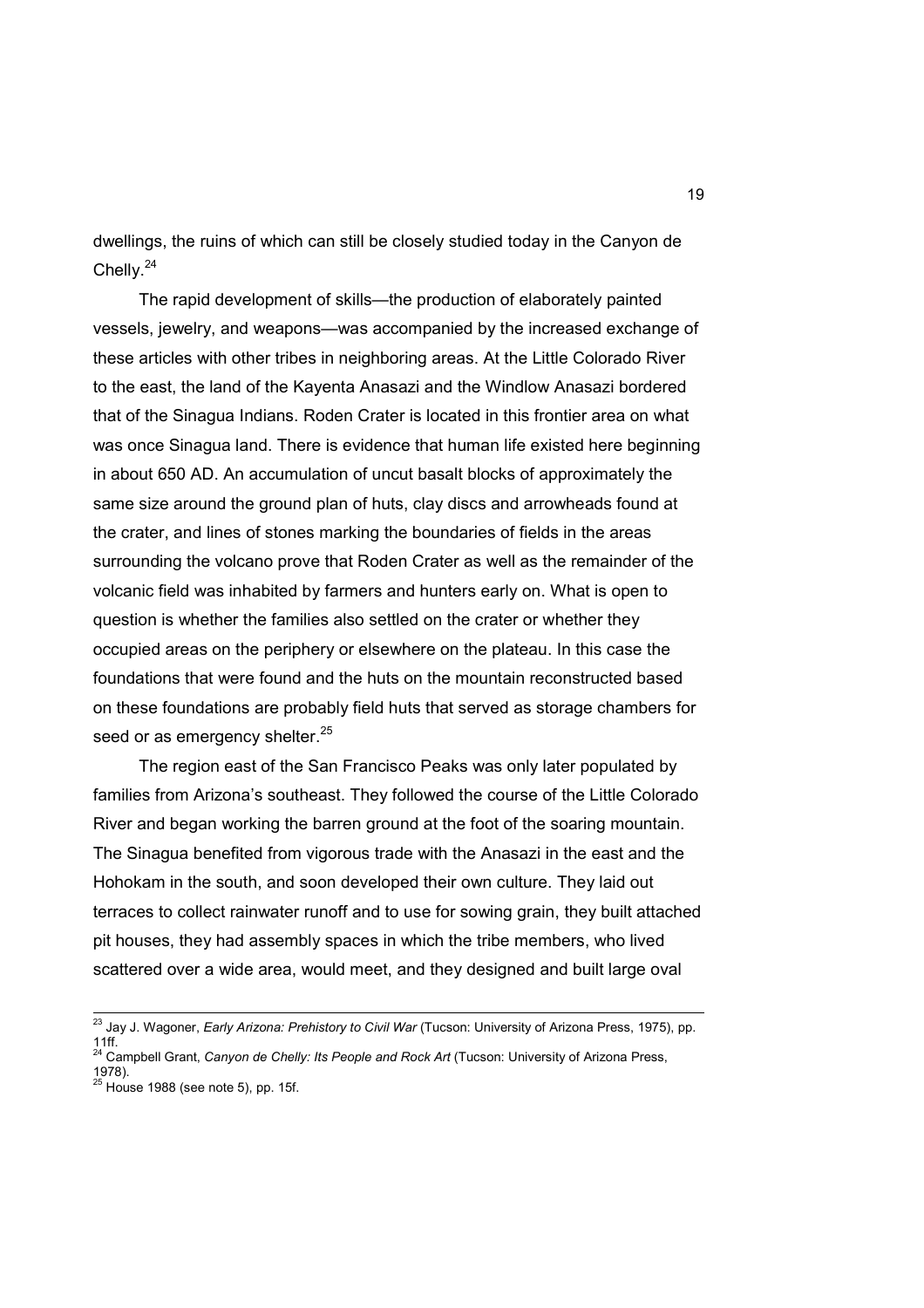dwellings, the ruins of which can still be closely studied today in the Canyon de Chelly.<sup>24</sup>

 The rapid development of skills—the production of elaborately painted vessels, jewelry, and weapons—was accompanied by the increased exchange of these articles with other tribes in neighboring areas. At the Little Colorado River to the east, the land of the Kayenta Anasazi and the Windlow Anasazi bordered that of the Sinagua Indians. Roden Crater is located in this frontier area on what was once Sinagua land. There is evidence that human life existed here beginning in about 650 AD. An accumulation of uncut basalt blocks of approximately the same size around the ground plan of huts, clay discs and arrowheads found at the crater, and lines of stones marking the boundaries of fields in the areas surrounding the volcano prove that Roden Crater as well as the remainder of the volcanic field was inhabited by farmers and hunters early on. What is open to question is whether the families also settled on the crater or whether they occupied areas on the periphery or elsewhere on the plateau. In this case the foundations that were found and the huts on the mountain reconstructed based on these foundations are probably field huts that served as storage chambers for seed or as emergency shelter.<sup>25</sup>

 The region east of the San Francisco Peaks was only later populated by families from Arizona's southeast. They followed the course of the Little Colorado River and began working the barren ground at the foot of the soaring mountain. The Sinagua benefited from vigorous trade with the Anasazi in the east and the Hohokam in the south, and soon developed their own culture. They laid out terraces to collect rainwater runoff and to use for sowing grain, they built attached pit houses, they had assembly spaces in which the tribe members, who lived scattered over a wide area, would meet, and they designed and built large oval

 $\overline{\phantom{a}}$ 

<sup>&</sup>lt;sup>23</sup> Jay J. Wagoner, *Early Arizona: Prehistory to Civil War* (Tucson: University of Arizona Press, 1975), pp. 11ff.<br><sup>24</sup> Campbell Grant, *Canyon de Chelly: Its People and Rock Art* (Tucson: University of Arizona Press,

<sup>1978).&</sup>lt;br><sup>25</sup> House 1988 (see note 5), pp. 15f.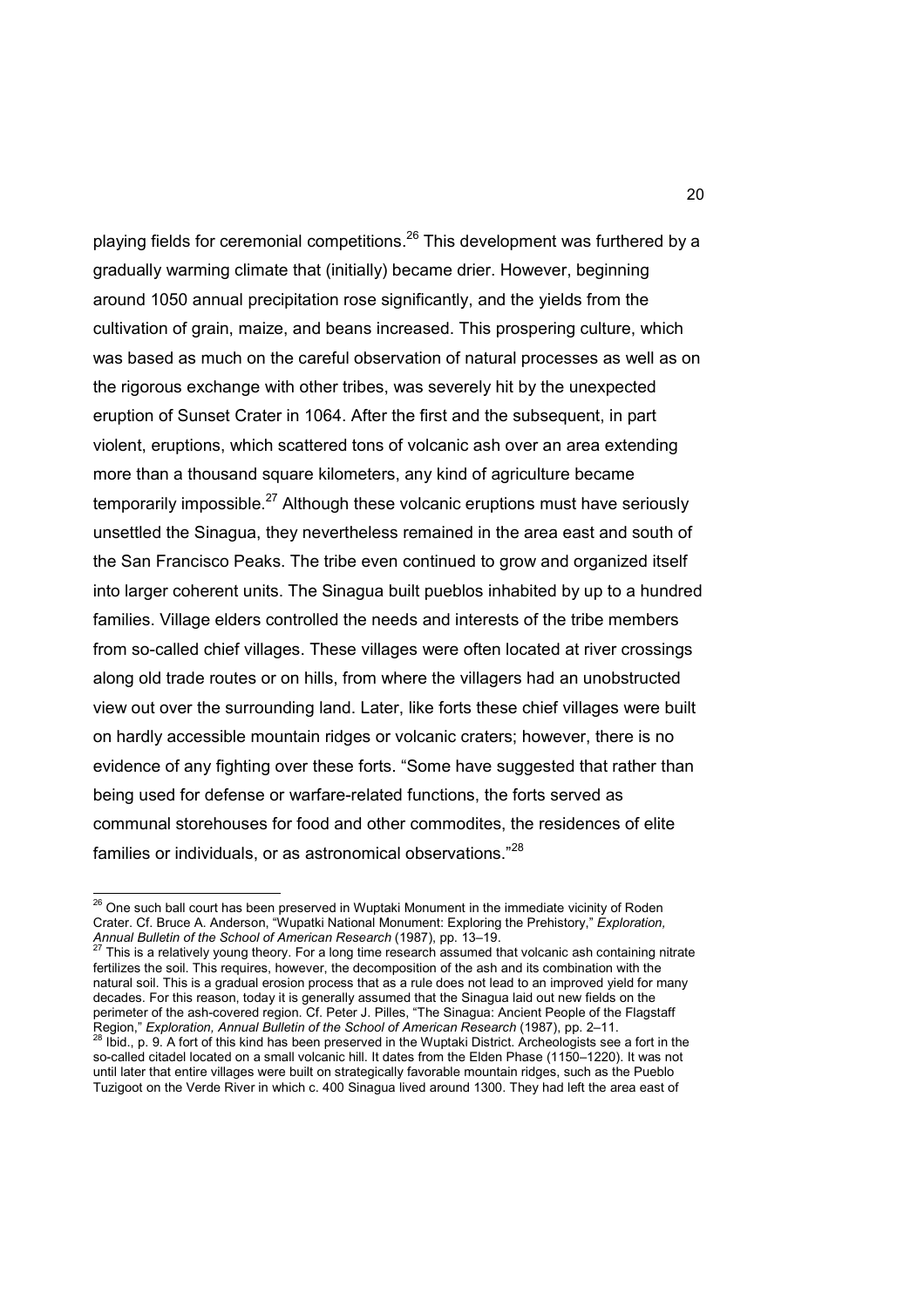playing fields for ceremonial competitions.<sup>26</sup> This development was furthered by a gradually warming climate that (initially) became drier. However, beginning around 1050 annual precipitation rose significantly, and the yields from the cultivation of grain, maize, and beans increased. This prospering culture, which was based as much on the careful observation of natural processes as well as on the rigorous exchange with other tribes, was severely hit by the unexpected eruption of Sunset Crater in 1064. After the first and the subsequent, in part violent, eruptions, which scattered tons of volcanic ash over an area extending more than a thousand square kilometers, any kind of agriculture became temporarily impossible.<sup>27</sup> Although these volcanic eruptions must have seriously unsettled the Sinagua, they nevertheless remained in the area east and south of the San Francisco Peaks. The tribe even continued to grow and organized itself into larger coherent units. The Sinagua built pueblos inhabited by up to a hundred families. Village elders controlled the needs and interests of the tribe members from so-called chief villages. These villages were often located at river crossings along old trade routes or on hills, from where the villagers had an unobstructed view out over the surrounding land. Later, like forts these chief villages were built on hardly accessible mountain ridges or volcanic craters; however, there is no evidence of any fighting over these forts. "Some have suggested that rather than being used for defense or warfare-related functions, the forts served as communal storehouses for food and other commodites, the residences of elite families or individuals, or as astronomical observations."<sup>28</sup>

*Annual Bulletin of the School of American Research* (1987), pp. 13–19. <sup>27</sup> This is a relatively young theory. For a long time research assumed that volcanic ash containing nitrate fertilizes the soil. This requires, however, the decomposition of the ash and its combination with the natural soil. This is a gradual erosion process that as a rule does not lead to an improved yield for many decades. For this reason, today it is generally assumed that the Sinagua laid out new fields on the perimeter of the ash-covered region. Cf. Peter J. Pilles, "The Sinagua: Ancient People of the Flagstaff Region," *Exploration, Annual Bulletin of the School of American Research* (1987), pp. 2–11.<br><sup>28</sup> Ibid., p. 9. A fort of this kind has been preserved in the Wuptaki District. Archeologists see a fort in the

 $\overline{a}$  $^{26}$  One such ball court has been preserved in Wuptaki Monument in the immediate vicinity of Roden Crater. Cf. Bruce A. Anderson, "Wupatki National Monument: Exploring the Prehistory," *Exploration,* 

so-called citadel located on a small volcanic hill. It dates from the Elden Phase (1150–1220). It was not until later that entire villages were built on strategically favorable mountain ridges, such as the Pueblo Tuzigoot on the Verde River in which c. 400 Sinagua lived around 1300. They had left the area east of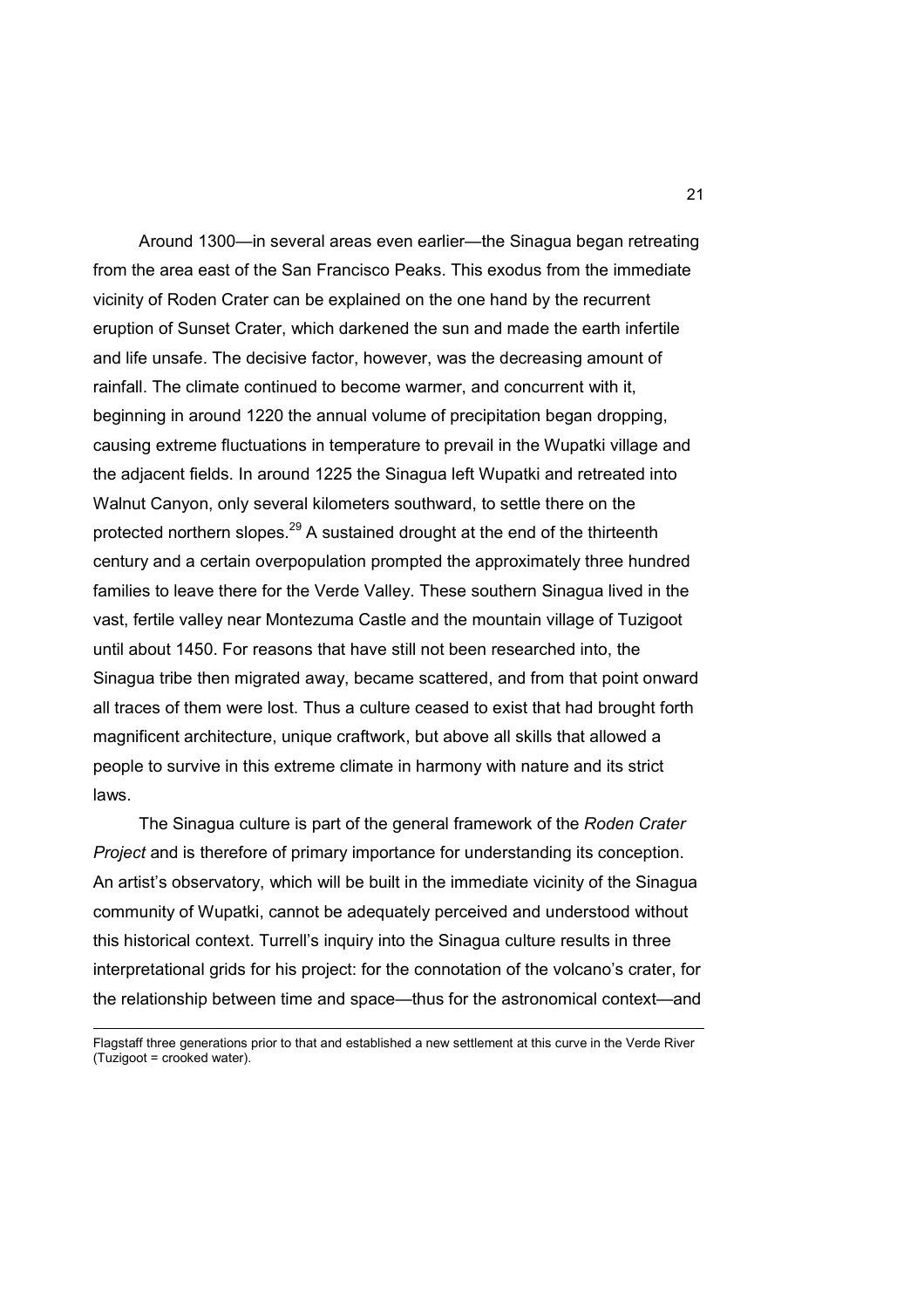Around 1300—in several areas even earlier—the Sinagua began retreating from the area east of the San Francisco Peaks. This exodus from the immediate vicinity of Roden Crater can be explained on the one hand by the recurrent eruption of Sunset Crater, which darkened the sun and made the earth infertile and life unsafe. The decisive factor, however, was the decreasing amount of rainfall. The climate continued to become warmer, and concurrent with it, beginning in around 1220 the annual volume of precipitation began dropping, causing extreme fluctuations in temperature to prevail in the Wupatki village and the adjacent fields. In around 1225 the Sinagua left Wupatki and retreated into Walnut Canyon, only several kilometers southward, to settle there on the protected northern slopes.<sup>29</sup> A sustained drought at the end of the thirteenth century and a certain overpopulation prompted the approximately three hundred families to leave there for the Verde Valley. These southern Sinagua lived in the vast, fertile valley near Montezuma Castle and the mountain village of Tuzigoot until about 1450. For reasons that have still not been researched into, the Sinagua tribe then migrated away, became scattered, and from that point onward all traces of them were lost. Thus a culture ceased to exist that had brought forth magnificent architecture, unique craftwork, but above all skills that allowed a people to survive in this extreme climate in harmony with nature and its strict laws.

 The Sinagua culture is part of the general framework of the *Roden Crater Project* and is therefore of primary importance for understanding its conception. An artist's observatory, which will be built in the immediate vicinity of the Sinagua community of Wupatki, cannot be adequately perceived and understood without this historical context. Turrell's inquiry into the Sinagua culture results in three interpretational grids for his project: for the connotation of the volcano's crater, for the relationship between time and space—thus for the astronomical context—and

 $\overline{a}$ 

Flagstaff three generations prior to that and established a new settlement at this curve in the Verde River (Tuzigoot = crooked water).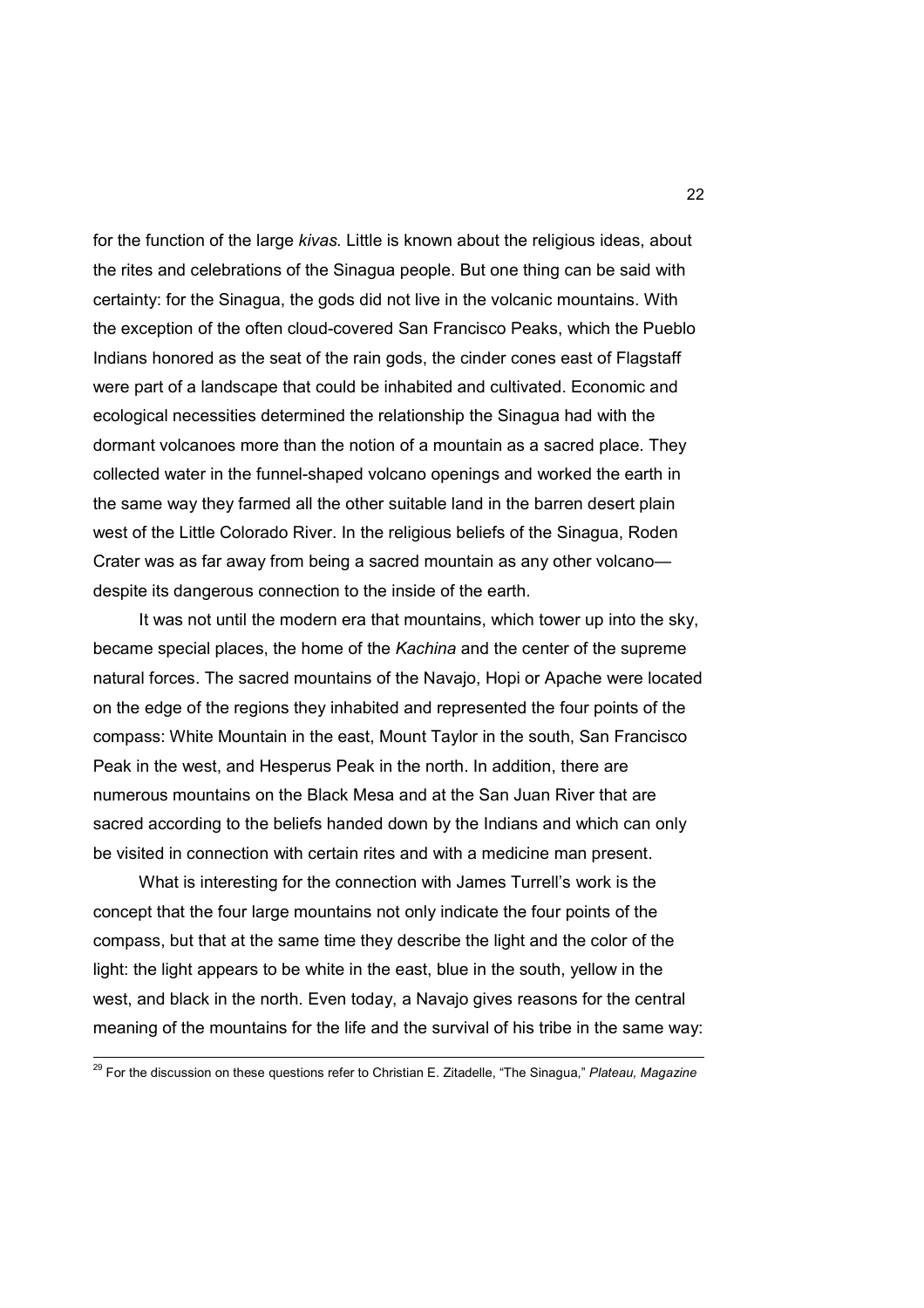for the function of the large *kivas.* Little is known about the religious ideas, about the rites and celebrations of the Sinagua people. But one thing can be said with certainty: for the Sinagua, the gods did not live in the volcanic mountains. With the exception of the often cloud-covered San Francisco Peaks, which the Pueblo Indians honored as the seat of the rain gods, the cinder cones east of Flagstaff were part of a landscape that could be inhabited and cultivated. Economic and ecological necessities determined the relationship the Sinagua had with the dormant volcanoes more than the notion of a mountain as a sacred place. They collected water in the funnel-shaped volcano openings and worked the earth in the same way they farmed all the other suitable land in the barren desert plain west of the Little Colorado River. In the religious beliefs of the Sinagua, Roden Crater was as far away from being a sacred mountain as any other volcano despite its dangerous connection to the inside of the earth.

 It was not until the modern era that mountains, which tower up into the sky, became special places, the home of the *Kachina* and the center of the supreme natural forces. The sacred mountains of the Navajo, Hopi or Apache were located on the edge of the regions they inhabited and represented the four points of the compass: White Mountain in the east, Mount Taylor in the south, San Francisco Peak in the west, and Hesperus Peak in the north. In addition, there are numerous mountains on the Black Mesa and at the San Juan River that are sacred according to the beliefs handed down by the Indians and which can only be visited in connection with certain rites and with a medicine man present.

 What is interesting for the connection with James Turrell's work is the concept that the four large mountains not only indicate the four points of the compass, but that at the same time they describe the light and the color of the light: the light appears to be white in the east, blue in the south, yellow in the west, and black in the north. Even today, a Navajo gives reasons for the central meaning of the mountains for the life and the survival of his tribe in the same way:

 $\overline{\phantom{a}}$ 

<sup>29</sup> For the discussion on these questions refer to Christian E. Zitadelle, "The Sinagua," *Plateau, Magazine*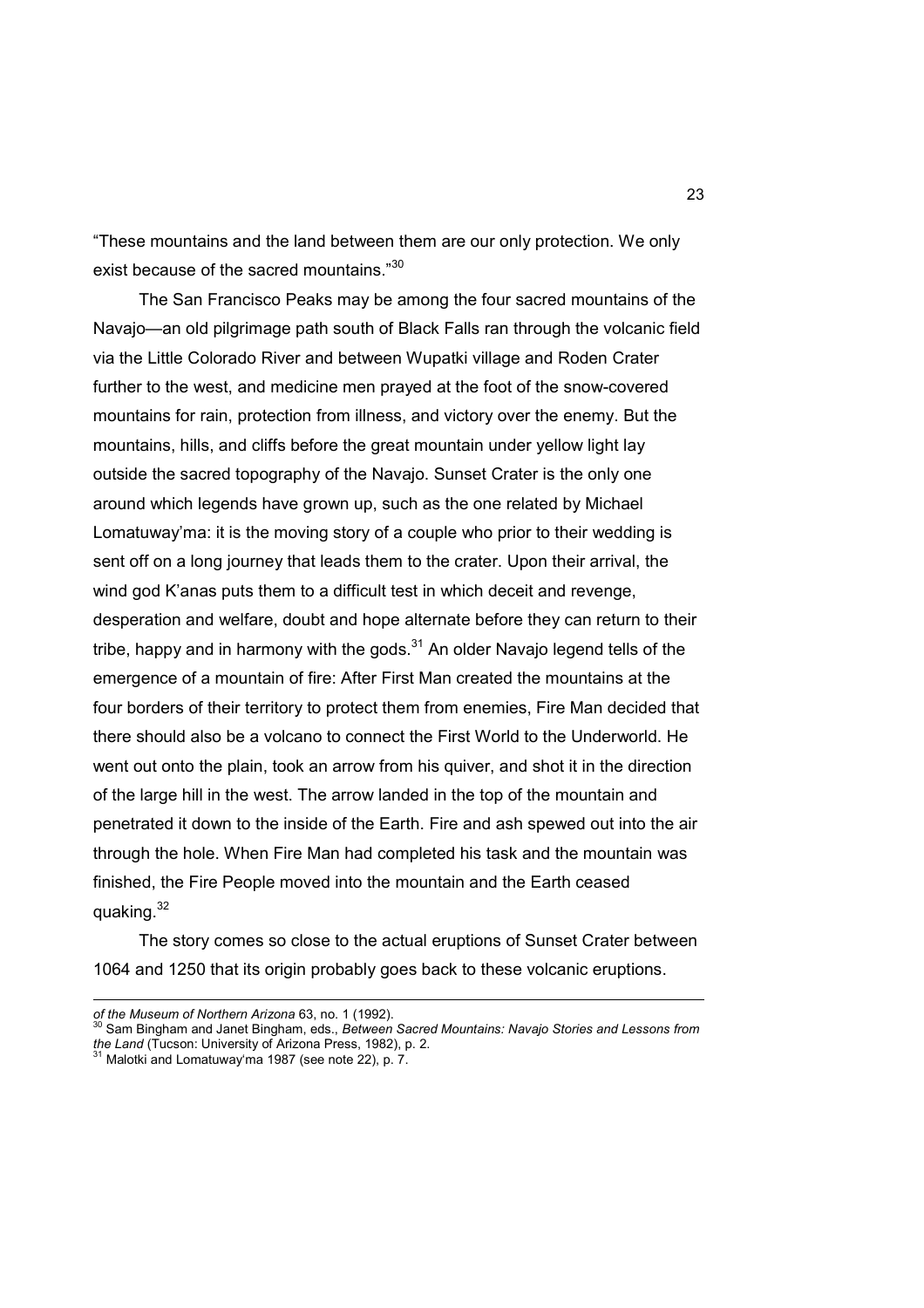"These mountains and the land between them are our only protection. We only exist because of the sacred mountains."<sup>30</sup>

 The San Francisco Peaks may be among the four sacred mountains of the Navajo—an old pilgrimage path south of Black Falls ran through the volcanic field via the Little Colorado River and between Wupatki village and Roden Crater further to the west, and medicine men prayed at the foot of the snow-covered mountains for rain, protection from illness, and victory over the enemy. But the mountains, hills, and cliffs before the great mountain under yellow light lay outside the sacred topography of the Navajo. Sunset Crater is the only one around which legends have grown up, such as the one related by Michael Lomatuway'ma: it is the moving story of a couple who prior to their wedding is sent off on a long journey that leads them to the crater. Upon their arrival, the wind god K'anas puts them to a difficult test in which deceit and revenge. desperation and welfare, doubt and hope alternate before they can return to their tribe, happy and in harmony with the gods. $31$  An older Navajo legend tells of the emergence of a mountain of fire: After First Man created the mountains at the four borders of their territory to protect them from enemies, Fire Man decided that there should also be a volcano to connect the First World to the Underworld. He went out onto the plain, took an arrow from his quiver, and shot it in the direction of the large hill in the west. The arrow landed in the top of the mountain and penetrated it down to the inside of the Earth. Fire and ash spewed out into the air through the hole. When Fire Man had completed his task and the mountain was finished, the Fire People moved into the mountain and the Earth ceased quaking.<sup>32</sup>

 The story comes so close to the actual eruptions of Sunset Crater between 1064 and 1250 that its origin probably goes back to these volcanic eruptions.

*of the Museum of Northern Arizona* 63, no. 1 (1992).

<sup>30</sup> Sam Bingham and Janet Bingham, eds., *Between Sacred Mountains: Navajo Stories and Lessons from the Land* (Tucson: University of Arizona Press, 1982), p. 2. <sup>31</sup> Malotki and Lomatuway'ma 1987 (see note 22), p. 7.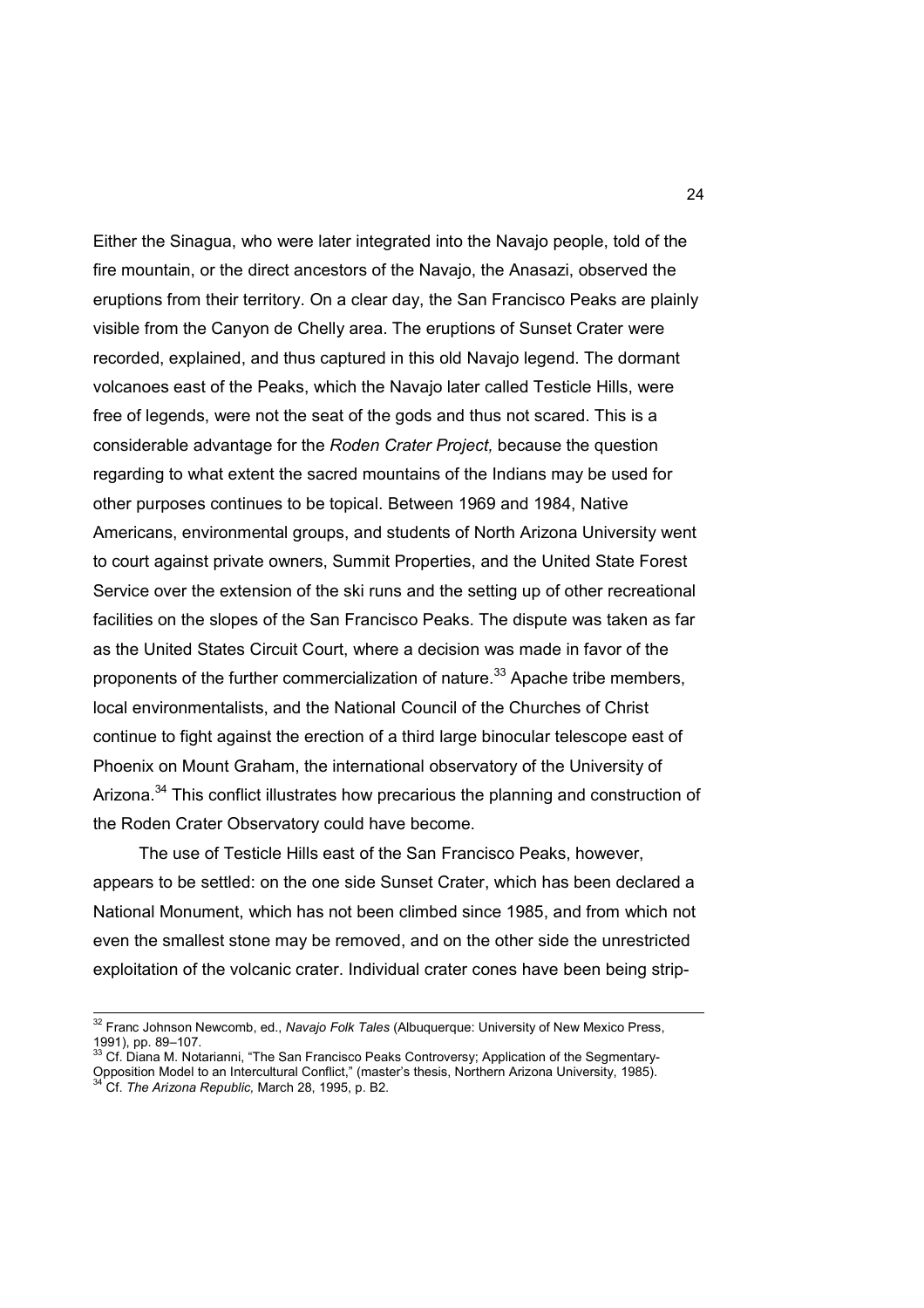Either the Sinagua, who were later integrated into the Navajo people, told of the fire mountain, or the direct ancestors of the Navajo, the Anasazi, observed the eruptions from their territory. On a clear day, the San Francisco Peaks are plainly visible from the Canyon de Chelly area. The eruptions of Sunset Crater were recorded, explained, and thus captured in this old Navajo legend. The dormant volcanoes east of the Peaks, which the Navajo later called Testicle Hills, were free of legends, were not the seat of the gods and thus not scared. This is a considerable advantage for the *Roden Crater Project,* because the question regarding to what extent the sacred mountains of the Indians may be used for other purposes continues to be topical. Between 1969 and 1984, Native Americans, environmental groups, and students of North Arizona University went to court against private owners, Summit Properties, and the United State Forest Service over the extension of the ski runs and the setting up of other recreational facilities on the slopes of the San Francisco Peaks. The dispute was taken as far as the United States Circuit Court, where a decision was made in favor of the proponents of the further commercialization of nature.<sup>33</sup> Apache tribe members, local environmentalists, and the National Council of the Churches of Christ continue to fight against the erection of a third large binocular telescope east of Phoenix on Mount Graham, the international observatory of the University of Arizona.<sup>34</sup> This conflict illustrates how precarious the planning and construction of the Roden Crater Observatory could have become.

 The use of Testicle Hills east of the San Francisco Peaks, however, appears to be settled: on the one side Sunset Crater, which has been declared a National Monument, which has not been climbed since 1985, and from which not even the smallest stone may be removed, and on the other side the unrestricted exploitation of the volcanic crater. Individual crater cones have been being strip-

 $\overline{\phantom{a}}$ 

<sup>32</sup> Franc Johnson Newcomb, ed., *Navajo Folk Tales* (Albuquerque: University of New Mexico Press, 1991), pp. 89–107.

Cf. Diana M. Notarianni, "The San Francisco Peaks Controversy; Application of the Segmentary-Opposition Model to an Intercultural Conflict," (master's thesis, Northern Arizona University, 1985). <sup>34</sup> Cf. *The Arizona Republic,* March 28, 1995, p. B2.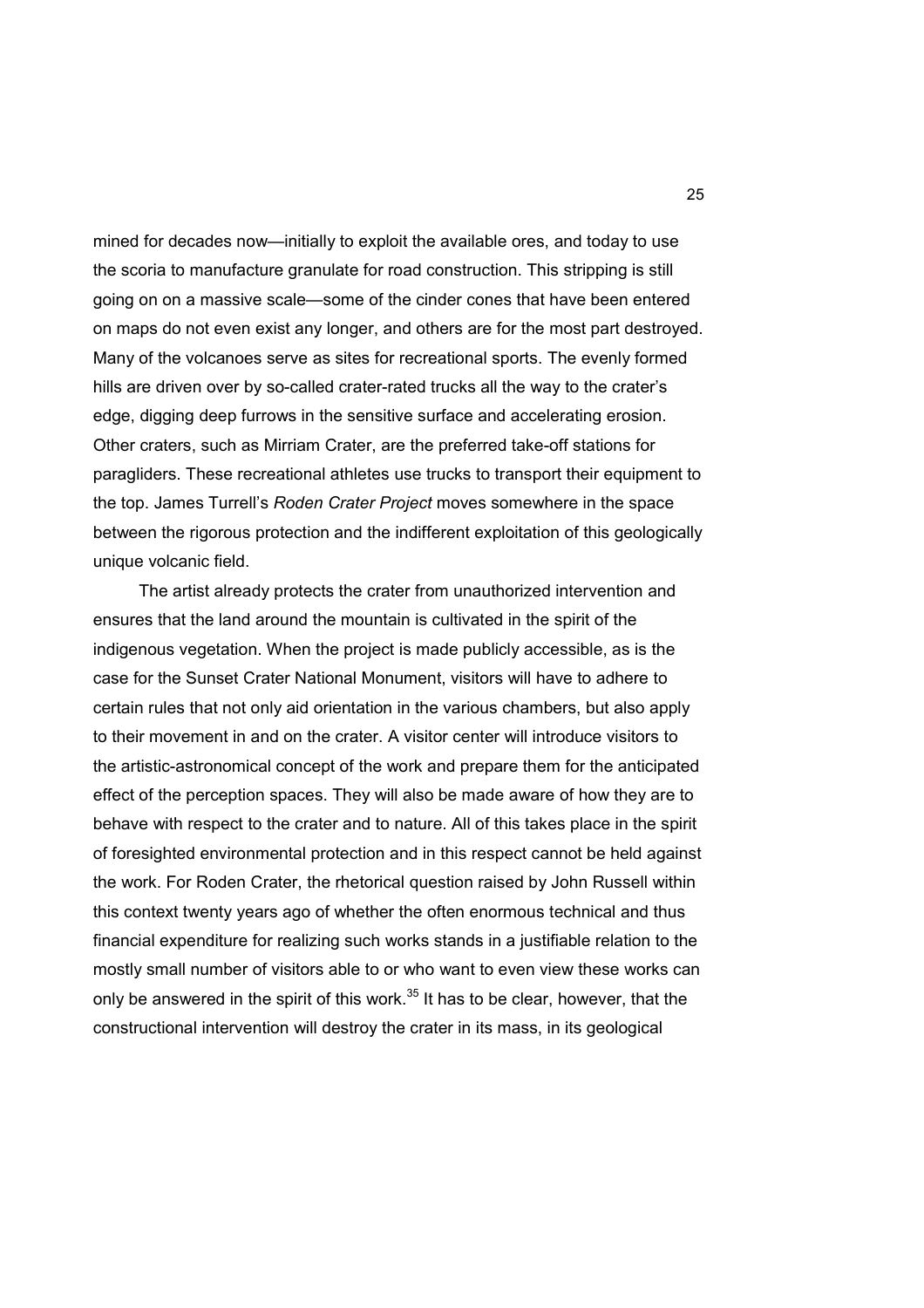mined for decades now—initially to exploit the available ores, and today to use the scoria to manufacture granulate for road construction. This stripping is still going on on a massive scale—some of the cinder cones that have been entered on maps do not even exist any longer, and others are for the most part destroyed. Many of the volcanoes serve as sites for recreational sports. The evenly formed hills are driven over by so-called crater-rated trucks all the way to the crater's edge, digging deep furrows in the sensitive surface and accelerating erosion. Other craters, such as Mirriam Crater, are the preferred take-off stations for paragliders. These recreational athletes use trucks to transport their equipment to the top. James Turrell's *Roden Crater Project* moves somewhere in the space between the rigorous protection and the indifferent exploitation of this geologically unique volcanic field.

 The artist already protects the crater from unauthorized intervention and ensures that the land around the mountain is cultivated in the spirit of the indigenous vegetation. When the project is made publicly accessible, as is the case for the Sunset Crater National Monument, visitors will have to adhere to certain rules that not only aid orientation in the various chambers, but also apply to their movement in and on the crater. A visitor center will introduce visitors to the artistic-astronomical concept of the work and prepare them for the anticipated effect of the perception spaces. They will also be made aware of how they are to behave with respect to the crater and to nature. All of this takes place in the spirit of foresighted environmental protection and in this respect cannot be held against the work. For Roden Crater, the rhetorical question raised by John Russell within this context twenty years ago of whether the often enormous technical and thus financial expenditure for realizing such works stands in a justifiable relation to the mostly small number of visitors able to or who want to even view these works can only be answered in the spirit of this work. $35$  It has to be clear, however, that the constructional intervention will destroy the crater in its mass, in its geological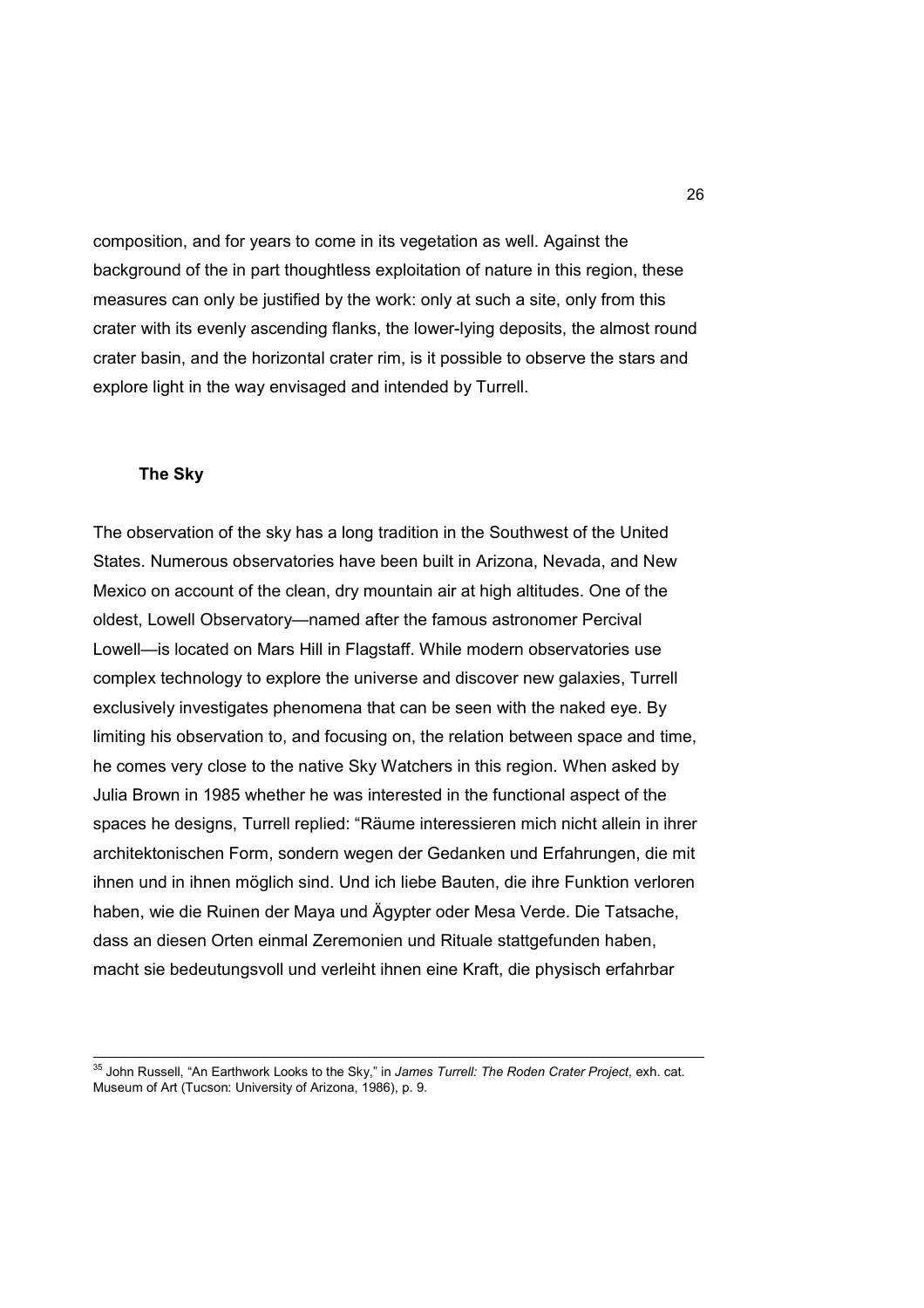composition, and for years to come in its vegetation as well. Against the background of the in part thoughtless exploitation of nature in this region, these measures can only be justified by the work: only at such a site, only from this crater with its evenly ascending flanks, the lower-lying deposits, the almost round crater basin, and the horizontal crater rim, is it possible to observe the stars and explore light in the way envisaged and intended by Turrell.

## **The Sky**

The observation of the sky has a long tradition in the Southwest of the United States. Numerous observatories have been built in Arizona, Nevada, and New Mexico on account of the clean, dry mountain air at high altitudes. One of the oldest, Lowell Observatory—named after the famous astronomer Percival Lowell—is located on Mars Hill in Flagstaff. While modern observatories use complex technology to explore the universe and discover new galaxies, Turrell exclusively investigates phenomena that can be seen with the naked eye. By limiting his observation to, and focusing on, the relation between space and time, he comes very close to the native Sky Watchers in this region. When asked by Julia Brown in 1985 whether he was interested in the functional aspect of the spaces he designs, Turrell replied: "Räume interessieren mich nicht allein in ihrer architektonischen Form, sondern wegen der Gedanken und Erfahrungen, die mit ihnen und in ihnen möglich sind. Und ich liebe Bauten, die ihre Funktion verloren haben, wie die Ruinen der Maya und Ägypter oder Mesa Verde. Die Tatsache, dass an diesen Orten einmal Zeremonien und Rituale stattgefunden haben, macht sie bedeutungsvoll und verleiht ihnen eine Kraft, die physisch erfahrbar

<sup>35</sup> John Russell, "An Earthwork Looks to the Sky," in *James Turrell: The Roden Crater Project,* exh. cat. Museum of Art (Tucson: University of Arizona, 1986), p. 9.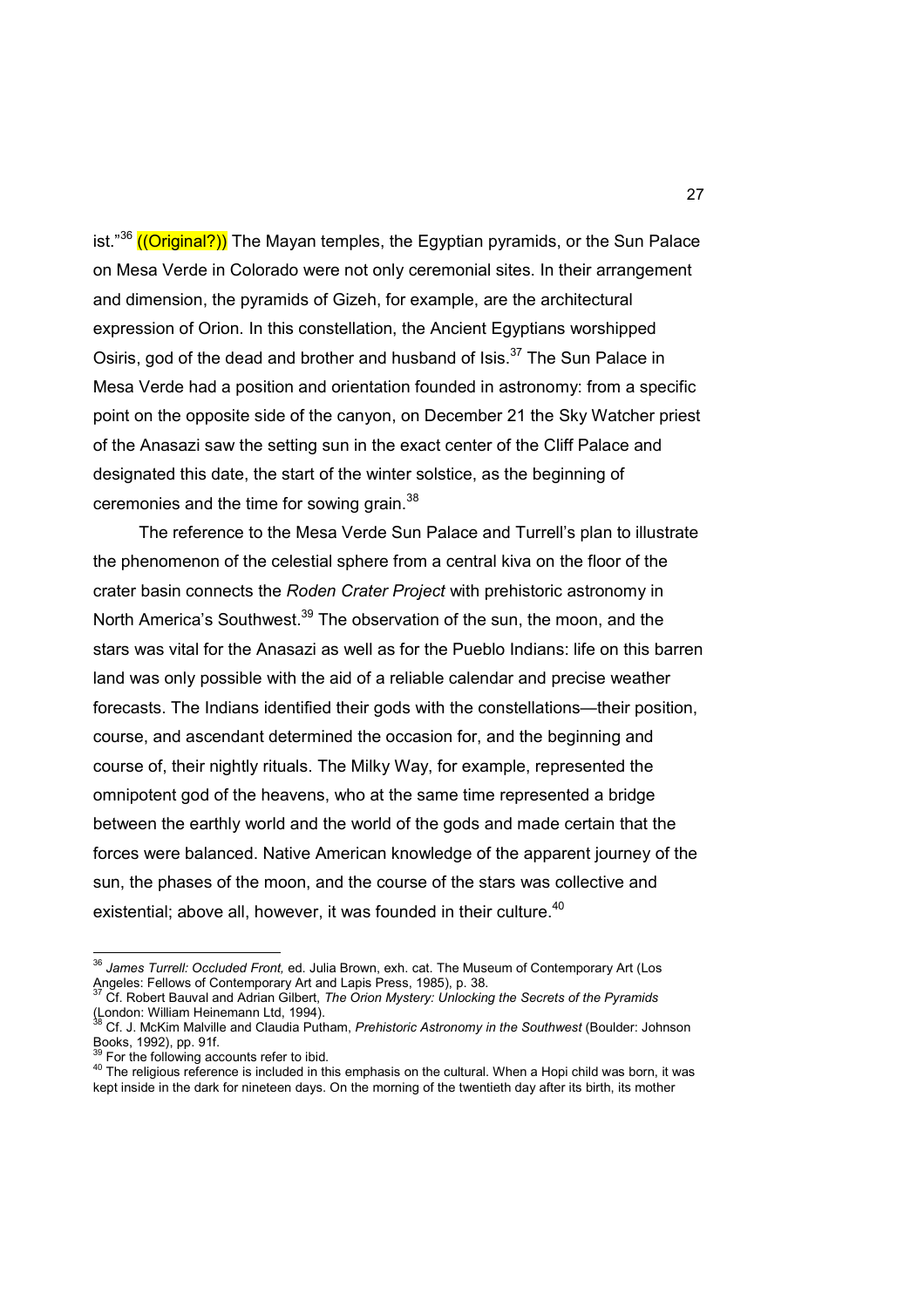ist." $36$  ((Original?)) The Mayan temples, the Egyptian pyramids, or the Sun Palace on Mesa Verde in Colorado were not only ceremonial sites. In their arrangement and dimension, the pyramids of Gizeh, for example, are the architectural expression of Orion. In this constellation, the Ancient Egyptians worshipped Osiris, god of the dead and brother and husband of Isis.<sup>37</sup> The Sun Palace in Mesa Verde had a position and orientation founded in astronomy: from a specific point on the opposite side of the canyon, on December 21 the Sky Watcher priest of the Anasazi saw the setting sun in the exact center of the Cliff Palace and designated this date, the start of the winter solstice, as the beginning of ceremonies and the time for sowing grain.<sup>38</sup>

 The reference to the Mesa Verde Sun Palace and Turrell's plan to illustrate the phenomenon of the celestial sphere from a central kiva on the floor of the crater basin connects the *Roden Crater Project* with prehistoric astronomy in North America's Southwest.<sup>39</sup> The observation of the sun, the moon, and the stars was vital for the Anasazi as well as for the Pueblo Indians: life on this barren land was only possible with the aid of a reliable calendar and precise weather forecasts. The Indians identified their gods with the constellations—their position, course, and ascendant determined the occasion for, and the beginning and course of, their nightly rituals. The Milky Way, for example, represented the omnipotent god of the heavens, who at the same time represented a bridge between the earthly world and the world of the gods and made certain that the forces were balanced. Native American knowledge of the apparent journey of the sun, the phases of the moon, and the course of the stars was collective and existential; above all, however, it was founded in their culture. $^{40}$ 

For the following accounts refer to ibid.

<sup>&</sup>lt;sup>36</sup> Ja*mes Turrell: Occluded Front,* ed. Julia Brown, exh. cat. The Museum of Contemporary Art (Los Angeles: Fellows of Contemporary Art and Lapis Press, 1985), p. 38. <sup>37</sup> Cf. Robert Bauval and Adrian Gilbert, *The Orion Mystery: Unlocking the Secrets of the Pyramids*

<sup>(</sup>London: William Heinemann Ltd, 1994).

<sup>38</sup> Cf. J. McKim Malville and Claudia Putham, *Prehistoric Astronomy in the Southwest* (Boulder: Johnson Books, 1992), pp. 91f.

<sup>&</sup>lt;sup>40</sup> The religious reference is included in this emphasis on the cultural. When a Hopi child was born, it was kept inside in the dark for nineteen days. On the morning of the twentieth day after its birth, its mother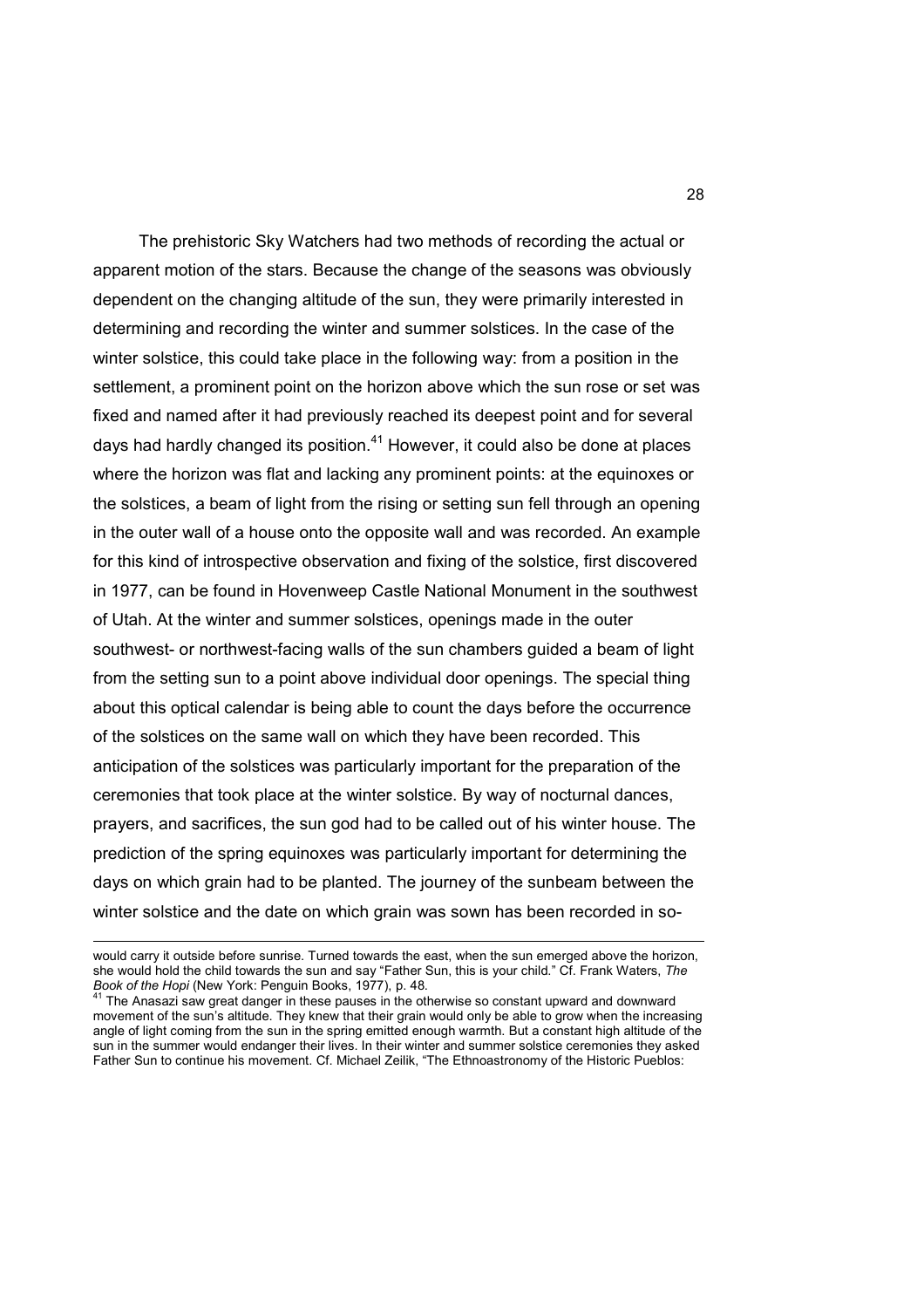The prehistoric Sky Watchers had two methods of recording the actual or apparent motion of the stars. Because the change of the seasons was obviously dependent on the changing altitude of the sun, they were primarily interested in determining and recording the winter and summer solstices. In the case of the winter solstice, this could take place in the following way: from a position in the settlement, a prominent point on the horizon above which the sun rose or set was fixed and named after it had previously reached its deepest point and for several days had hardly changed its position.<sup>41</sup> However, it could also be done at places where the horizon was flat and lacking any prominent points: at the equinoxes or the solstices, a beam of light from the rising or setting sun fell through an opening in the outer wall of a house onto the opposite wall and was recorded. An example for this kind of introspective observation and fixing of the solstice, first discovered in 1977, can be found in Hovenweep Castle National Monument in the southwest of Utah. At the winter and summer solstices, openings made in the outer southwest- or northwest-facing walls of the sun chambers guided a beam of light from the setting sun to a point above individual door openings. The special thing about this optical calendar is being able to count the days before the occurrence of the solstices on the same wall on which they have been recorded. This anticipation of the solstices was particularly important for the preparation of the ceremonies that took place at the winter solstice. By way of nocturnal dances, prayers, and sacrifices, the sun god had to be called out of his winter house. The prediction of the spring equinoxes was particularly important for determining the days on which grain had to be planted. The journey of the sunbeam between the winter solstice and the date on which grain was sown has been recorded in so-

 $\overline{a}$ 

would carry it outside before sunrise. Turned towards the east, when the sun emerged above the horizon, she would hold the child towards the sun and say "Father Sun, this is your child." Cf. Frank Waters, *The Book of the Hopi* (New York: Penguin Books, 1977), p. 48.

<sup>&</sup>lt;sup>41</sup> The Anasazi saw great danger in these pauses in the otherwise so constant upward and downward movement of the sun's altitude. They knew that their grain would only be able to grow when the increasing angle of light coming from the sun in the spring emitted enough warmth. But a constant high altitude of the sun in the summer would endanger their lives. In their winter and summer solstice ceremonies they asked Father Sun to continue his movement. Cf. Michael Zeilik, "The Ethnoastronomy of the Historic Pueblos: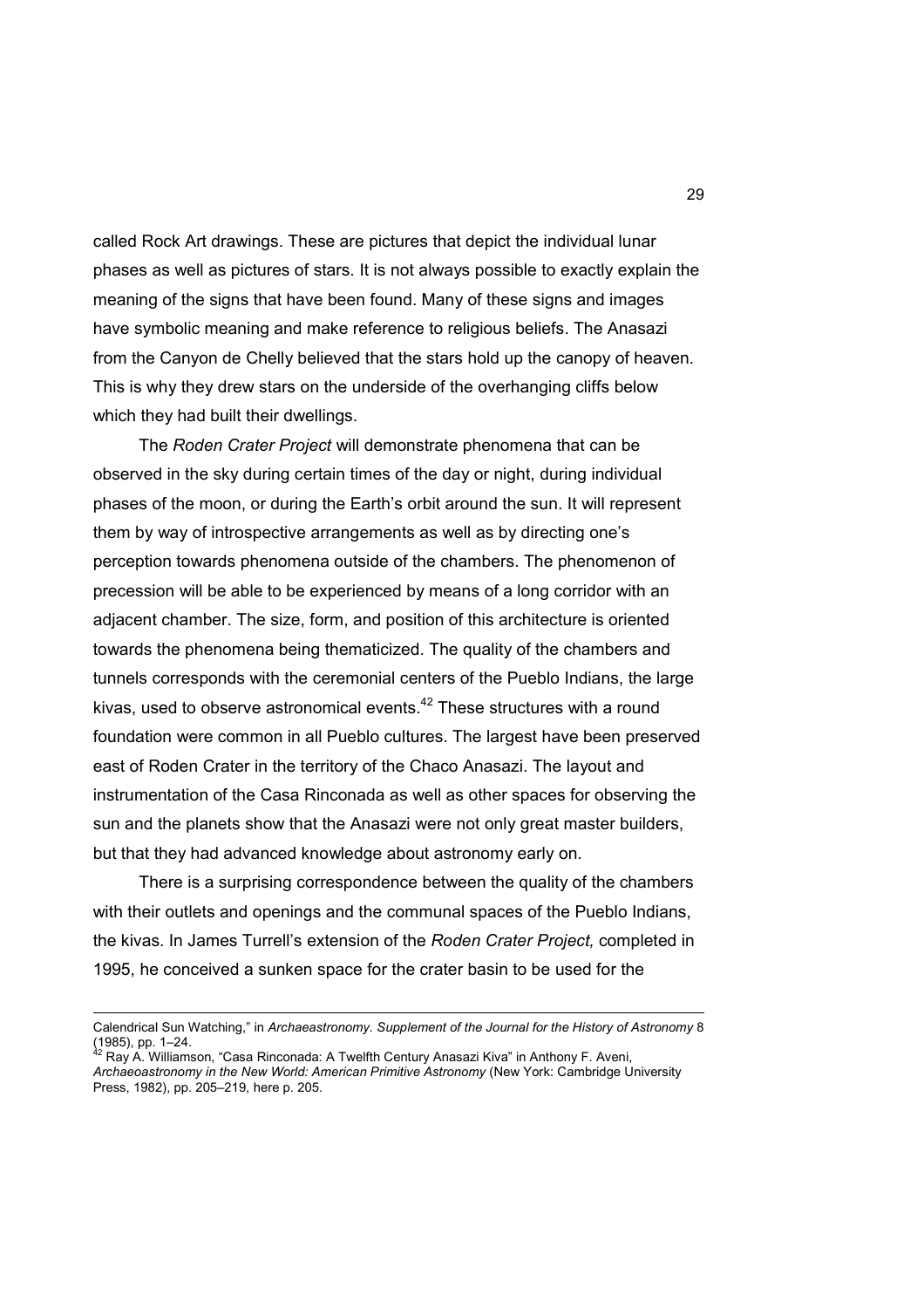called Rock Art drawings. These are pictures that depict the individual lunar phases as well as pictures of stars. It is not always possible to exactly explain the meaning of the signs that have been found. Many of these signs and images have symbolic meaning and make reference to religious beliefs. The Anasazi from the Canyon de Chelly believed that the stars hold up the canopy of heaven. This is why they drew stars on the underside of the overhanging cliffs below which they had built their dwellings.

 The *Roden Crater Project* will demonstrate phenomena that can be observed in the sky during certain times of the day or night, during individual phases of the moon, or during the Earth's orbit around the sun. It will represent them by way of introspective arrangements as well as by directing one's perception towards phenomena outside of the chambers. The phenomenon of precession will be able to be experienced by means of a long corridor with an adjacent chamber. The size, form, and position of this architecture is oriented towards the phenomena being thematicized. The quality of the chambers and tunnels corresponds with the ceremonial centers of the Pueblo Indians, the large kivas, used to observe astronomical events. $42$  These structures with a round foundation were common in all Pueblo cultures. The largest have been preserved east of Roden Crater in the territory of the Chaco Anasazi. The layout and instrumentation of the Casa Rinconada as well as other spaces for observing the sun and the planets show that the Anasazi were not only great master builders, but that they had advanced knowledge about astronomy early on.

 There is a surprising correspondence between the quality of the chambers with their outlets and openings and the communal spaces of the Pueblo Indians, the kivas. In James Turrell's extension of the *Roden Crater Project,* completed in 1995, he conceived a sunken space for the crater basin to be used for the

Calendrical Sun Watching," in *Archaeastronomy. Supplement of the Journal for the History of Astronomy* 8  $(1985)$ , pp. 1–24.

<sup>42</sup> Ray A. Williamson, "Casa Rinconada: A Twelfth Century Anasazi Kiva" in Anthony F. Aveni, *Archaeoastronomy in the New World: American Primitive Astronomy* (New York: Cambridge University Press, 1982), pp. 205–219, here p. 205.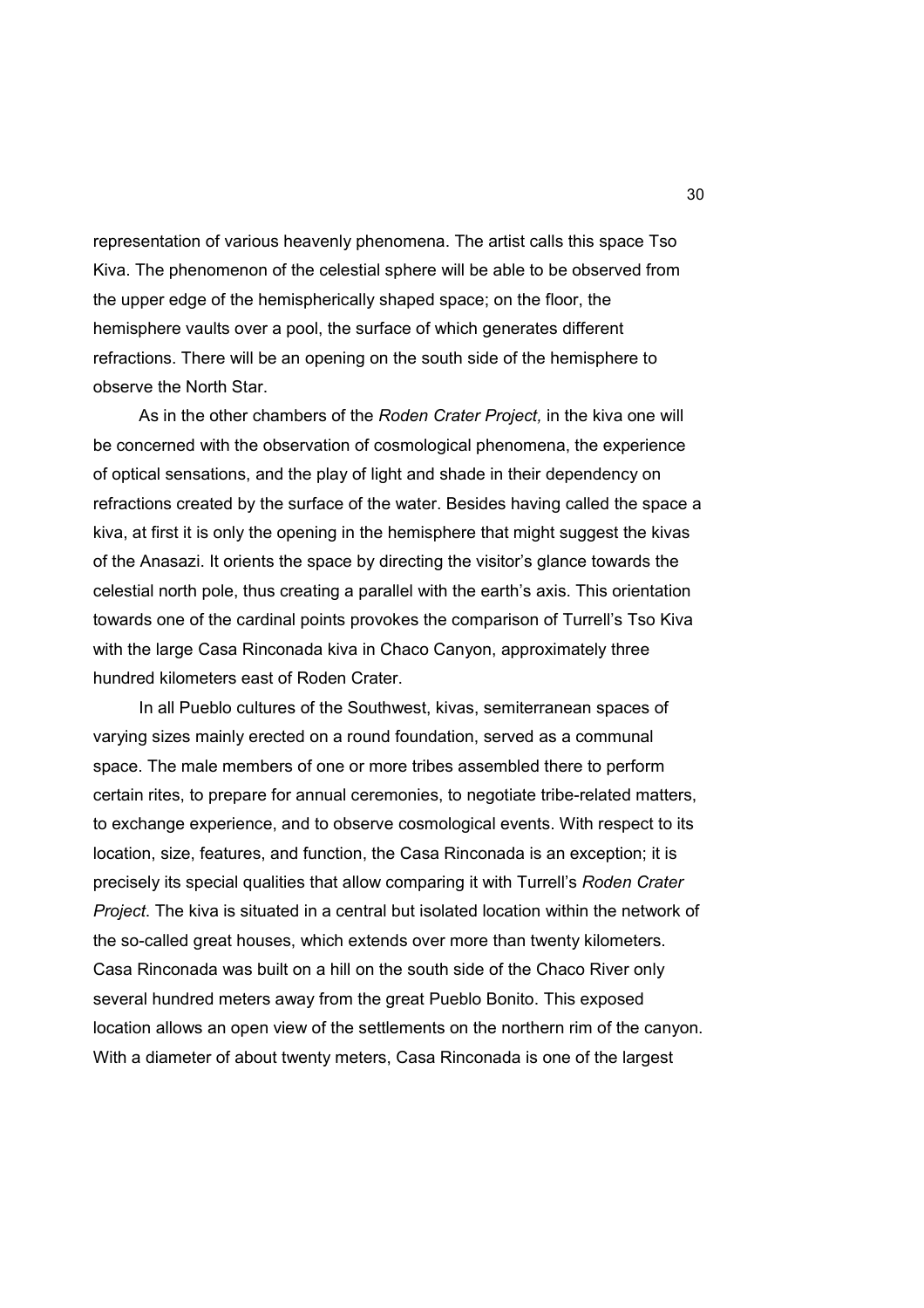representation of various heavenly phenomena. The artist calls this space Tso Kiva. The phenomenon of the celestial sphere will be able to be observed from the upper edge of the hemispherically shaped space; on the floor, the hemisphere vaults over a pool, the surface of which generates different refractions. There will be an opening on the south side of the hemisphere to observe the North Star.

 As in the other chambers of the *Roden Crater Project,* in the kiva one will be concerned with the observation of cosmological phenomena, the experience of optical sensations, and the play of light and shade in their dependency on refractions created by the surface of the water. Besides having called the space a kiva, at first it is only the opening in the hemisphere that might suggest the kivas of the Anasazi. It orients the space by directing the visitor's glance towards the celestial north pole, thus creating a parallel with the earth's axis. This orientation towards one of the cardinal points provokes the comparison of Turrell's Tso Kiva with the large Casa Rinconada kiva in Chaco Canyon, approximately three hundred kilometers east of Roden Crater.

 In all Pueblo cultures of the Southwest, kivas, semiterranean spaces of varying sizes mainly erected on a round foundation, served as a communal space. The male members of one or more tribes assembled there to perform certain rites, to prepare for annual ceremonies, to negotiate tribe-related matters, to exchange experience, and to observe cosmological events. With respect to its location, size, features, and function, the Casa Rinconada is an exception; it is precisely its special qualities that allow comparing it with Turrell's *Roden Crater Project*. The kiva is situated in a central but isolated location within the network of the so-called great houses, which extends over more than twenty kilometers. Casa Rinconada was built on a hill on the south side of the Chaco River only several hundred meters away from the great Pueblo Bonito. This exposed location allows an open view of the settlements on the northern rim of the canyon. With a diameter of about twenty meters, Casa Rinconada is one of the largest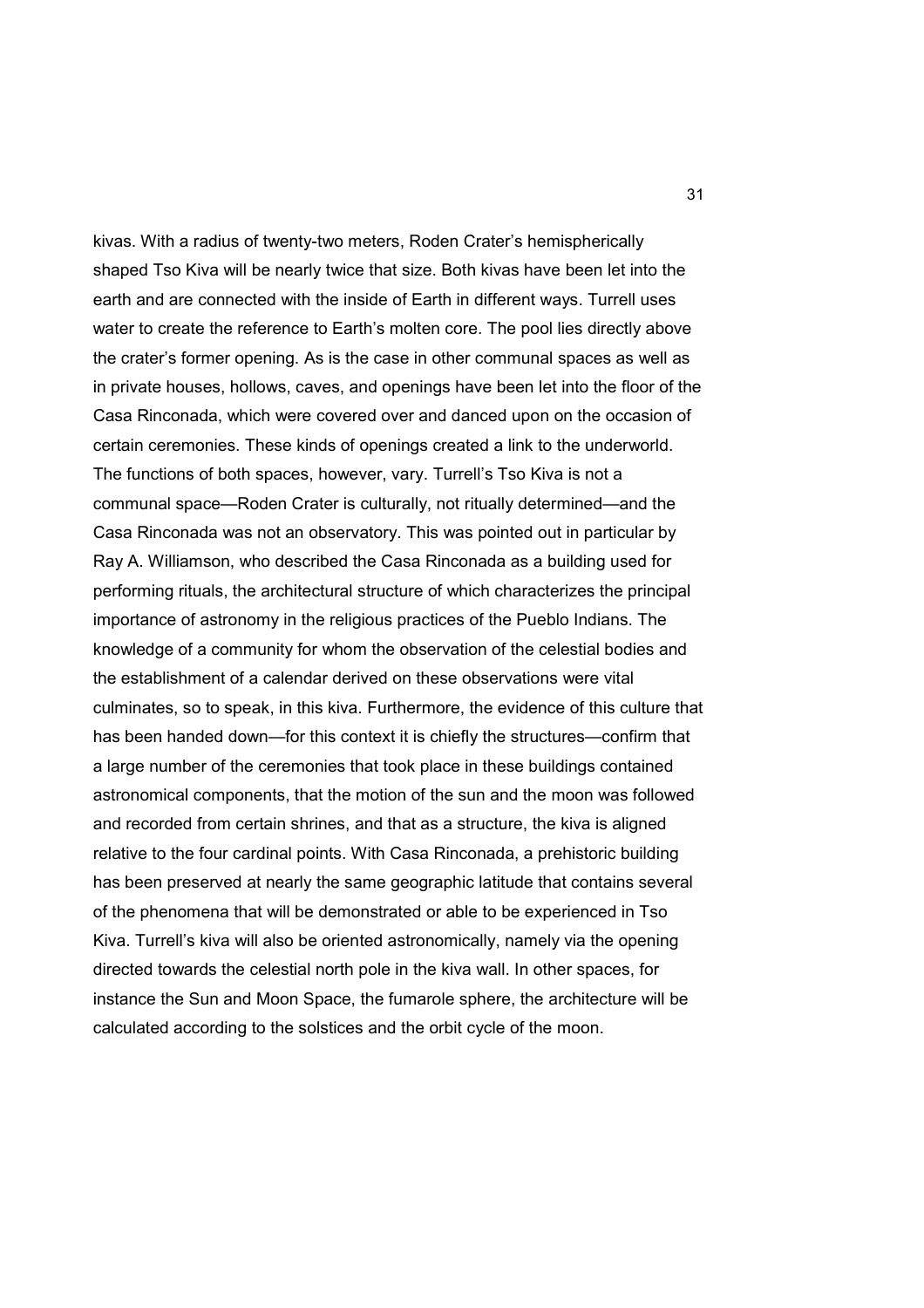kivas. With a radius of twenty-two meters, Roden Crater's hemispherically shaped Tso Kiva will be nearly twice that size. Both kivas have been let into the earth and are connected with the inside of Earth in different ways. Turrell uses water to create the reference to Earth's molten core. The pool lies directly above the crater's former opening. As is the case in other communal spaces as well as in private houses, hollows, caves, and openings have been let into the floor of the Casa Rinconada, which were covered over and danced upon on the occasion of certain ceremonies. These kinds of openings created a link to the underworld. The functions of both spaces, however, vary. Turrell's Tso Kiva is not a communal space—Roden Crater is culturally, not ritually determined—and the Casa Rinconada was not an observatory. This was pointed out in particular by Ray A. Williamson, who described the Casa Rinconada as a building used for performing rituals, the architectural structure of which characterizes the principal importance of astronomy in the religious practices of the Pueblo Indians. The knowledge of a community for whom the observation of the celestial bodies and the establishment of a calendar derived on these observations were vital culminates, so to speak, in this kiva. Furthermore, the evidence of this culture that has been handed down—for this context it is chiefly the structures—confirm that a large number of the ceremonies that took place in these buildings contained astronomical components, that the motion of the sun and the moon was followed and recorded from certain shrines, and that as a structure, the kiva is aligned relative to the four cardinal points. With Casa Rinconada, a prehistoric building has been preserved at nearly the same geographic latitude that contains several of the phenomena that will be demonstrated or able to be experienced in Tso Kiva. Turrell's kiva will also be oriented astronomically, namely via the opening directed towards the celestial north pole in the kiva wall. In other spaces, for instance the Sun and Moon Space, the fumarole sphere, the architecture will be calculated according to the solstices and the orbit cycle of the moon.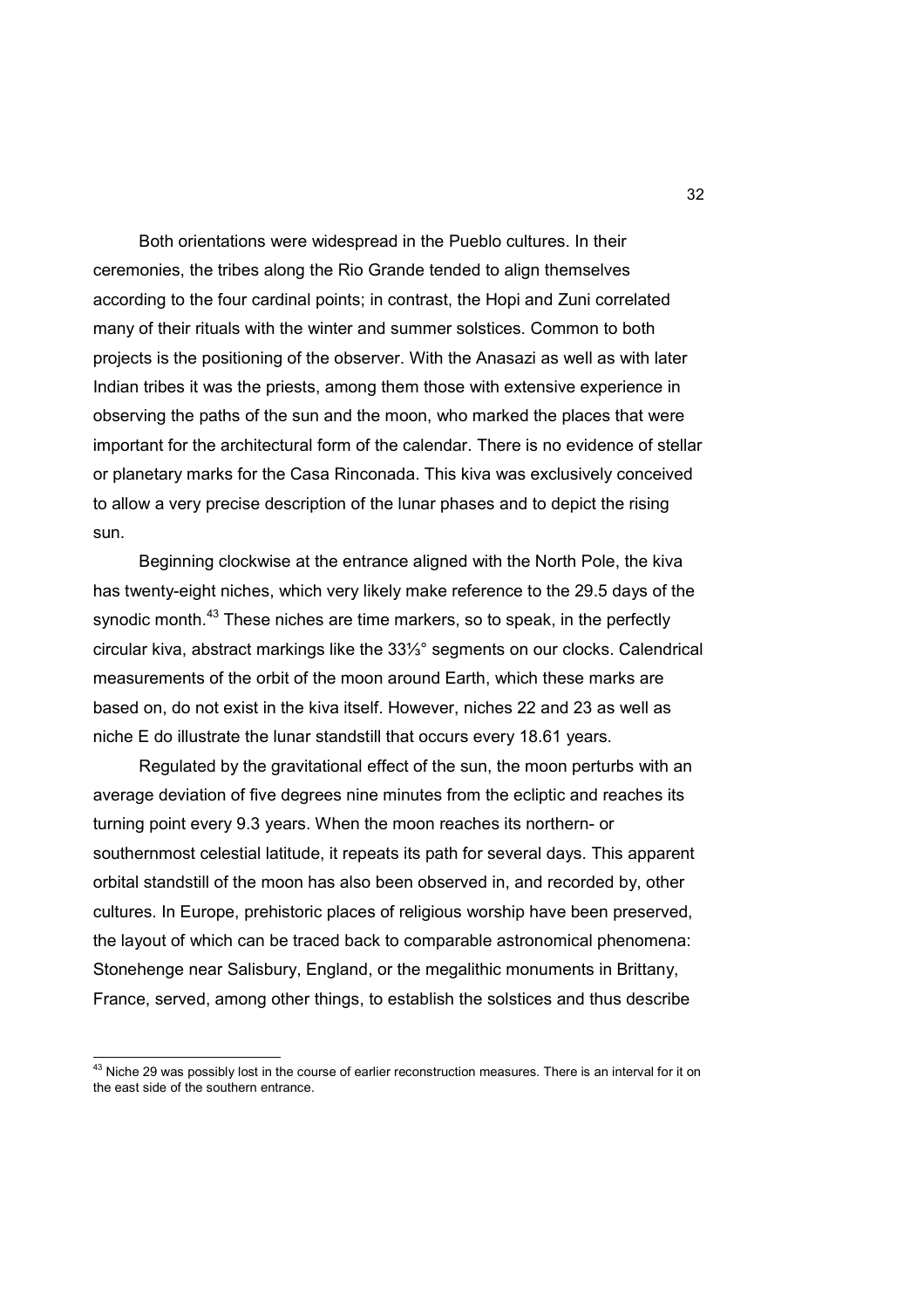Both orientations were widespread in the Pueblo cultures. In their ceremonies, the tribes along the Rio Grande tended to align themselves according to the four cardinal points; in contrast, the Hopi and Zuni correlated many of their rituals with the winter and summer solstices. Common to both projects is the positioning of the observer. With the Anasazi as well as with later Indian tribes it was the priests, among them those with extensive experience in observing the paths of the sun and the moon, who marked the places that were important for the architectural form of the calendar. There is no evidence of stellar or planetary marks for the Casa Rinconada. This kiva was exclusively conceived to allow a very precise description of the lunar phases and to depict the rising sun.

 Beginning clockwise at the entrance aligned with the North Pole, the kiva has twenty-eight niches, which very likely make reference to the 29.5 days of the synodic month.<sup>43</sup> These niches are time markers, so to speak, in the perfectly circular kiva, abstract markings like the 33⅓° segments on our clocks. Calendrical measurements of the orbit of the moon around Earth, which these marks are based on, do not exist in the kiva itself. However, niches 22 and 23 as well as niche E do illustrate the lunar standstill that occurs every 18.61 years.

 Regulated by the gravitational effect of the sun, the moon perturbs with an average deviation of five degrees nine minutes from the ecliptic and reaches its turning point every 9.3 years. When the moon reaches its northern- or southernmost celestial latitude, it repeats its path for several days. This apparent orbital standstill of the moon has also been observed in, and recorded by, other cultures. In Europe, prehistoric places of religious worship have been preserved, the layout of which can be traced back to comparable astronomical phenomena: Stonehenge near Salisbury, England, or the megalithic monuments in Brittany, France, served, among other things, to establish the solstices and thus describe

 $\overline{\phantom{a}}$ 

 $^{43}$  Niche 29 was possibly lost in the course of earlier reconstruction measures. There is an interval for it on the east side of the southern entrance.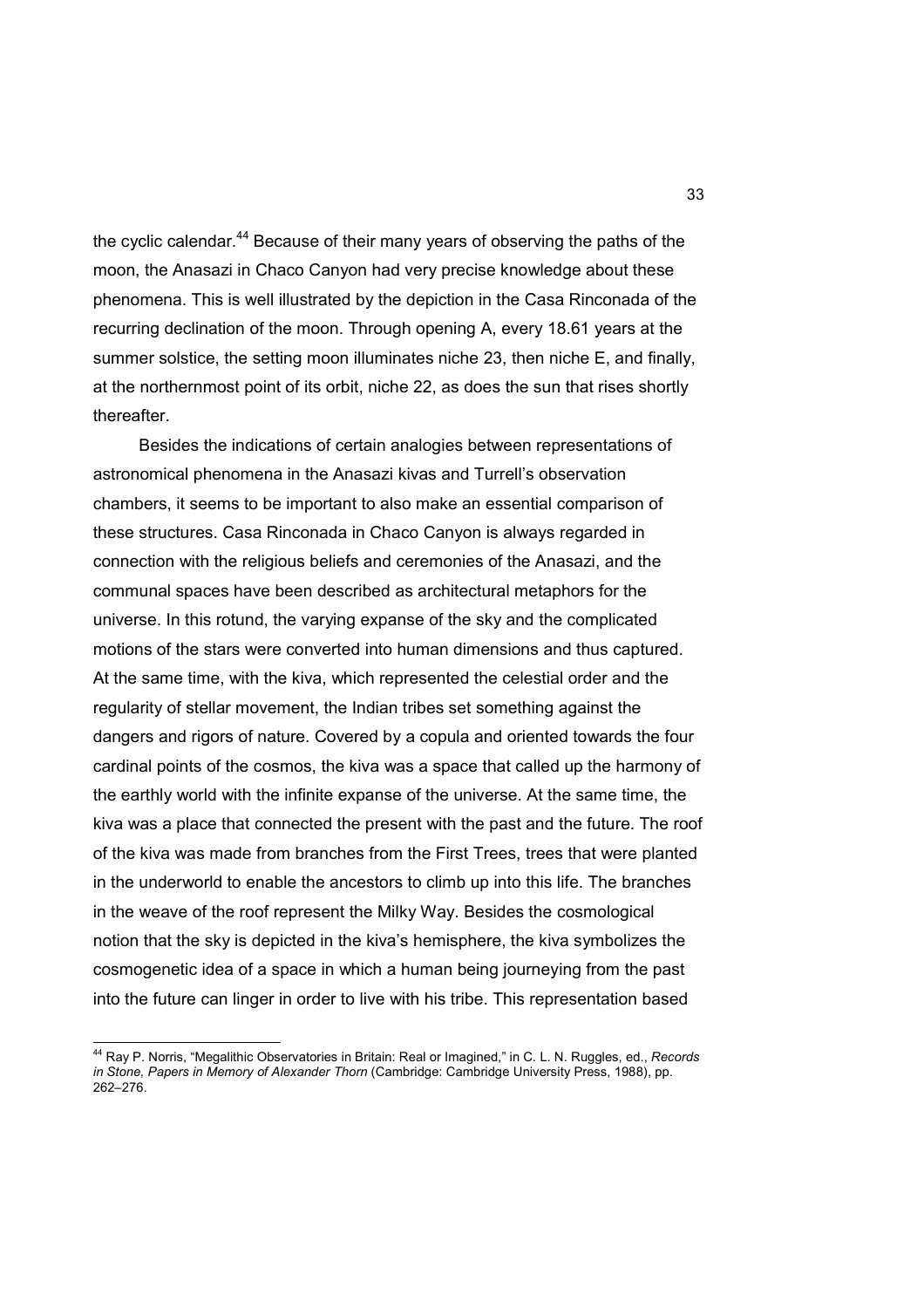the cyclic calendar.<sup>44</sup> Because of their many years of observing the paths of the moon, the Anasazi in Chaco Canyon had very precise knowledge about these phenomena. This is well illustrated by the depiction in the Casa Rinconada of the recurring declination of the moon. Through opening A, every 18.61 years at the summer solstice, the setting moon illuminates niche 23, then niche E, and finally, at the northernmost point of its orbit, niche 22, as does the sun that rises shortly thereafter.

 Besides the indications of certain analogies between representations of astronomical phenomena in the Anasazi kivas and Turrell's observation chambers, it seems to be important to also make an essential comparison of these structures. Casa Rinconada in Chaco Canyon is always regarded in connection with the religious beliefs and ceremonies of the Anasazi, and the communal spaces have been described as architectural metaphors for the universe. In this rotund, the varying expanse of the sky and the complicated motions of the stars were converted into human dimensions and thus captured. At the same time, with the kiva, which represented the celestial order and the regularity of stellar movement, the Indian tribes set something against the dangers and rigors of nature. Covered by a copula and oriented towards the four cardinal points of the cosmos, the kiva was a space that called up the harmony of the earthly world with the infinite expanse of the universe. At the same time, the kiva was a place that connected the present with the past and the future. The roof of the kiva was made from branches from the First Trees, trees that were planted in the underworld to enable the ancestors to climb up into this life. The branches in the weave of the roof represent the Milky Way. Besides the cosmological notion that the sky is depicted in the kiva's hemisphere, the kiva symbolizes the cosmogenetic idea of a space in which a human being journeying from the past into the future can linger in order to live with his tribe. This representation based

 $\overline{\phantom{a}}$ 

<sup>44</sup> Ray P. Norris, "Megalithic Observatories in Britain: Real or Imagined," in C. L. N. Ruggles, ed., *Records in Stone, Papers in Memory of Alexander Thorn* (Cambridge: Cambridge University Press, 1988), pp. 262–276.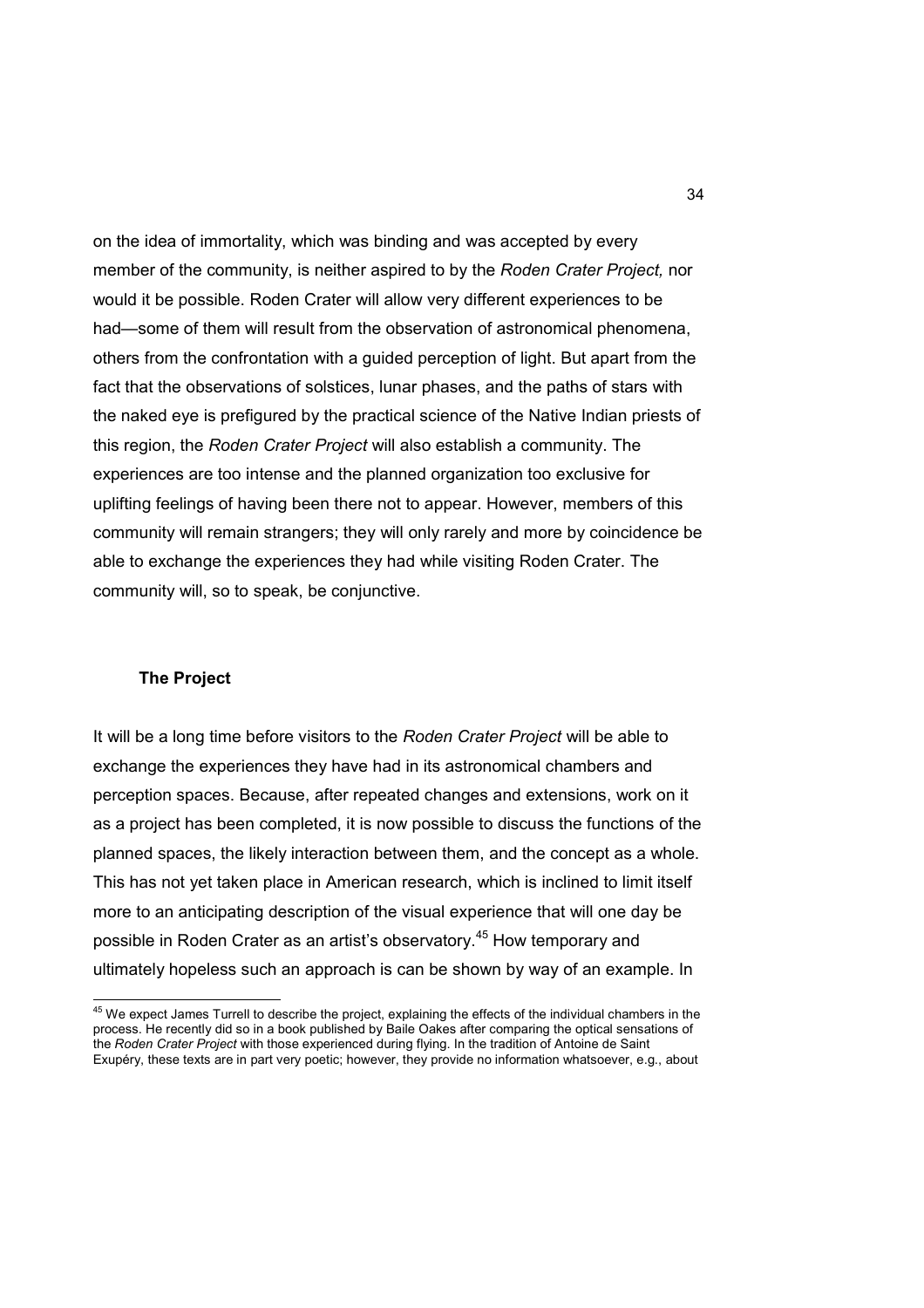on the idea of immortality, which was binding and was accepted by every member of the community, is neither aspired to by the *Roden Crater Project,* nor would it be possible. Roden Crater will allow very different experiences to be had—some of them will result from the observation of astronomical phenomena, others from the confrontation with a guided perception of light. But apart from the fact that the observations of solstices, lunar phases, and the paths of stars with the naked eye is prefigured by the practical science of the Native Indian priests of this region, the *Roden Crater Project* will also establish a community. The experiences are too intense and the planned organization too exclusive for uplifting feelings of having been there not to appear. However, members of this community will remain strangers; they will only rarely and more by coincidence be able to exchange the experiences they had while visiting Roden Crater. The community will, so to speak, be conjunctive.

#### **The Project**

 $\overline{\phantom{a}}$ 

It will be a long time before visitors to the *Roden Crater Project* will be able to exchange the experiences they have had in its astronomical chambers and perception spaces. Because, after repeated changes and extensions, work on it as a project has been completed, it is now possible to discuss the functions of the planned spaces, the likely interaction between them, and the concept as a whole. This has not yet taken place in American research, which is inclined to limit itself more to an anticipating description of the visual experience that will one day be possible in Roden Crater as an artist's observatory. <sup>45</sup> How temporary and ultimately hopeless such an approach is can be shown by way of an example. In

 $^{45}$  We expect James Turrell to describe the project, explaining the effects of the individual chambers in the process. He recently did so in a book published by Baile Oakes after comparing the optical sensations of the *Roden Crater Project* with those experienced during flying. In the tradition of Antoine de Saint Exupéry, these texts are in part very poetic; however, they provide no information whatsoever, e.g., about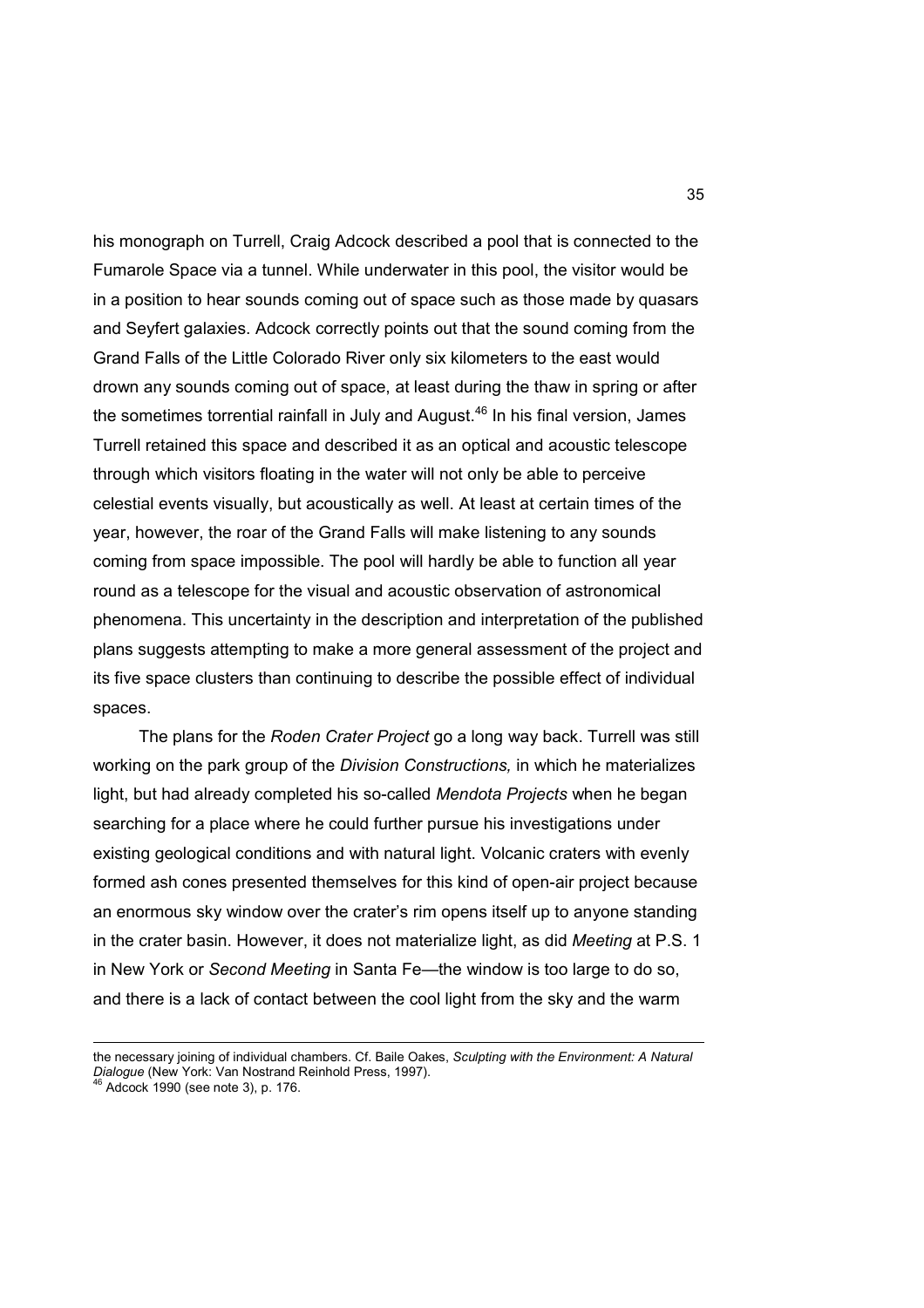his monograph on Turrell, Craig Adcock described a pool that is connected to the Fumarole Space via a tunnel. While underwater in this pool, the visitor would be in a position to hear sounds coming out of space such as those made by quasars and Seyfert galaxies. Adcock correctly points out that the sound coming from the Grand Falls of the Little Colorado River only six kilometers to the east would drown any sounds coming out of space, at least during the thaw in spring or after the sometimes torrential rainfall in July and August.<sup>46</sup> In his final version. James Turrell retained this space and described it as an optical and acoustic telescope through which visitors floating in the water will not only be able to perceive celestial events visually, but acoustically as well. At least at certain times of the year, however, the roar of the Grand Falls will make listening to any sounds coming from space impossible. The pool will hardly be able to function all year round as a telescope for the visual and acoustic observation of astronomical phenomena. This uncertainty in the description and interpretation of the published plans suggests attempting to make a more general assessment of the project and its five space clusters than continuing to describe the possible effect of individual spaces.

 The plans for the *Roden Crater Project* go a long way back. Turrell was still working on the park group of the *Division Constructions,* in which he materializes light, but had already completed his so-called *Mendota Projects* when he began searching for a place where he could further pursue his investigations under existing geological conditions and with natural light. Volcanic craters with evenly formed ash cones presented themselves for this kind of open-air project because an enormous sky window over the crater's rim opens itself up to anyone standing in the crater basin. However, it does not materialize light, as did *Meeting* at P.S. 1 in New York or *Second Meeting* in Santa Fe—the window is too large to do so, and there is a lack of contact between the cool light from the sky and the warm

 $\overline{a}$ 

the necessary joining of individual chambers. Cf. Baile Oakes, *Sculpting with the Environment: A Natural Dialogue* (New York: Van Nostrand Reinhold Press, 1997). <sup>46</sup> Adcock 1990 (see note 3), p. 176.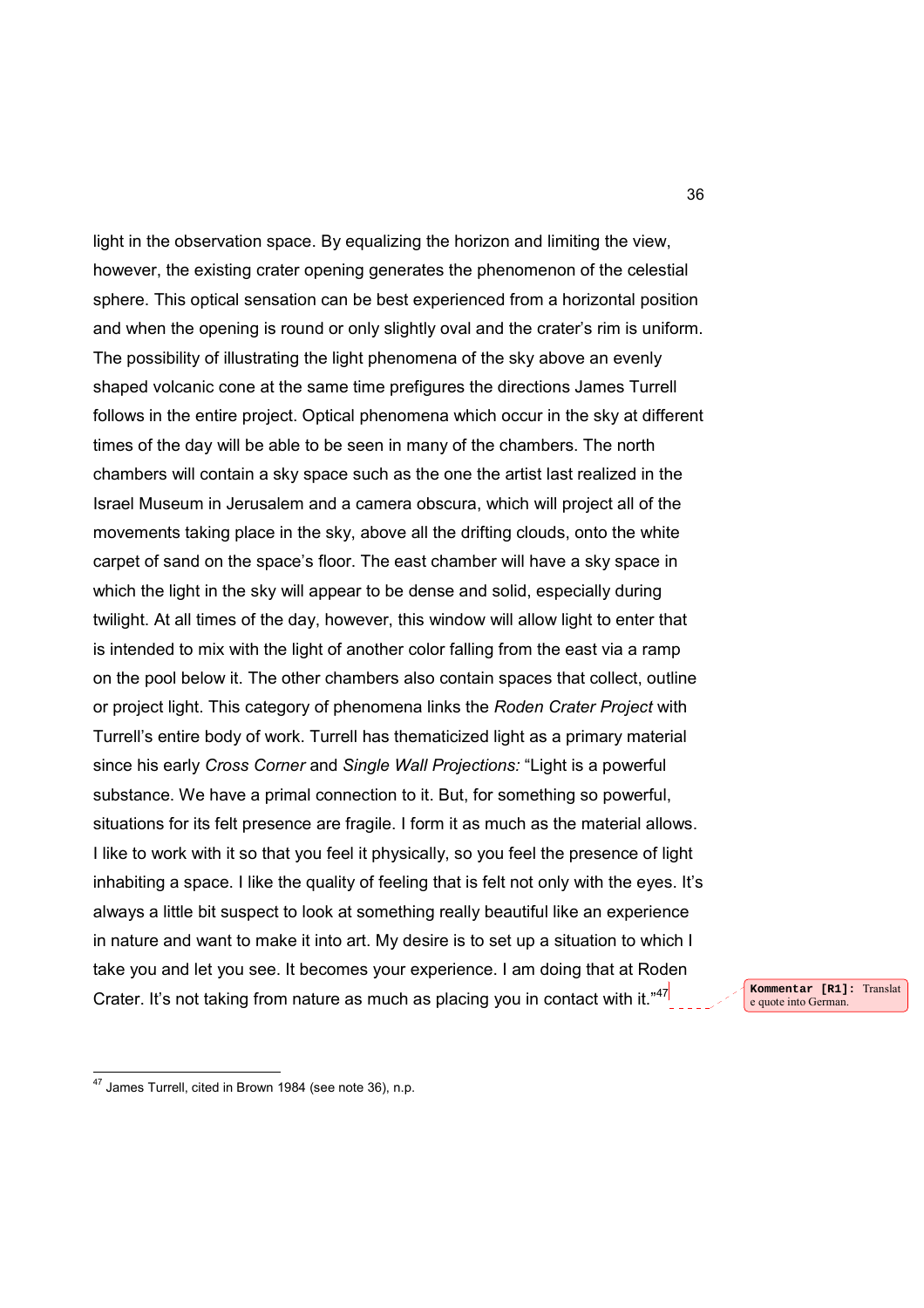light in the observation space. By equalizing the horizon and limiting the view, however, the existing crater opening generates the phenomenon of the celestial sphere. This optical sensation can be best experienced from a horizontal position and when the opening is round or only slightly oval and the crater's rim is uniform. The possibility of illustrating the light phenomena of the sky above an evenly shaped volcanic cone at the same time prefigures the directions James Turrell follows in the entire project. Optical phenomena which occur in the sky at different times of the day will be able to be seen in many of the chambers. The north chambers will contain a sky space such as the one the artist last realized in the Israel Museum in Jerusalem and a camera obscura, which will project all of the movements taking place in the sky, above all the drifting clouds, onto the white carpet of sand on the space's floor. The east chamber will have a sky space in which the light in the sky will appear to be dense and solid, especially during twilight. At all times of the day, however, this window will allow light to enter that is intended to mix with the light of another color falling from the east via a ramp on the pool below it. The other chambers also contain spaces that collect, outline or project light. This category of phenomena links the *Roden Crater Project* with Turrell's entire body of work. Turrell has thematicized light as a primary material since his early *Cross Corner* and *Single Wall Projections:* "Light is a powerful substance. We have a primal connection to it. But, for something so powerful, situations for its felt presence are fragile. I form it as much as the material allows. I like to work with it so that you feel it physically, so you feel the presence of light inhabiting a space. I like the quality of feeling that is felt not only with the eyes. It's always a little bit suspect to look at something really beautiful like an experience in nature and want to make it into art. My desire is to set up a situation to which I take you and let you see. It becomes your experience. I am doing that at Roden Crater. It's not taking from nature as much as placing you in contact with it." $47$ 

**Kommentar [R1]:** Translat e quote into German.

 $\overline{a}$ 

 $47$  James Turrell, cited in Brown 1984 (see note 36), n.p.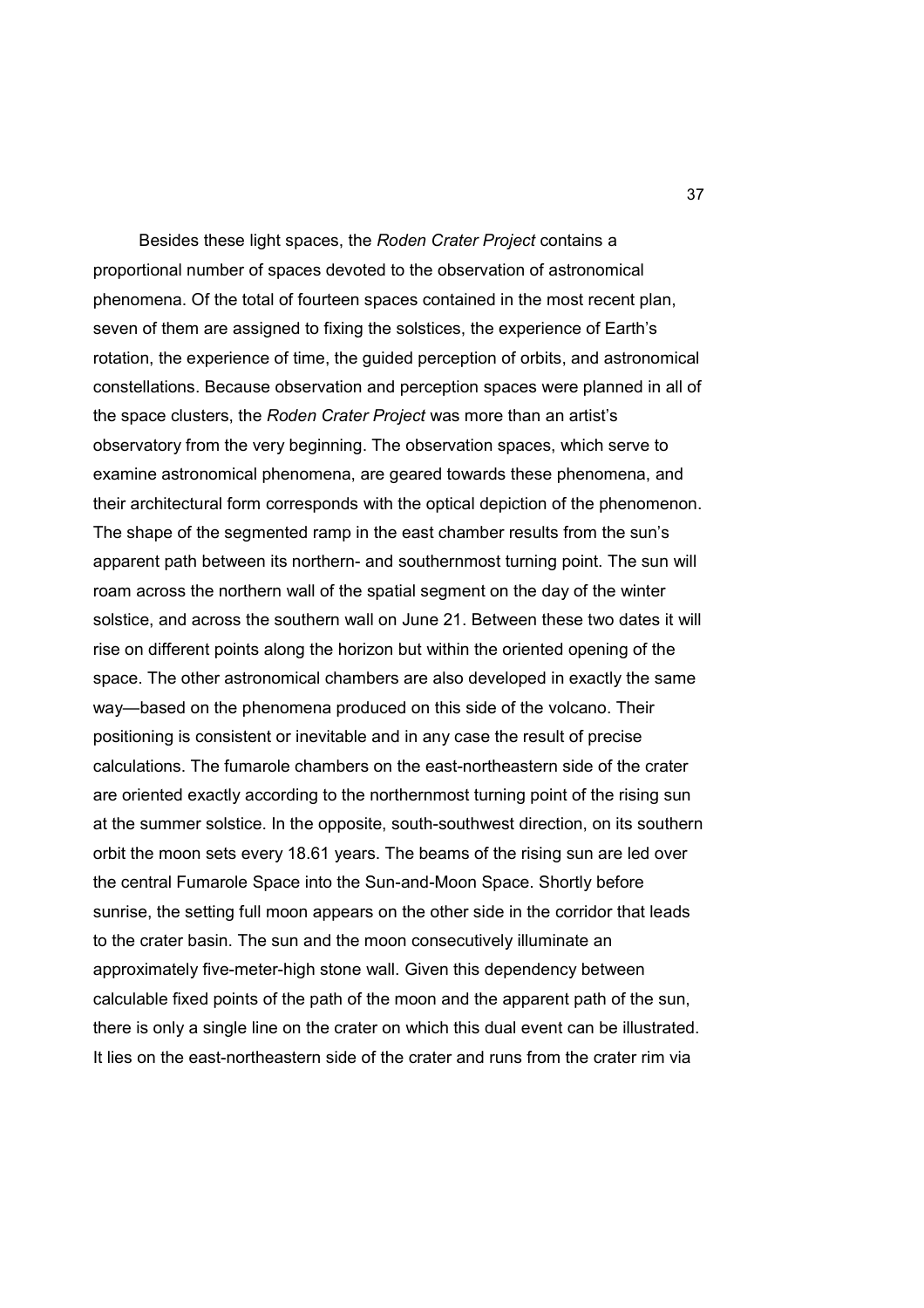Besides these light spaces, the *Roden Crater Project* contains a proportional number of spaces devoted to the observation of astronomical phenomena. Of the total of fourteen spaces contained in the most recent plan, seven of them are assigned to fixing the solstices, the experience of Earth's rotation, the experience of time, the guided perception of orbits, and astronomical constellations. Because observation and perception spaces were planned in all of the space clusters, the *Roden Crater Project* was more than an artist's observatory from the very beginning. The observation spaces, which serve to examine astronomical phenomena, are geared towards these phenomena, and their architectural form corresponds with the optical depiction of the phenomenon. The shape of the segmented ramp in the east chamber results from the sun's apparent path between its northern- and southernmost turning point. The sun will roam across the northern wall of the spatial segment on the day of the winter solstice, and across the southern wall on June 21. Between these two dates it will rise on different points along the horizon but within the oriented opening of the space. The other astronomical chambers are also developed in exactly the same way—based on the phenomena produced on this side of the volcano. Their positioning is consistent or inevitable and in any case the result of precise calculations. The fumarole chambers on the east-northeastern side of the crater are oriented exactly according to the northernmost turning point of the rising sun at the summer solstice. In the opposite, south-southwest direction, on its southern orbit the moon sets every 18.61 years. The beams of the rising sun are led over the central Fumarole Space into the Sun-and-Moon Space. Shortly before sunrise, the setting full moon appears on the other side in the corridor that leads to the crater basin. The sun and the moon consecutively illuminate an approximately five-meter-high stone wall. Given this dependency between calculable fixed points of the path of the moon and the apparent path of the sun, there is only a single line on the crater on which this dual event can be illustrated. It lies on the east-northeastern side of the crater and runs from the crater rim via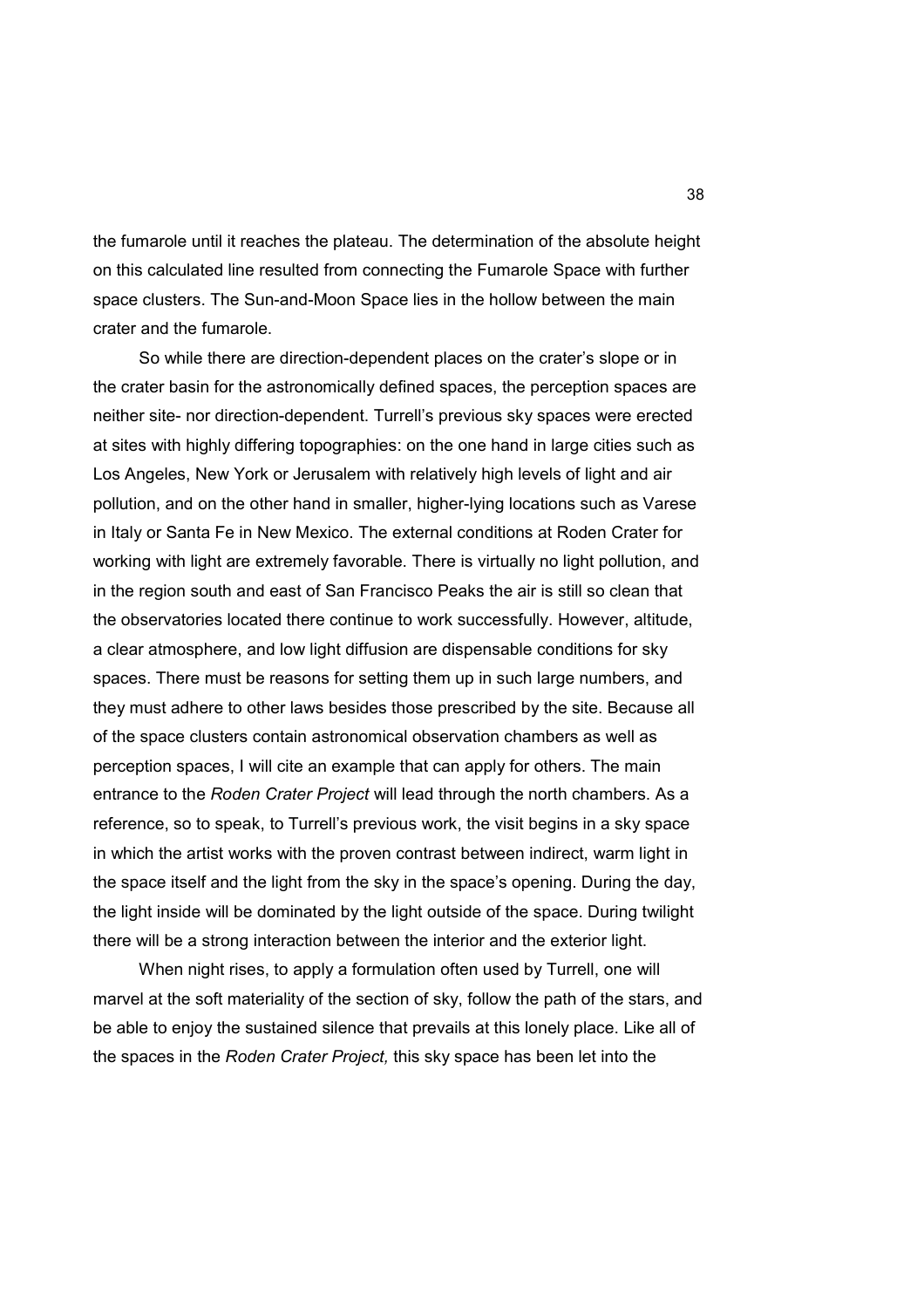the fumarole until it reaches the plateau. The determination of the absolute height on this calculated line resulted from connecting the Fumarole Space with further space clusters. The Sun-and-Moon Space lies in the hollow between the main crater and the fumarole.

 So while there are direction-dependent places on the crater's slope or in the crater basin for the astronomically defined spaces, the perception spaces are neither site- nor direction-dependent. Turrell's previous sky spaces were erected at sites with highly differing topographies: on the one hand in large cities such as Los Angeles, New York or Jerusalem with relatively high levels of light and air pollution, and on the other hand in smaller, higher-lying locations such as Varese in Italy or Santa Fe in New Mexico. The external conditions at Roden Crater for working with light are extremely favorable. There is virtually no light pollution, and in the region south and east of San Francisco Peaks the air is still so clean that the observatories located there continue to work successfully. However, altitude, a clear atmosphere, and low light diffusion are dispensable conditions for sky spaces. There must be reasons for setting them up in such large numbers, and they must adhere to other laws besides those prescribed by the site. Because all of the space clusters contain astronomical observation chambers as well as perception spaces, I will cite an example that can apply for others. The main entrance to the *Roden Crater Project* will lead through the north chambers. As a reference, so to speak, to Turrell's previous work, the visit begins in a sky space in which the artist works with the proven contrast between indirect, warm light in the space itself and the light from the sky in the space's opening. During the day, the light inside will be dominated by the light outside of the space. During twilight there will be a strong interaction between the interior and the exterior light.

 When night rises, to apply a formulation often used by Turrell, one will marvel at the soft materiality of the section of sky, follow the path of the stars, and be able to enjoy the sustained silence that prevails at this lonely place. Like all of the spaces in the *Roden Crater Project,* this sky space has been let into the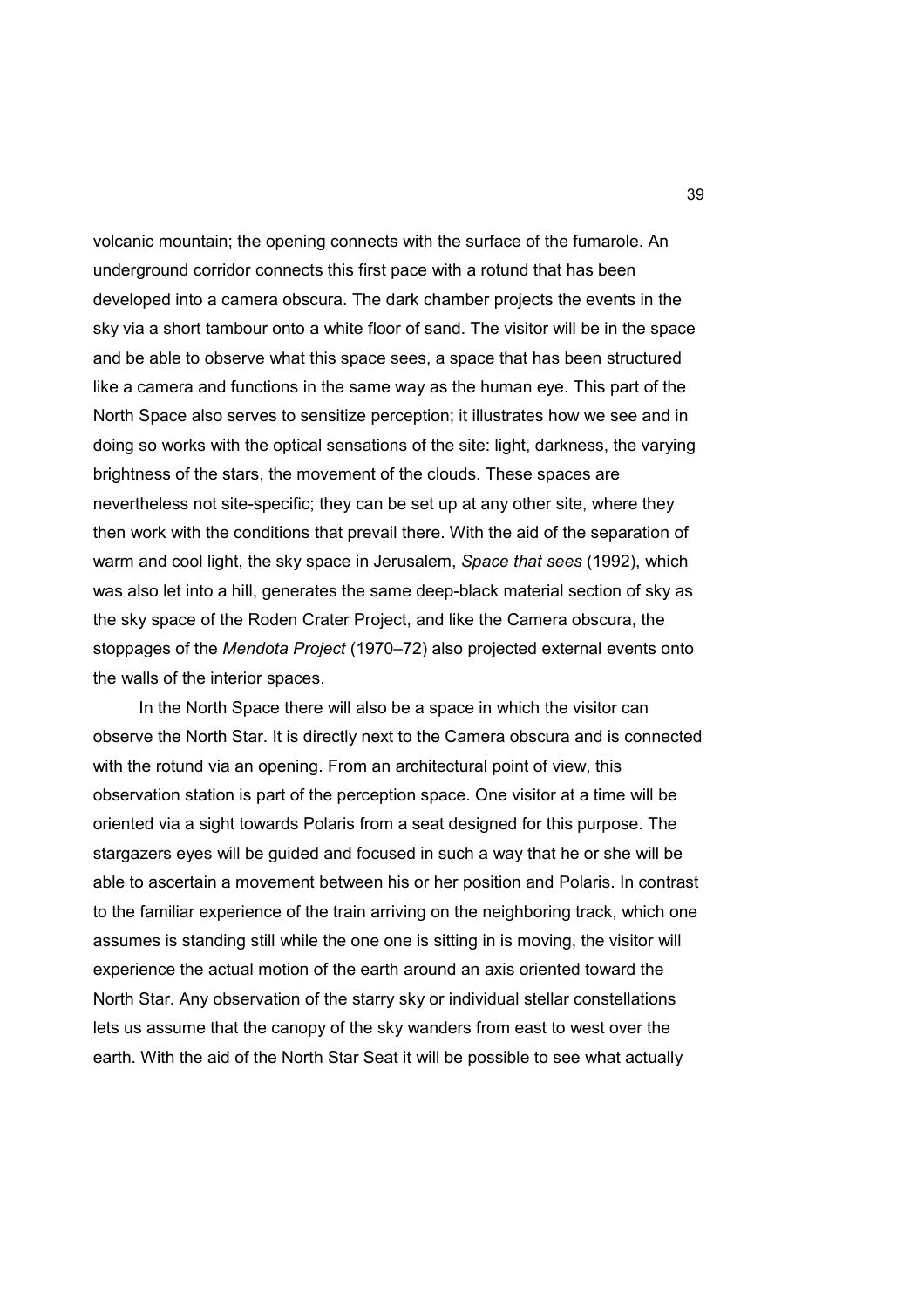volcanic mountain; the opening connects with the surface of the fumarole. An underground corridor connects this first pace with a rotund that has been developed into a camera obscura. The dark chamber projects the events in the sky via a short tambour onto a white floor of sand. The visitor will be in the space and be able to observe what this space sees, a space that has been structured like a camera and functions in the same way as the human eye. This part of the North Space also serves to sensitize perception; it illustrates how we see and in doing so works with the optical sensations of the site: light, darkness, the varying brightness of the stars, the movement of the clouds. These spaces are nevertheless not site-specific; they can be set up at any other site, where they then work with the conditions that prevail there. With the aid of the separation of warm and cool light, the sky space in Jerusalem, *Space that sees* (1992), which was also let into a hill, generates the same deep-black material section of sky as the sky space of the Roden Crater Project, and like the Camera obscura, the stoppages of the *Mendota Project* (1970–72) also projected external events onto the walls of the interior spaces.

 In the North Space there will also be a space in which the visitor can observe the North Star. It is directly next to the Camera obscura and is connected with the rotund via an opening. From an architectural point of view, this observation station is part of the perception space. One visitor at a time will be oriented via a sight towards Polaris from a seat designed for this purpose. The stargazers eyes will be guided and focused in such a way that he or she will be able to ascertain a movement between his or her position and Polaris. In contrast to the familiar experience of the train arriving on the neighboring track, which one assumes is standing still while the one one is sitting in is moving, the visitor will experience the actual motion of the earth around an axis oriented toward the North Star. Any observation of the starry sky or individual stellar constellations lets us assume that the canopy of the sky wanders from east to west over the earth. With the aid of the North Star Seat it will be possible to see what actually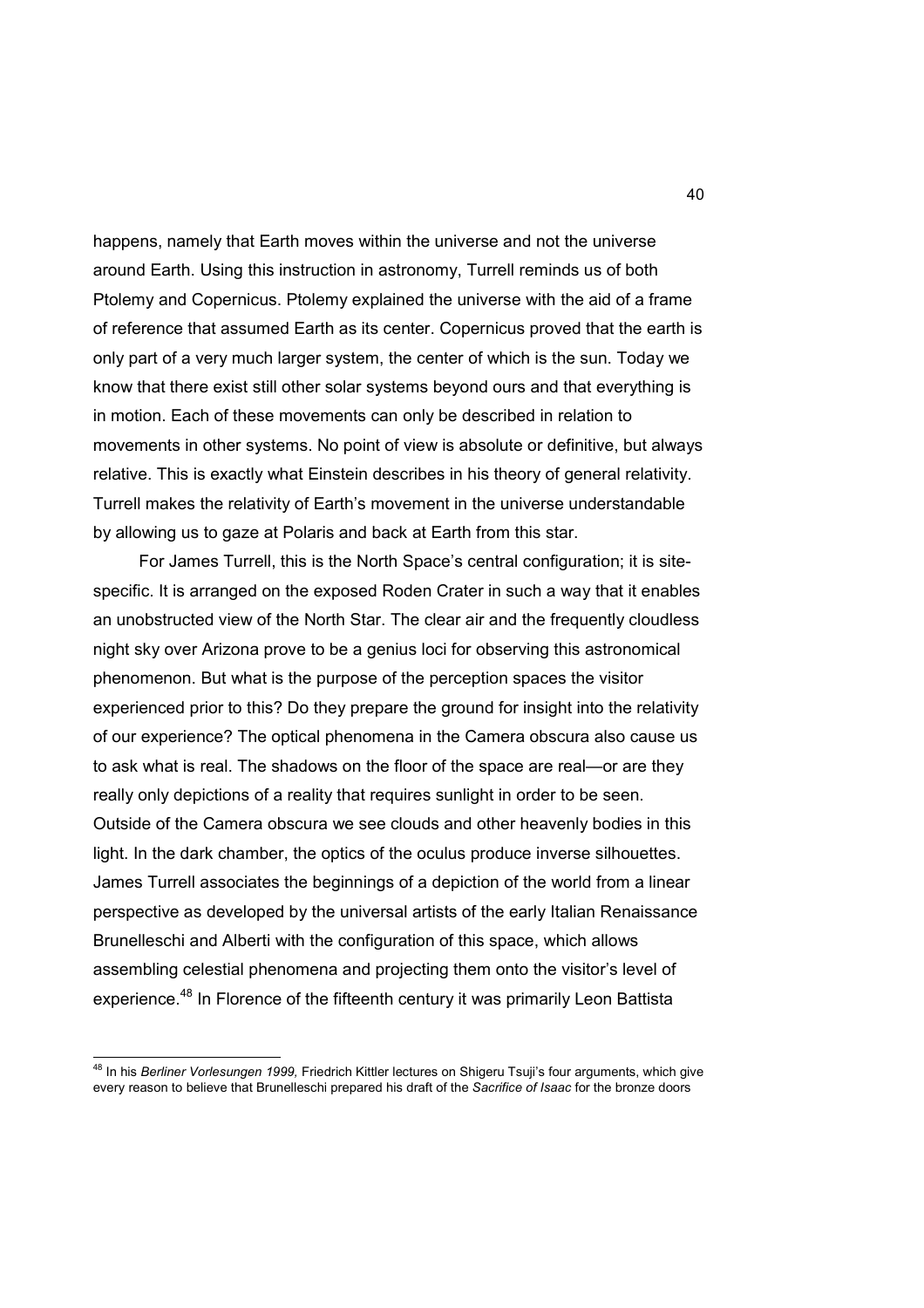happens, namely that Earth moves within the universe and not the universe around Earth. Using this instruction in astronomy, Turrell reminds us of both Ptolemy and Copernicus. Ptolemy explained the universe with the aid of a frame of reference that assumed Earth as its center. Copernicus proved that the earth is only part of a very much larger system, the center of which is the sun. Today we know that there exist still other solar systems beyond ours and that everything is in motion. Each of these movements can only be described in relation to movements in other systems. No point of view is absolute or definitive, but always relative. This is exactly what Einstein describes in his theory of general relativity. Turrell makes the relativity of Earth's movement in the universe understandable by allowing us to gaze at Polaris and back at Earth from this star.

 For James Turrell, this is the North Space's central configuration; it is sitespecific. It is arranged on the exposed Roden Crater in such a way that it enables an unobstructed view of the North Star. The clear air and the frequently cloudless night sky over Arizona prove to be a genius loci for observing this astronomical phenomenon. But what is the purpose of the perception spaces the visitor experienced prior to this? Do they prepare the ground for insight into the relativity of our experience? The optical phenomena in the Camera obscura also cause us to ask what is real. The shadows on the floor of the space are real—or are they really only depictions of a reality that requires sunlight in order to be seen. Outside of the Camera obscura we see clouds and other heavenly bodies in this light. In the dark chamber, the optics of the oculus produce inverse silhouettes. James Turrell associates the beginnings of a depiction of the world from a linear perspective as developed by the universal artists of the early Italian Renaissance Brunelleschi and Alberti with the configuration of this space, which allows assembling celestial phenomena and projecting them onto the visitor's level of experience.<sup>48</sup> In Florence of the fifteenth century it was primarily Leon Battista

 $\overline{\phantom{a}}$ 

<sup>48</sup> In his *Berliner Vorlesungen 1999,* Friedrich Kittler lectures on Shigeru Tsuji's four arguments, which give every reason to believe that Brunelleschi prepared his draft of the *Sacrifice of Isaac* for the bronze doors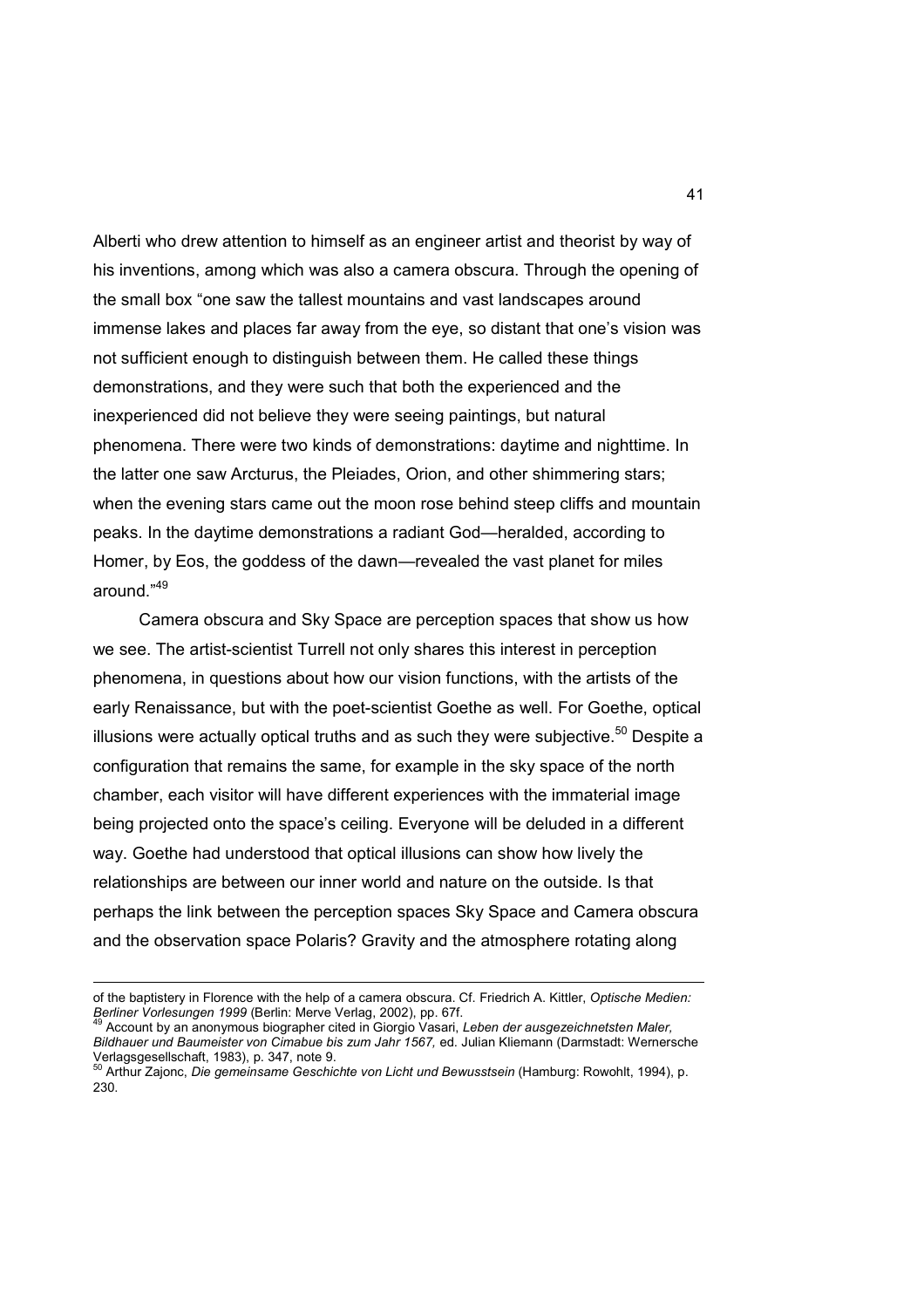Alberti who drew attention to himself as an engineer artist and theorist by way of his inventions, among which was also a camera obscura. Through the opening of the small box "one saw the tallest mountains and vast landscapes around immense lakes and places far away from the eye, so distant that one's vision was not sufficient enough to distinguish between them. He called these things demonstrations, and they were such that both the experienced and the inexperienced did not believe they were seeing paintings, but natural phenomena. There were two kinds of demonstrations: daytime and nighttime. In the latter one saw Arcturus, the Pleiades, Orion, and other shimmering stars; when the evening stars came out the moon rose behind steep cliffs and mountain peaks. In the daytime demonstrations a radiant God—heralded, according to Homer, by Eos, the goddess of the dawn—revealed the vast planet for miles around. $49$ 

 Camera obscura and Sky Space are perception spaces that show us how we see. The artist-scientist Turrell not only shares this interest in perception phenomena, in questions about how our vision functions, with the artists of the early Renaissance, but with the poet-scientist Goethe as well. For Goethe, optical illusions were actually optical truths and as such they were subjective.<sup>50</sup> Despite a configuration that remains the same, for example in the sky space of the north chamber, each visitor will have different experiences with the immaterial image being projected onto the space's ceiling. Everyone will be deluded in a different way. Goethe had understood that optical illusions can show how lively the relationships are between our inner world and nature on the outside. Is that perhaps the link between the perception spaces Sky Space and Camera obscura and the observation space Polaris? Gravity and the atmosphere rotating along

of the baptistery in Florence with the help of a camera obscura. Cf. Friedrich A. Kittler, *Optische Medien: Berliner Vorlesungen 1999* (Berlin: Merve Verlag, 2002), pp. 67f.

<sup>49</sup> Account by an anonymous biographer cited in Giorgio Vasari, *Leben der ausgezeichnetsten Maler, Bildhauer und Baumeister von Cimabue bis zum Jahr 1567,* ed. Julian Kliemann (Darmstadt: Wernersche Verlagsgesellschaft, 1983), p. 347, note 9. <sup>50</sup> Arthur Zajonc, *Die gemeinsame Geschichte von Licht und Bewusstsein* (Hamburg: Rowohlt, 1994), p.

<sup>230.</sup>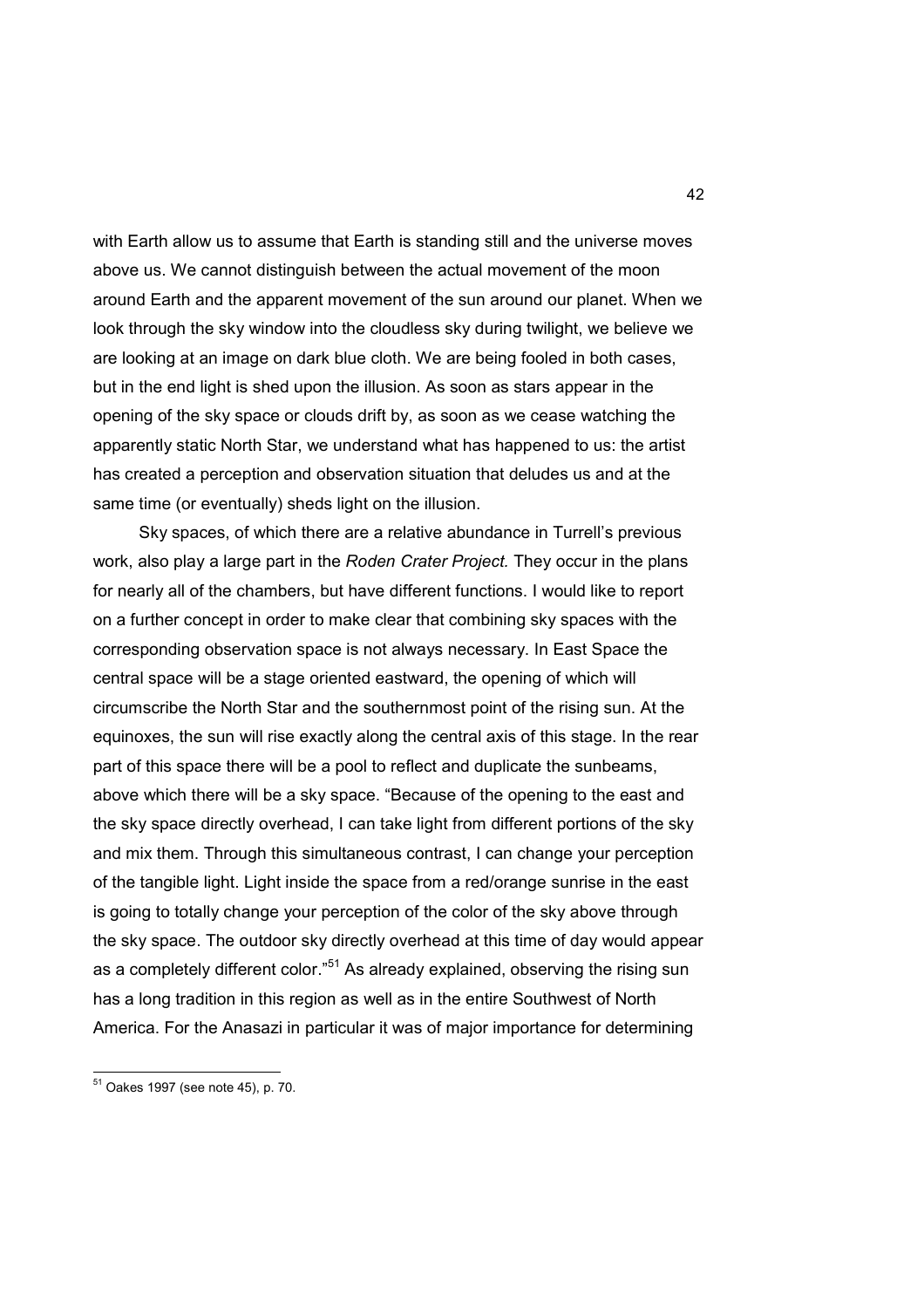with Earth allow us to assume that Earth is standing still and the universe moves above us. We cannot distinguish between the actual movement of the moon around Earth and the apparent movement of the sun around our planet. When we look through the sky window into the cloudless sky during twilight, we believe we are looking at an image on dark blue cloth. We are being fooled in both cases, but in the end light is shed upon the illusion. As soon as stars appear in the opening of the sky space or clouds drift by, as soon as we cease watching the apparently static North Star, we understand what has happened to us: the artist has created a perception and observation situation that deludes us and at the same time (or eventually) sheds light on the illusion.

 Sky spaces, of which there are a relative abundance in Turrell's previous work, also play a large part in the *Roden Crater Project.* They occur in the plans for nearly all of the chambers, but have different functions. I would like to report on a further concept in order to make clear that combining sky spaces with the corresponding observation space is not always necessary. In East Space the central space will be a stage oriented eastward, the opening of which will circumscribe the North Star and the southernmost point of the rising sun. At the equinoxes, the sun will rise exactly along the central axis of this stage. In the rear part of this space there will be a pool to reflect and duplicate the sunbeams, above which there will be a sky space. "Because of the opening to the east and the sky space directly overhead, I can take light from different portions of the sky and mix them. Through this simultaneous contrast, I can change your perception of the tangible light. Light inside the space from a red/orange sunrise in the east is going to totally change your perception of the color of the sky above through the sky space. The outdoor sky directly overhead at this time of day would appear as a completely different color."<sup>51</sup> As already explained, observing the rising sun has a long tradition in this region as well as in the entire Southwest of North America. For the Anasazi in particular it was of major importance for determining

<sup>&</sup>lt;sup>51</sup> Oakes 1997 (see note 45), p. 70.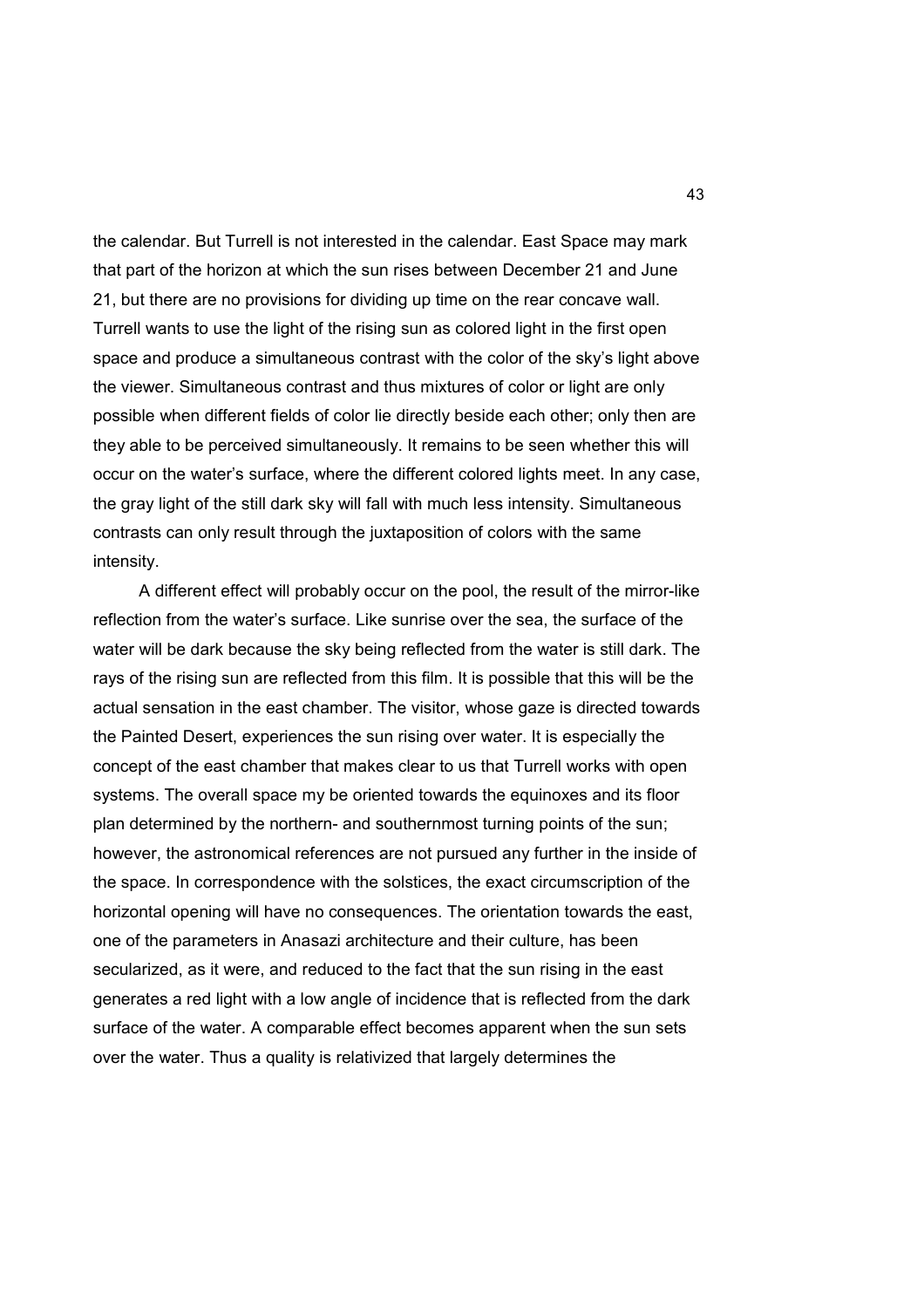the calendar. But Turrell is not interested in the calendar. East Space may mark that part of the horizon at which the sun rises between December 21 and June 21, but there are no provisions for dividing up time on the rear concave wall. Turrell wants to use the light of the rising sun as colored light in the first open space and produce a simultaneous contrast with the color of the sky's light above the viewer. Simultaneous contrast and thus mixtures of color or light are only possible when different fields of color lie directly beside each other; only then are they able to be perceived simultaneously. It remains to be seen whether this will occur on the water's surface, where the different colored lights meet. In any case, the gray light of the still dark sky will fall with much less intensity. Simultaneous contrasts can only result through the juxtaposition of colors with the same intensity.

 A different effect will probably occur on the pool, the result of the mirror-like reflection from the water's surface. Like sunrise over the sea, the surface of the water will be dark because the sky being reflected from the water is still dark. The rays of the rising sun are reflected from this film. It is possible that this will be the actual sensation in the east chamber. The visitor, whose gaze is directed towards the Painted Desert, experiences the sun rising over water. It is especially the concept of the east chamber that makes clear to us that Turrell works with open systems. The overall space my be oriented towards the equinoxes and its floor plan determined by the northern- and southernmost turning points of the sun; however, the astronomical references are not pursued any further in the inside of the space. In correspondence with the solstices, the exact circumscription of the horizontal opening will have no consequences. The orientation towards the east, one of the parameters in Anasazi architecture and their culture, has been secularized, as it were, and reduced to the fact that the sun rising in the east generates a red light with a low angle of incidence that is reflected from the dark surface of the water. A comparable effect becomes apparent when the sun sets over the water. Thus a quality is relativized that largely determines the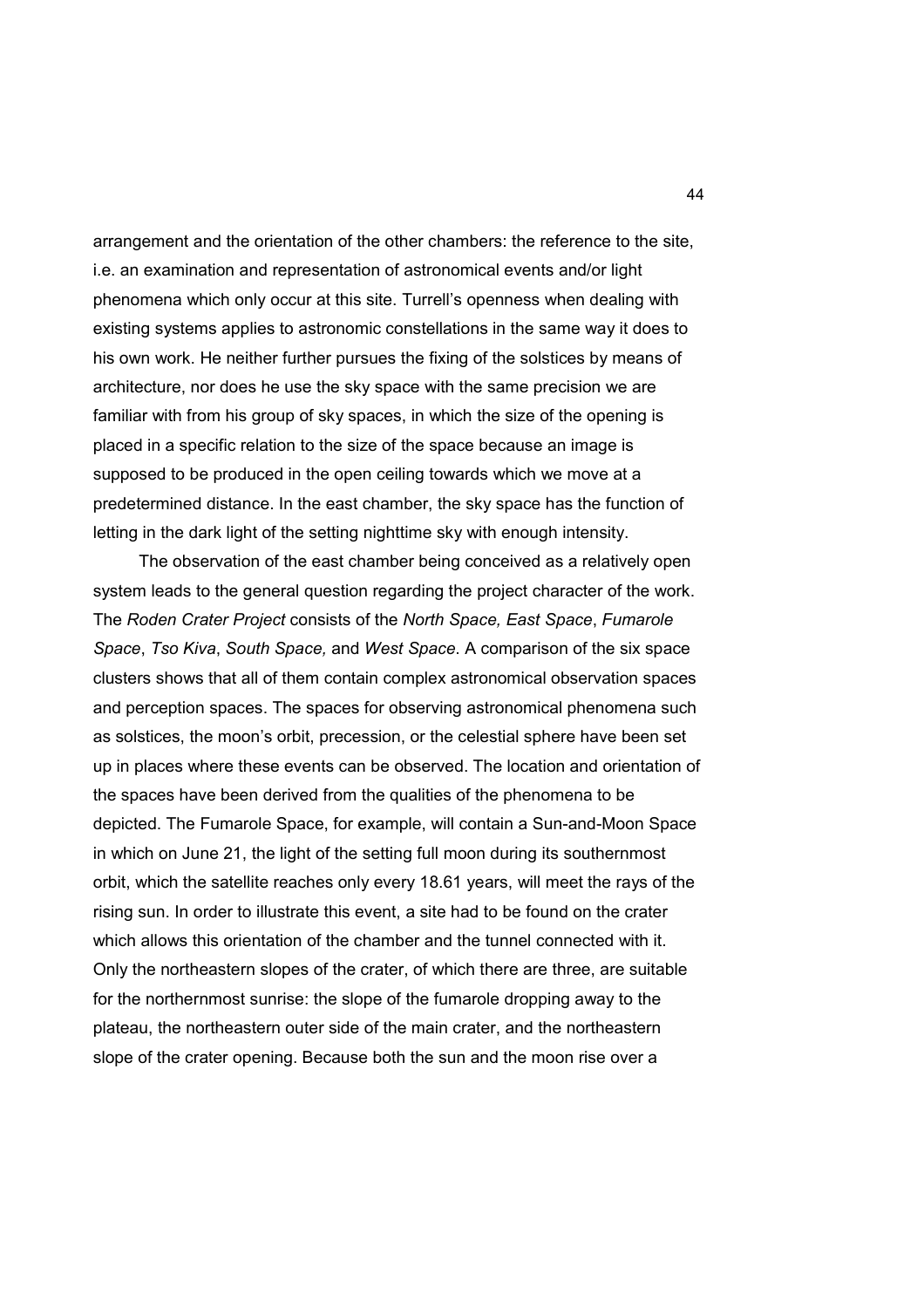arrangement and the orientation of the other chambers: the reference to the site, i.e. an examination and representation of astronomical events and/or light phenomena which only occur at this site. Turrell's openness when dealing with existing systems applies to astronomic constellations in the same way it does to his own work. He neither further pursues the fixing of the solstices by means of architecture, nor does he use the sky space with the same precision we are familiar with from his group of sky spaces, in which the size of the opening is placed in a specific relation to the size of the space because an image is supposed to be produced in the open ceiling towards which we move at a predetermined distance. In the east chamber, the sky space has the function of letting in the dark light of the setting nighttime sky with enough intensity.

 The observation of the east chamber being conceived as a relatively open system leads to the general question regarding the project character of the work. The *Roden Crater Project* consists of the *North Space, East Space*, *Fumarole Space*, *Tso Kiva*, *South Space,* and *West Space*. A comparison of the six space clusters shows that all of them contain complex astronomical observation spaces and perception spaces. The spaces for observing astronomical phenomena such as solstices, the moon's orbit, precession, or the celestial sphere have been set up in places where these events can be observed. The location and orientation of the spaces have been derived from the qualities of the phenomena to be depicted. The Fumarole Space, for example, will contain a Sun-and-Moon Space in which on June 21, the light of the setting full moon during its southernmost orbit, which the satellite reaches only every 18.61 years, will meet the rays of the rising sun. In order to illustrate this event, a site had to be found on the crater which allows this orientation of the chamber and the tunnel connected with it. Only the northeastern slopes of the crater, of which there are three, are suitable for the northernmost sunrise: the slope of the fumarole dropping away to the plateau, the northeastern outer side of the main crater, and the northeastern slope of the crater opening. Because both the sun and the moon rise over a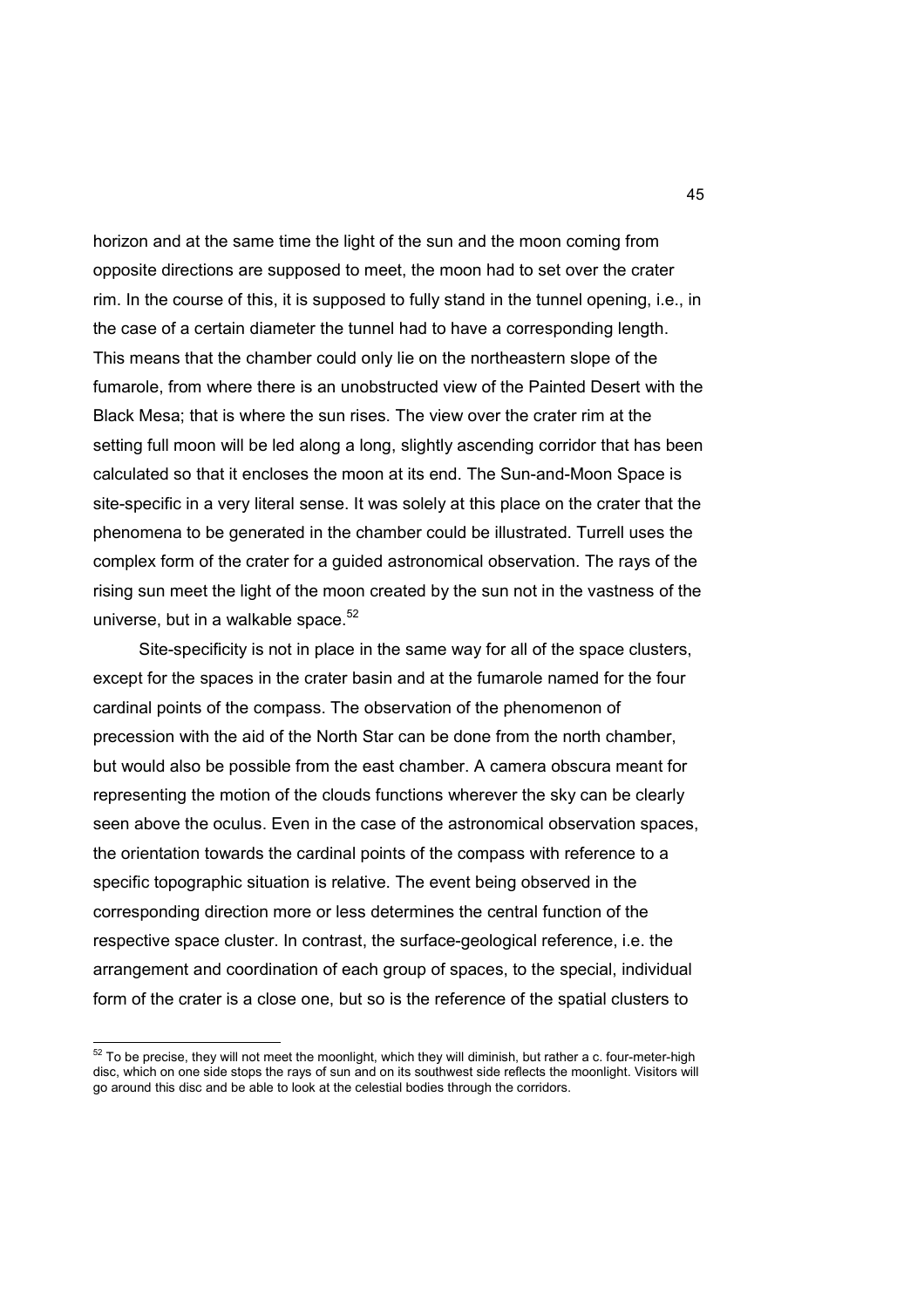horizon and at the same time the light of the sun and the moon coming from opposite directions are supposed to meet, the moon had to set over the crater rim. In the course of this, it is supposed to fully stand in the tunnel opening, i.e., in the case of a certain diameter the tunnel had to have a corresponding length. This means that the chamber could only lie on the northeastern slope of the fumarole, from where there is an unobstructed view of the Painted Desert with the Black Mesa; that is where the sun rises. The view over the crater rim at the setting full moon will be led along a long, slightly ascending corridor that has been calculated so that it encloses the moon at its end. The Sun-and-Moon Space is site-specific in a very literal sense. It was solely at this place on the crater that the phenomena to be generated in the chamber could be illustrated. Turrell uses the complex form of the crater for a guided astronomical observation. The rays of the rising sun meet the light of the moon created by the sun not in the vastness of the universe, but in a walkable space.<sup>52</sup>

 Site-specificity is not in place in the same way for all of the space clusters, except for the spaces in the crater basin and at the fumarole named for the four cardinal points of the compass. The observation of the phenomenon of precession with the aid of the North Star can be done from the north chamber, but would also be possible from the east chamber. A camera obscura meant for representing the motion of the clouds functions wherever the sky can be clearly seen above the oculus. Even in the case of the astronomical observation spaces, the orientation towards the cardinal points of the compass with reference to a specific topographic situation is relative. The event being observed in the corresponding direction more or less determines the central function of the respective space cluster. In contrast, the surface-geological reference, i.e. the arrangement and coordination of each group of spaces, to the special, individual form of the crater is a close one, but so is the reference of the spatial clusters to

 $52$  To be precise, they will not meet the moonlight, which they will diminish, but rather a c. four-meter-high disc, which on one side stops the rays of sun and on its southwest side reflects the moonlight. Visitors will go around this disc and be able to look at the celestial bodies through the corridors.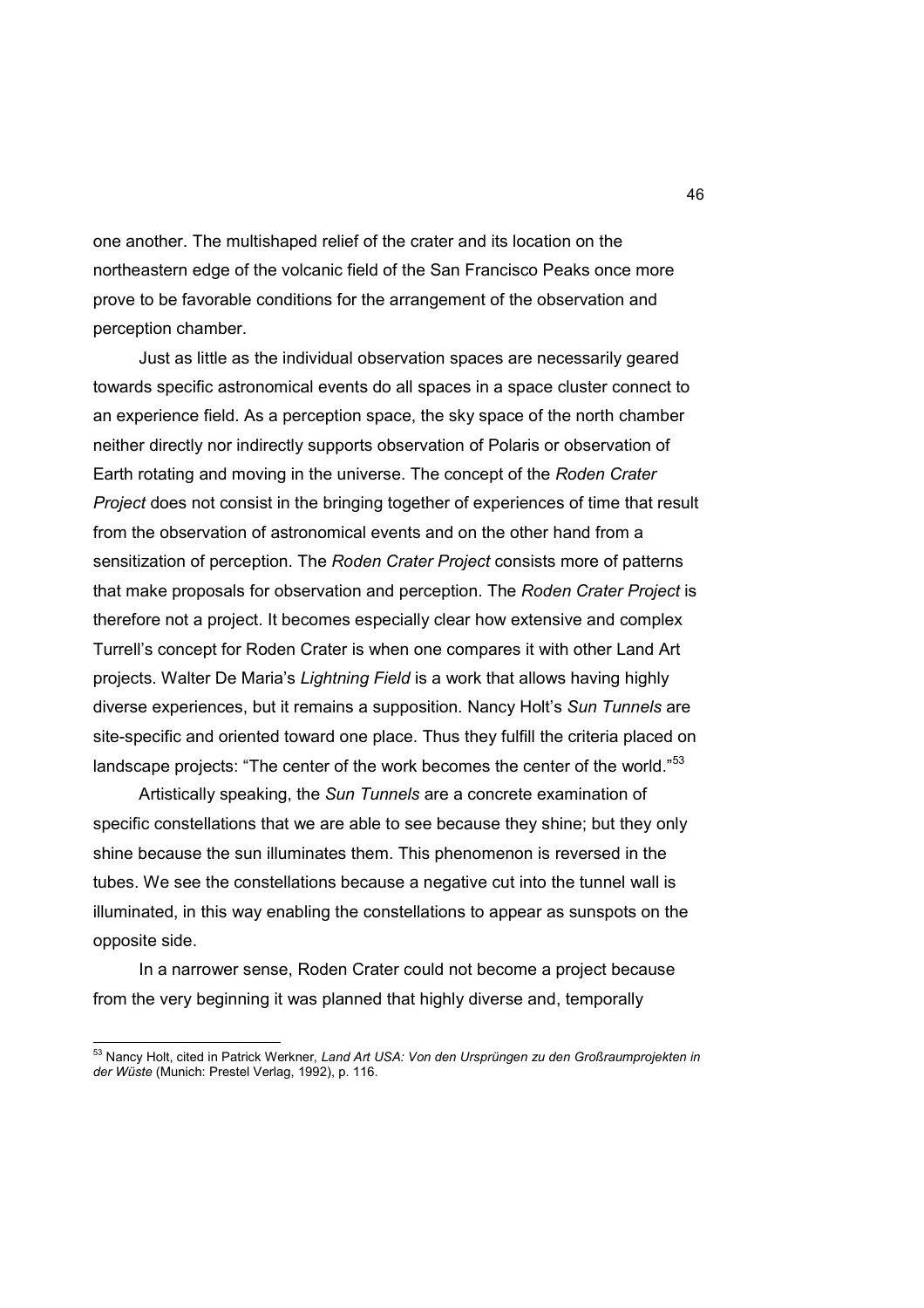one another. The multishaped relief of the crater and its location on the northeastern edge of the volcanic field of the San Francisco Peaks once more prove to be favorable conditions for the arrangement of the observation and perception chamber.

 Just as little as the individual observation spaces are necessarily geared towards specific astronomical events do all spaces in a space cluster connect to an experience field. As a perception space, the sky space of the north chamber neither directly nor indirectly supports observation of Polaris or observation of Earth rotating and moving in the universe. The concept of the *Roden Crater Project* does not consist in the bringing together of experiences of time that result from the observation of astronomical events and on the other hand from a sensitization of perception. The *Roden Crater Project* consists more of patterns that make proposals for observation and perception. The *Roden Crater Project* is therefore not a project. It becomes especially clear how extensive and complex Turrell's concept for Roden Crater is when one compares it with other Land Art projects. Walter De Maria's *Lightning Field* is a work that allows having highly diverse experiences, but it remains a supposition. Nancy Holt's *Sun Tunnels* are site-specific and oriented toward one place. Thus they fulfill the criteria placed on landscape projects: "The center of the work becomes the center of the world."<sup>53</sup>

 Artistically speaking, the *Sun Tunnels* are a concrete examination of specific constellations that we are able to see because they shine; but they only shine because the sun illuminates them. This phenomenon is reversed in the tubes. We see the constellations because a negative cut into the tunnel wall is illuminated, in this way enabling the constellations to appear as sunspots on the opposite side.

 In a narrower sense, Roden Crater could not become a project because from the very beginning it was planned that highly diverse and, temporally

<sup>&</sup>lt;sup>53</sup> Nancy Holt, cited in Patrick Werkner, *Land Art USA: Von den Ursprüngen zu den Großraumprojekten in der Wüste* (Munich: Prestel Verlag, 1992), p. 116.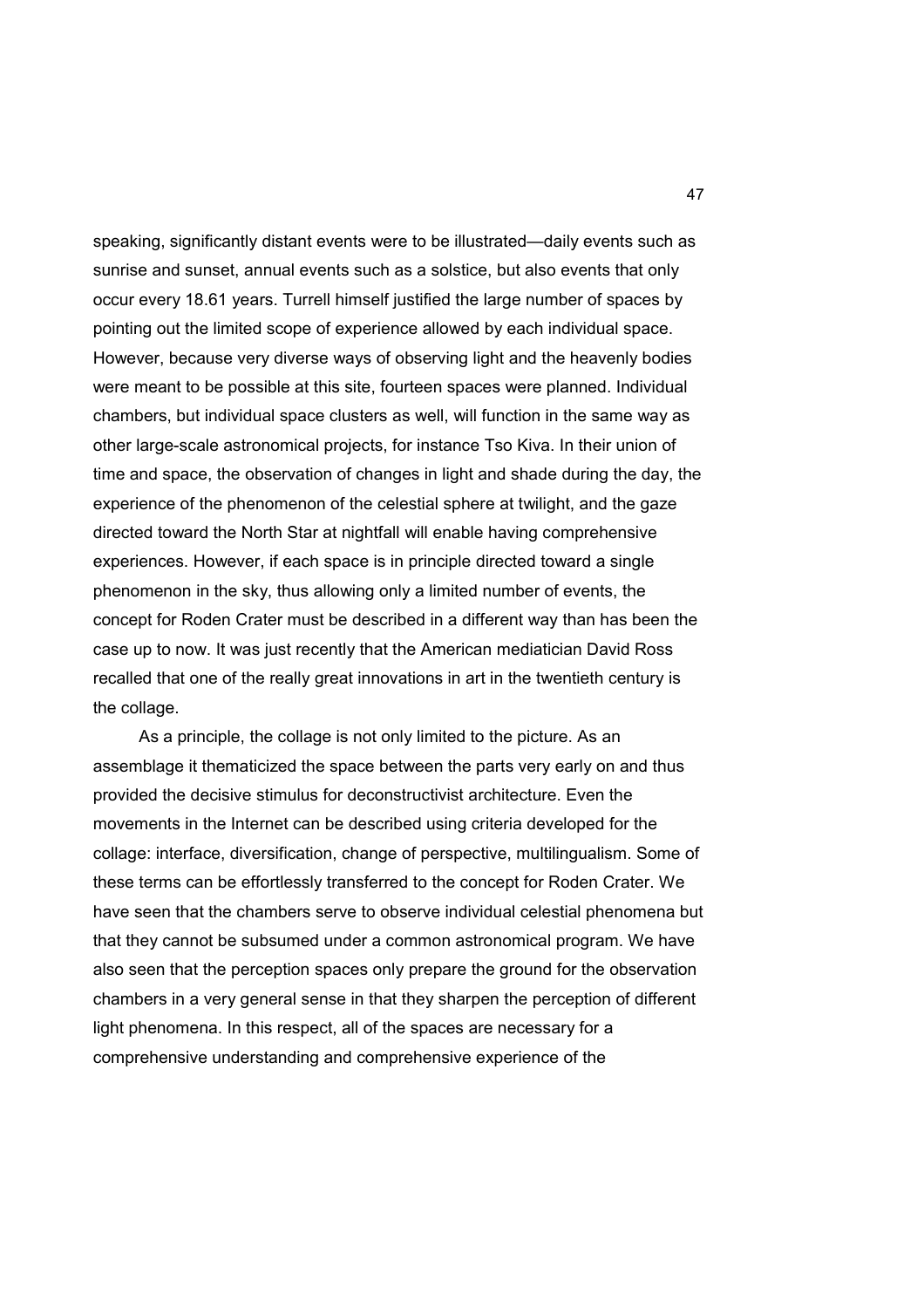speaking, significantly distant events were to be illustrated—daily events such as sunrise and sunset, annual events such as a solstice, but also events that only occur every 18.61 years. Turrell himself justified the large number of spaces by pointing out the limited scope of experience allowed by each individual space. However, because very diverse ways of observing light and the heavenly bodies were meant to be possible at this site, fourteen spaces were planned. Individual chambers, but individual space clusters as well, will function in the same way as other large-scale astronomical projects, for instance Tso Kiva. In their union of time and space, the observation of changes in light and shade during the day, the experience of the phenomenon of the celestial sphere at twilight, and the gaze directed toward the North Star at nightfall will enable having comprehensive experiences. However, if each space is in principle directed toward a single phenomenon in the sky, thus allowing only a limited number of events, the concept for Roden Crater must be described in a different way than has been the case up to now. It was just recently that the American mediatician David Ross recalled that one of the really great innovations in art in the twentieth century is the collage.

 As a principle, the collage is not only limited to the picture. As an assemblage it thematicized the space between the parts very early on and thus provided the decisive stimulus for deconstructivist architecture. Even the movements in the Internet can be described using criteria developed for the collage: interface, diversification, change of perspective, multilingualism. Some of these terms can be effortlessly transferred to the concept for Roden Crater. We have seen that the chambers serve to observe individual celestial phenomena but that they cannot be subsumed under a common astronomical program. We have also seen that the perception spaces only prepare the ground for the observation chambers in a very general sense in that they sharpen the perception of different light phenomena. In this respect, all of the spaces are necessary for a comprehensive understanding and comprehensive experience of the